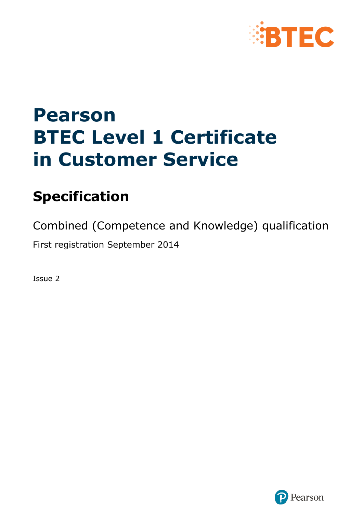

# **Pearson BTEC Level 1 Certificate in Customer Service**

# **Specification**

Combined (Competence and Knowledge) qualification

First registration September 2014

Issue 2

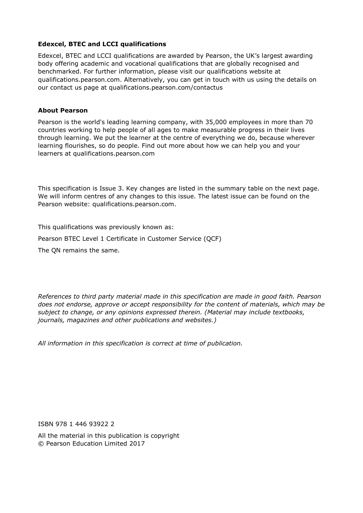#### **Edexcel, BTEC and LCCI qualifications**

Edexcel, BTEC and LCCI qualifications are awarded by Pearson, the UK's largest awarding body offering academic and vocational qualifications that are globally recognised and benchmarked. For further information, please visit our qualifications website at qualifications.pearson.com. Alternatively, you can get in touch with us using the details on our contact us page at qualifications.pearson.com/contactus

#### **About Pearson**

Pearson is the world's leading learning company, with 35,000 employees in more than 70 countries working to help people of all ages to make measurable progress in their lives through learning. We put the learner at the centre of everything we do, because wherever learning flourishes, so do people. Find out more about how we can help you and your learners at qualifications.pearson.com

This specification is Issue 3. Key changes are listed in the summary table on the next page. We will inform centres of any changes to this issue. The latest issue can be found on the Pearson website: qualifications.pearson.com.

This qualifications was previously known as:

Pearson BTEC Level 1 Certificate in Customer Service (QCF)

The QN remains the same.

*References to third party material made in this specification are made in good faith. Pearson does not endorse, approve or accept responsibility for the content of materials, which may be subject to change, or any opinions expressed therein. (Material may include textbooks, journals, magazines and other publications and websites.)*

*All information in this specification is correct at time of publication.*

ISBN 978 1 446 93922 2

All the material in this publication is copyright © Pearson Education Limited 2017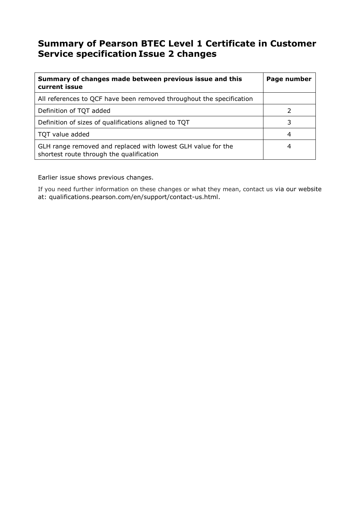# **Summary of Pearson BTEC Level 1 Certificate in Customer Service specification Issue 2 changes**

| Summary of changes made between previous issue and this<br>current issue                                 | Page number |
|----------------------------------------------------------------------------------------------------------|-------------|
| All references to QCF have been removed throughout the specification                                     |             |
| Definition of TQT added                                                                                  |             |
| Definition of sizes of qualifications aligned to TQT                                                     | 3           |
| TQT value added                                                                                          | 4           |
| GLH range removed and replaced with lowest GLH value for the<br>shortest route through the qualification |             |

Earlier issue shows previous changes.

If you need further information on these changes or what they mean, contact us via our website at: qualifications.pearson.com/en/support/contact-us.html.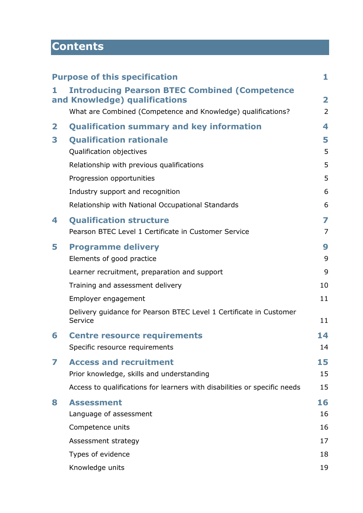# **Contents**

|   | <b>Purpose of this specification</b>                                                  | 1                       |
|---|---------------------------------------------------------------------------------------|-------------------------|
| 1 | <b>Introducing Pearson BTEC Combined (Competence</b><br>and Knowledge) qualifications | $\overline{\mathbf{2}}$ |
|   | What are Combined (Competence and Knowledge) qualifications?                          | $\overline{2}$          |
| 2 | <b>Qualification summary and key information</b>                                      | 4                       |
| 3 | <b>Qualification rationale</b>                                                        | 5                       |
|   | Qualification objectives                                                              | 5                       |
|   | Relationship with previous qualifications                                             | 5                       |
|   | Progression opportunities                                                             | 5                       |
|   | Industry support and recognition                                                      | 6                       |
|   | Relationship with National Occupational Standards                                     | 6                       |
| 4 | <b>Qualification structure</b>                                                        | 7                       |
|   | Pearson BTEC Level 1 Certificate in Customer Service                                  | 7                       |
| 5 | <b>Programme delivery</b>                                                             | 9                       |
|   | Elements of good practice                                                             | 9                       |
|   | Learner recruitment, preparation and support                                          | 9                       |
|   | Training and assessment delivery                                                      | 10                      |
|   | Employer engagement                                                                   | 11                      |
|   | Delivery guidance for Pearson BTEC Level 1 Certificate in Customer<br>Service         | 11                      |
| 6 | <b>Centre resource requirements</b>                                                   | 14                      |
|   | Specific resource requirements                                                        | 14                      |
| 7 | <b>Access and recruitment</b>                                                         | 15                      |
|   | Prior knowledge, skills and understanding                                             | 15                      |
|   | Access to qualifications for learners with disabilities or specific needs             | 15                      |
| 8 | <b>Assessment</b>                                                                     | 16                      |
|   | Language of assessment                                                                | 16                      |
|   | Competence units                                                                      | 16                      |
|   | Assessment strategy                                                                   | 17                      |
|   | Types of evidence                                                                     | 18                      |
|   | Knowledge units                                                                       | 19                      |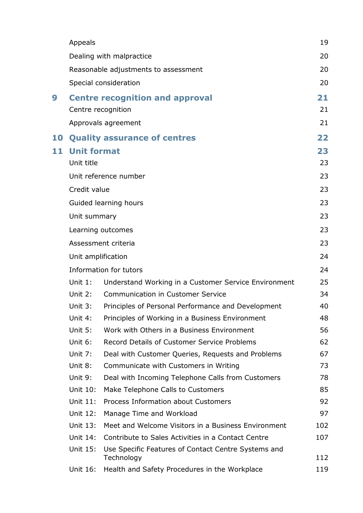|    | Appeals            |                                                                   | 19  |  |
|----|--------------------|-------------------------------------------------------------------|-----|--|
|    |                    | Dealing with malpractice                                          | 20  |  |
|    |                    | Reasonable adjustments to assessment                              | 20  |  |
|    |                    | Special consideration                                             | 20  |  |
| 9  |                    | <b>Centre recognition and approval</b>                            | 21  |  |
|    |                    | Centre recognition                                                | 21  |  |
|    |                    | Approvals agreement                                               | 21  |  |
| 10 |                    | <b>Quality assurance of centres</b>                               | 22  |  |
| 11 | <b>Unit format</b> |                                                                   | 23  |  |
|    | Unit title         |                                                                   | 23  |  |
|    |                    | Unit reference number                                             | 23  |  |
|    | Credit value       |                                                                   | 23  |  |
|    |                    | Guided learning hours                                             | 23  |  |
|    | Unit summary       |                                                                   | 23  |  |
|    |                    | Learning outcomes                                                 | 23  |  |
|    |                    | Assessment criteria                                               | 23  |  |
|    | Unit amplification |                                                                   |     |  |
|    |                    | Information for tutors                                            | 24  |  |
|    | Unit $1$ :         | Understand Working in a Customer Service Environment              | 25  |  |
|    | Unit 2:            | <b>Communication in Customer Service</b>                          | 34  |  |
|    | Unit 3:            | Principles of Personal Performance and Development                | 40  |  |
|    | Unit 4:            | Principles of Working in a Business Environment                   | 48  |  |
|    | Unit 5:            | Work with Others in a Business Environment                        | 56  |  |
|    | Unit 6:            | Record Details of Customer Service Problems                       | 62  |  |
|    | Unit 7:            | Deal with Customer Queries, Requests and Problems                 | 67  |  |
|    | Unit 8:            | Communicate with Customers in Writing                             | 73  |  |
|    | Unit 9:            | Deal with Incoming Telephone Calls from Customers                 | 78  |  |
|    | Unit 10:           | Make Telephone Calls to Customers                                 | 85  |  |
|    | Unit 11:           | Process Information about Customers                               | 92  |  |
|    | Unit 12:           | Manage Time and Workload                                          | 97  |  |
|    | Unit 13:           | Meet and Welcome Visitors in a Business Environment               | 102 |  |
|    | Unit 14:           | Contribute to Sales Activities in a Contact Centre                | 107 |  |
|    | Unit 15:           | Use Specific Features of Contact Centre Systems and<br>Technology | 112 |  |
|    | Unit 16:           | Health and Safety Procedures in the Workplace                     | 119 |  |
|    |                    |                                                                   |     |  |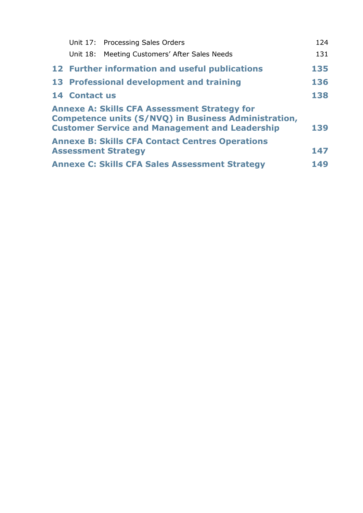|                                                              | Unit 17: Processing Sales Orders                                                                                                                                     | 124 |  |  |
|--------------------------------------------------------------|----------------------------------------------------------------------------------------------------------------------------------------------------------------------|-----|--|--|
|                                                              | Unit 18: Meeting Customers' After Sales Needs                                                                                                                        | 131 |  |  |
|                                                              | 12 Further information and useful publications                                                                                                                       | 135 |  |  |
|                                                              | 13 Professional development and training                                                                                                                             | 136 |  |  |
| <b>14 Contact us</b>                                         |                                                                                                                                                                      | 138 |  |  |
|                                                              | <b>Annexe A: Skills CFA Assessment Strategy for</b><br>Competence units (S/NVQ) in Business Administration,<br><b>Customer Service and Management and Leadership</b> | 139 |  |  |
|                                                              | <b>Annexe B: Skills CFA Contact Centres Operations</b><br><b>Assessment Strategy</b>                                                                                 | 147 |  |  |
|                                                              |                                                                                                                                                                      |     |  |  |
| <b>Annexe C: Skills CFA Sales Assessment Strategy</b><br>149 |                                                                                                                                                                      |     |  |  |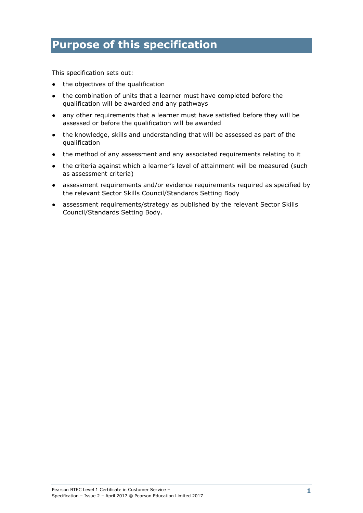# **Purpose of this specification**

This specification sets out:

- the objectives of the qualification
- the combination of units that a learner must have completed before the qualification will be awarded and any pathways
- any other requirements that a learner must have satisfied before they will be assessed or before the qualification will be awarded
- the knowledge, skills and understanding that will be assessed as part of the qualification
- the method of any assessment and any associated requirements relating to it
- the criteria against which a learner's level of attainment will be measured (such as assessment criteria)
- assessment requirements and/or evidence requirements required as specified by the relevant Sector Skills Council/Standards Setting Body
- assessment requirements/strategy as published by the relevant Sector Skills Council/Standards Setting Body.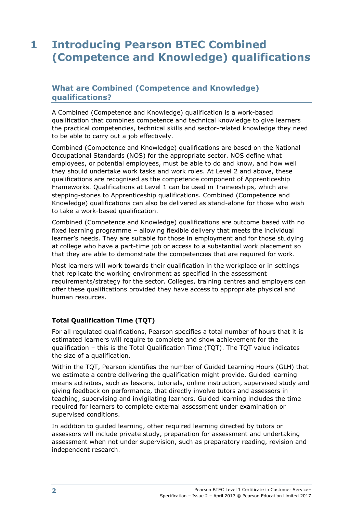# **1 Introducing Pearson BTEC Combined (Competence and Knowledge) qualifications**

# **What are Combined (Competence and Knowledge) qualifications?**

A Combined (Competence and Knowledge) qualification is a work-based qualification that combines competence and technical knowledge to give learners the practical competencies, technical skills and sector-related knowledge they need to be able to carry out a job effectively.

Combined (Competence and Knowledge) qualifications are based on the National Occupational Standards (NOS) for the appropriate sector. NOS define what employees, or potential employees, must be able to do and know, and how well they should undertake work tasks and work roles. At Level 2 and above, these qualifications are recognised as the competence component of Apprenticeship Frameworks. Qualifications at Level 1 can be used in Traineeships, which are stepping-stones to Apprenticeship qualifications. Combined (Competence and Knowledge) qualifications can also be delivered as stand-alone for those who wish to take a work-based qualification.

Combined (Competence and Knowledge) qualifications are outcome based with no fixed learning programme – allowing flexible delivery that meets the individual learner's needs. They are suitable for those in employment and for those studying at college who have a part-time job or access to a substantial work placement so that they are able to demonstrate the competencies that are required for work.

Most learners will work towards their qualification in the workplace or in settings that replicate the working environment as specified in the assessment requirements/strategy for the sector. Colleges, training centres and employers can offer these qualifications provided they have access to appropriate physical and human resources.

#### **Total Qualification Time (TQT)**

For all regulated qualifications, Pearson specifies a total number of hours that it is estimated learners will require to complete and show achievement for the qualification – this is the Total Qualification Time (TQT). The TQT value indicates the size of a qualification.

Within the TQT, Pearson identifies the number of Guided Learning Hours (GLH) that we estimate a centre delivering the qualification might provide. Guided learning means activities, such as lessons, tutorials, online instruction, supervised study and giving feedback on performance, that directly involve tutors and assessors in teaching, supervising and invigilating learners. Guided learning includes the time required for learners to complete external assessment under examination or supervised conditions.

In addition to guided learning, other required learning directed by tutors or assessors will include private study, preparation for assessment and undertaking assessment when not under supervision, such as preparatory reading, revision and independent research.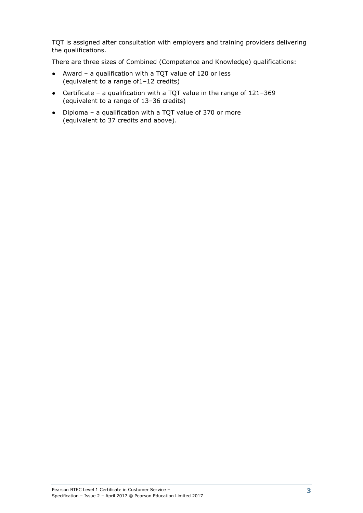TQT is assigned after consultation with employers and training providers delivering the qualifications.

There are three sizes of Combined (Competence and Knowledge) qualifications:

- Award a qualification with a TQT value of 120 or less (equivalent to a range of1–12 credits)
- Certificate a qualification with a TQT value in the range of 121–369 (equivalent to a range of 13–36 credits)
- Diploma a qualification with a TQT value of 370 or more (equivalent to 37 credits and above).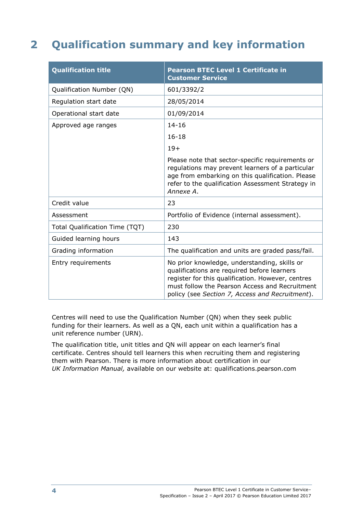# **2 Qualification summary and key information**

| <b>Qualification title</b>     | <b>Pearson BTEC Level 1 Certificate in</b><br><b>Customer Service</b>                                                                                                                                                                                 |
|--------------------------------|-------------------------------------------------------------------------------------------------------------------------------------------------------------------------------------------------------------------------------------------------------|
| Qualification Number (QN)      | 601/3392/2                                                                                                                                                                                                                                            |
| Regulation start date          | 28/05/2014                                                                                                                                                                                                                                            |
| Operational start date         | 01/09/2014                                                                                                                                                                                                                                            |
| Approved age ranges            | $14 - 16$                                                                                                                                                                                                                                             |
|                                | $16 - 18$                                                                                                                                                                                                                                             |
|                                | $19+$                                                                                                                                                                                                                                                 |
|                                | Please note that sector-specific requirements or<br>regulations may prevent learners of a particular<br>age from embarking on this qualification. Please<br>refer to the qualification Assessment Strategy in<br>Annexe A.                            |
| Credit value                   | 23                                                                                                                                                                                                                                                    |
| Assessment                     | Portfolio of Evidence (internal assessment).                                                                                                                                                                                                          |
| Total Qualification Time (TQT) | 230                                                                                                                                                                                                                                                   |
| Guided learning hours          | 143                                                                                                                                                                                                                                                   |
| Grading information            | The qualification and units are graded pass/fail.                                                                                                                                                                                                     |
| Entry requirements             | No prior knowledge, understanding, skills or<br>qualifications are required before learners<br>register for this qualification. However, centres<br>must follow the Pearson Access and Recruitment<br>policy (see Section 7, Access and Recruitment). |

Centres will need to use the Qualification Number (QN) when they seek public funding for their learners. As well as a QN, each unit within a qualification has a unit reference number (URN).

The qualification title, unit titles and QN will appear on each learner's final certificate. Centres should tell learners this when recruiting them and registering them with Pearson. There is more information about certification in our *UK Information Manual,* available on our website at: qualifications.pearson.com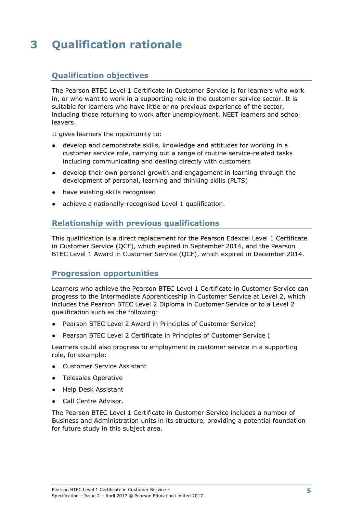# **3 Qualification rationale**

# **Qualification objectives**

The Pearson BTEC Level 1 Certificate in Customer Service is for learners who work in, or who want to work in a supporting role in the customer service sector. It is suitable for learners who have little or no previous experience of the sector, including those returning to work after unemployment, NEET learners and school leavers.

It gives learners the opportunity to:

- develop and demonstrate skills, knowledge and attitudes for working in a customer service role, carrying out a range of routine service-related tasks including communicating and dealing directly with customers
- develop their own personal growth and engagement in learning through the development of personal, learning and thinking skills (PLTS)
- have existing skills recognised
- achieve a nationally-recognised Level 1 qualification.

## **Relationship with previous qualifications**

This qualification is a direct replacement for the Pearson Edexcel Level 1 Certificate in Customer Service (QCF), which expired in September 2014, and the Pearson BTEC Level 1 Award in Customer Service (QCF), which expired in December 2014.

#### **Progression opportunities**

Learners who achieve the Pearson BTEC Level 1 Certificate in Customer Service can progress to the Intermediate Apprenticeship in Customer Service at Level 2, which includes the Pearson BTEC Level 2 Diploma in Customer Service or to a Level 2 qualification such as the following:

- Pearson BTEC Level 2 Award in Principles of Customer Service)
- Pearson BTEC Level 2 Certificate in Principles of Customer Service (

Learners could also progress to employment in customer service in a supporting role, for example:

- Customer Service Assistant
- Telesales Operative
- Help Desk Assistant
- Call Centre Advisor.

The Pearson BTEC Level 1 Certificate in Customer Service includes a number of Business and Administration units in its structure, providing a potential foundation for future study in this subject area.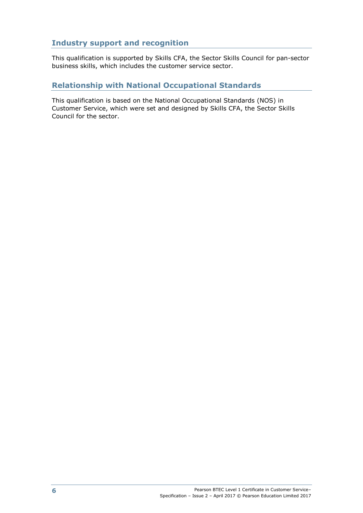# **Industry support and recognition**

This qualification is supported by Skills CFA, the Sector Skills Council for pan-sector business skills, which includes the customer service sector.

# **Relationship with National Occupational Standards**

This qualification is based on the National Occupational Standards (NOS) in Customer Service, which were set and designed by Skills CFA, the Sector Skills Council for the sector.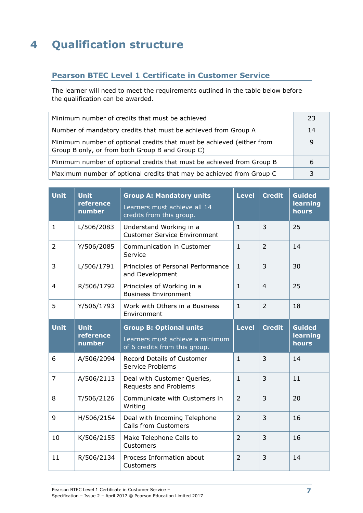# **4 Qualification structure**

# **Pearson BTEC Level 1 Certificate in Customer Service**

The learner will need to meet the requirements outlined in the table below before the qualification can be awarded.

| Minimum number of credits that must be achieved                                                                          | 23 |
|--------------------------------------------------------------------------------------------------------------------------|----|
| Number of mandatory credits that must be achieved from Group A                                                           | 14 |
| Minimum number of optional credits that must be achieved (either from<br>Group B only, or from both Group B and Group C) |    |
| Minimum number of optional credits that must be achieved from Group B                                                    | b  |
| Maximum number of optional credits that may be achieved from Group C                                                     |    |

| <b>Unit</b>    | <b>Unit</b><br>reference<br>number | <b>Group A: Mandatory units</b><br>Learners must achieve all 14<br>credits from this group.        | <b>Level</b>   | <b>Credit</b>  | <b>Guided</b><br>learning<br>hours |
|----------------|------------------------------------|----------------------------------------------------------------------------------------------------|----------------|----------------|------------------------------------|
| $\mathbf{1}$   | L/506/2083                         | Understand Working in a<br><b>Customer Service Environment</b>                                     | $\mathbf{1}$   | 3              | 25                                 |
| $\overline{2}$ | Y/506/2085                         | Communication in Customer<br>Service                                                               | $\mathbf{1}$   | $\overline{2}$ | 14                                 |
| 3              | L/506/1791                         | Principles of Personal Performance<br>and Development                                              | $\mathbf{1}$   | $\overline{3}$ | 30                                 |
| 4              | R/506/1792                         | Principles of Working in a<br><b>Business Environment</b>                                          | $\mathbf{1}$   | $\overline{4}$ | 25                                 |
| 5              | Y/506/1793                         | Work with Others in a Business<br>Environment                                                      | $\mathbf{1}$   | $\overline{2}$ | 18                                 |
| <b>Unit</b>    | <b>Unit</b><br>reference<br>number | <b>Group B: Optional units</b><br>Learners must achieve a minimum<br>of 6 credits from this group. | Level          | <b>Credit</b>  | <b>Guided</b><br>learning<br>hours |
|                |                                    |                                                                                                    |                |                |                                    |
| 6              | A/506/2094                         | <b>Record Details of Customer</b><br>Service Problems                                              | $\mathbf{1}$   | 3              | 14                                 |
| $\overline{7}$ | A/506/2113                         | Deal with Customer Queries,<br>Requests and Problems                                               | $\mathbf{1}$   | 3              | 11                                 |
| 8              | T/506/2126                         | Communicate with Customers in<br>Writing                                                           | $\overline{2}$ | 3              | 20                                 |
| 9              | H/506/2154                         | Deal with Incoming Telephone<br><b>Calls from Customers</b>                                        | $\overline{2}$ | $\overline{3}$ | 16                                 |
| 10             | K/506/2155                         | Make Telephone Calls to<br>Customers                                                               | $\overline{2}$ | 3              | 16                                 |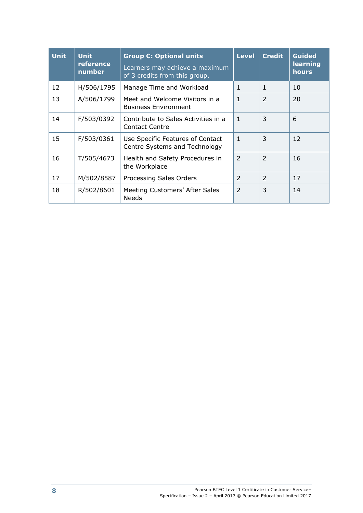| <b>Unit</b> | <b>Unit</b><br>reference<br>number | <b>Group C: Optional units</b><br>Learners may achieve a maximum<br>of 3 credits from this group. | <b>Level</b>   | <b>Credit</b>            | <b>Guided</b><br>learning<br>hours |
|-------------|------------------------------------|---------------------------------------------------------------------------------------------------|----------------|--------------------------|------------------------------------|
| 12          | H/506/1795                         | Manage Time and Workload                                                                          | $\mathbf{1}$   | $\mathbf{1}$             | 10                                 |
| 13          | A/506/1799                         | Meet and Welcome Visitors in a<br><b>Business Environment</b>                                     | $\mathbf{1}$   | $\overline{2}$           | 20                                 |
| 14          | F/503/0392                         | Contribute to Sales Activities in a<br><b>Contact Centre</b>                                      | $\overline{1}$ | 3                        | 6                                  |
| 15          | F/503/0361                         | Use Specific Features of Contact<br>Centre Systems and Technology                                 | $\mathbf{1}$   | 3                        | 12                                 |
| 16          | T/505/4673                         | Health and Safety Procedures in<br>the Workplace                                                  | $\overline{2}$ | $\overline{2}$           | 16                                 |
| 17          | M/502/8587                         | Processing Sales Orders                                                                           | $\mathcal{P}$  | $\overline{\phantom{0}}$ | 17                                 |
| 18          | R/502/8601                         | Meeting Customers' After Sales<br><b>Needs</b>                                                    | $\overline{2}$ | 3                        | 14                                 |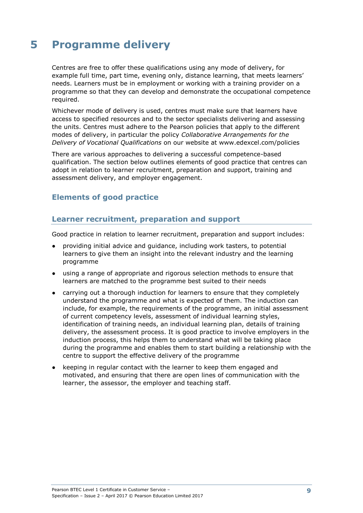# **5 Programme delivery**

Centres are free to offer these qualifications using any mode of delivery, for example full time, part time, evening only, distance learning, that meets learners' needs. Learners must be in employment or working with a training provider on a programme so that they can develop and demonstrate the occupational competence required.

Whichever mode of delivery is used, centres must make sure that learners have access to specified resources and to the sector specialists delivering and assessing the units. Centres must adhere to the Pearson policies that apply to the different modes of delivery, in particular the policy *Collaborative Arrangements for the Delivery of Vocational Qualifications* on our website at www.edexcel.com/policies

There are various approaches to delivering a successful competence-based qualification. The section below outlines elements of good practice that centres can adopt in relation to learner recruitment, preparation and support, training and assessment delivery, and employer engagement.

## **Elements of good practice**

### **Learner recruitment, preparation and support**

Good practice in relation to learner recruitment, preparation and support includes:

- providing initial advice and guidance, including work tasters, to potential learners to give them an insight into the relevant industry and the learning programme
- using a range of appropriate and rigorous selection methods to ensure that learners are matched to the programme best suited to their needs
- carrying out a thorough induction for learners to ensure that they completely understand the programme and what is expected of them. The induction can include, for example, the requirements of the programme, an initial assessment of current competency levels, assessment of individual learning styles, identification of training needs, an individual learning plan, details of training delivery, the assessment process. It is good practice to involve employers in the induction process, this helps them to understand what will be taking place during the programme and enables them to start building a relationship with the centre to support the effective delivery of the programme
- keeping in regular contact with the learner to keep them engaged and motivated, and ensuring that there are open lines of communication with the learner, the assessor, the employer and teaching staff.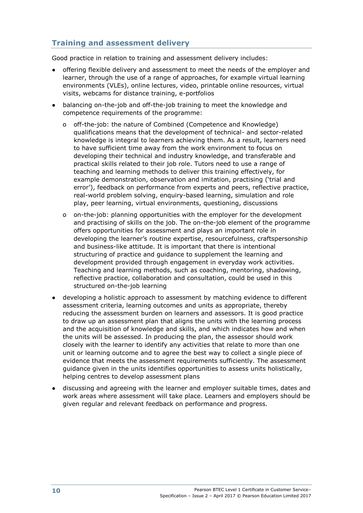# **Training and assessment delivery**

Good practice in relation to training and assessment delivery includes:

- offering flexible delivery and assessment to meet the needs of the employer and learner, through the use of a range of approaches, for example virtual learning environments (VLEs), online lectures, video, printable online resources, virtual visits, webcams for distance training, e-portfolios
- balancing on-the-job and off-the-job training to meet the knowledge and competence requirements of the programme:
	- o off-the-job: the nature of Combined (Competence and Knowledge) qualifications means that the development of technical- and sector-related knowledge is integral to learners achieving them. As a result, learners need to have sufficient time away from the work environment to focus on developing their technical and industry knowledge, and transferable and practical skills related to their job role. Tutors need to use a range of teaching and learning methods to deliver this training effectively, for example demonstration, observation and imitation, practising ('trial and error'), feedback on performance from experts and peers, reflective practice, real-world problem solving, enquiry-based learning, simulation and role play, peer learning, virtual environments, questioning, discussions
	- o on-the-job: planning opportunities with the employer for the development and practising of skills on the job. The on-the-job element of the programme offers opportunities for assessment and plays an important role in developing the learner's routine expertise, resourcefulness, craftspersonship and business-like attitude. It is important that there is intentional structuring of practice and guidance to supplement the learning and development provided through engagement in everyday work activities. Teaching and learning methods, such as coaching, mentoring, shadowing, reflective practice, collaboration and consultation, could be used in this structured on-the-job learning
- developing a holistic approach to assessment by matching evidence to different assessment criteria, learning outcomes and units as appropriate, thereby reducing the assessment burden on learners and assessors. It is good practice to draw up an assessment plan that aligns the units with the learning process and the acquisition of knowledge and skills, and which indicates how and when the units will be assessed. In producing the plan, the assessor should work closely with the learner to identify any activities that relate to more than one unit or learning outcome and to agree the best way to collect a single piece of evidence that meets the assessment requirements sufficiently. The assessment guidance given in the units identifies opportunities to assess units holistically, helping centres to develop assessment plans
- discussing and agreeing with the learner and employer suitable times, dates and work areas where assessment will take place. Learners and employers should be given regular and relevant feedback on performance and progress.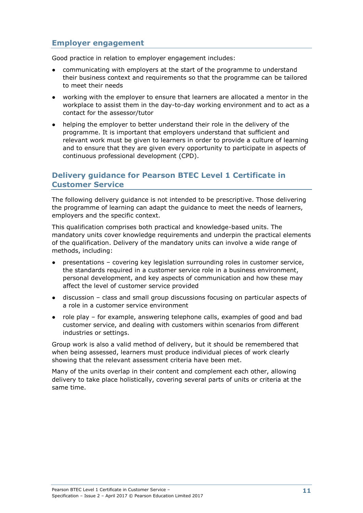## **Employer engagement**

Good practice in relation to employer engagement includes:

- communicating with employers at the start of the programme to understand their business context and requirements so that the programme can be tailored to meet their needs
- working with the employer to ensure that learners are allocated a mentor in the workplace to assist them in the day-to-day working environment and to act as a contact for the assessor/tutor
- helping the employer to better understand their role in the delivery of the programme. It is important that employers understand that sufficient and relevant work must be given to learners in order to provide a culture of learning and to ensure that they are given every opportunity to participate in aspects of continuous professional development (CPD).

## **Delivery guidance for Pearson BTEC Level 1 Certificate in Customer Service**

The following delivery guidance is not intended to be prescriptive. Those delivering the programme of learning can adapt the guidance to meet the needs of learners, employers and the specific context.

This qualification comprises both practical and knowledge-based units. The mandatory units cover knowledge requirements and underpin the practical elements of the qualification. Delivery of the mandatory units can involve a wide range of methods, including:

- presentations covering key legislation surrounding roles in customer service, the standards required in a customer service role in a business environment, personal development, and key aspects of communication and how these may affect the level of customer service provided
- discussion class and small group discussions focusing on particular aspects of a role in a customer service environment
- role play for example, answering telephone calls, examples of good and bad customer service, and dealing with customers within scenarios from different industries or settings.

Group work is also a valid method of delivery, but it should be remembered that when being assessed, learners must produce individual pieces of work clearly showing that the relevant assessment criteria have been met.

Many of the units overlap in their content and complement each other, allowing delivery to take place holistically, covering several parts of units or criteria at the same time.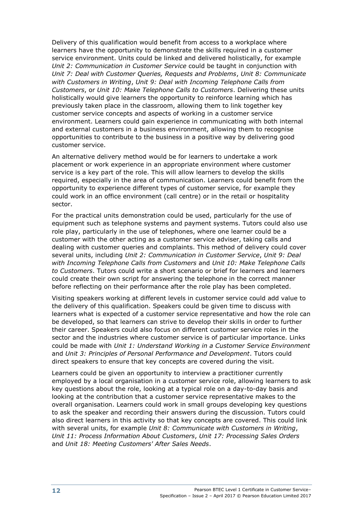Delivery of this qualification would benefit from access to a workplace where learners have the opportunity to demonstrate the skills required in a customer service environment. Units could be linked and delivered holistically, for example *Unit 2: Communication in Customer Service* could be taught in conjunction with *Unit 7: Deal with Customer Queries, Requests and Problems*, *Unit 8: Communicate with Customers in Writing*, *Unit 9: Deal with Incoming Telephone Calls from Customers*, or *Unit 10: Make Telephone Calls to Customers*. Delivering these units holistically would give learners the opportunity to reinforce learning which has previously taken place in the classroom, allowing them to link together key customer service concepts and aspects of working in a customer service environment. Learners could gain experience in communicating with both internal and external customers in a business environment, allowing them to recognise opportunities to contribute to the business in a positive way by delivering good customer service.

An alternative delivery method would be for learners to undertake a work placement or work experience in an appropriate environment where customer service is a key part of the role. This will allow learners to develop the skills required, especially in the area of communication. Learners could benefit from the opportunity to experience different types of customer service, for example they could work in an office environment (call centre) or in the retail or hospitality sector.

For the practical units demonstration could be used, particularly for the use of equipment such as telephone systems and payment systems. Tutors could also use role play, particularly in the use of telephones, where one learner could be a customer with the other acting as a customer service adviser, taking calls and dealing with customer queries and complaints. This method of delivery could cover several units, including *Unit 2: Communication in Customer Service*, *Unit 9: Deal with Incoming Telephone Calls from Customers* and *Unit 10: Make Telephone Calls to Customers*. Tutors could write a short scenario or brief for learners and learners could create their own script for answering the telephone in the correct manner before reflecting on their performance after the role play has been completed.

Visiting speakers working at different levels in customer service could add value to the delivery of this qualification. Speakers could be given time to discuss with learners what is expected of a customer service representative and how the role can be developed, so that learners can strive to develop their skills in order to further their career. Speakers could also focus on different customer service roles in the sector and the industries where customer service is of particular importance. Links could be made with *Unit 1: Understand Working in a Customer Service Environment* and *Unit 3: Principles of Personal Performance and Development*. Tutors could direct speakers to ensure that key concepts are covered during the visit.

Learners could be given an opportunity to interview a practitioner currently employed by a local organisation in a customer service role, allowing learners to ask key questions about the role, looking at a typical role on a day-to-day basis and looking at the contribution that a customer service representative makes to the overall organisation. Learners could work in small groups developing key questions to ask the speaker and recording their answers during the discussion. Tutors could also direct learners in this activity so that key concepts are covered. This could link with several units, for example *Unit 8: Communicate with Customers in Writing*, *Unit 11: Process Information About Customers*, *Unit 17: Processing Sales Orders* and *Unit 18: Meeting Customers' After Sales Needs*.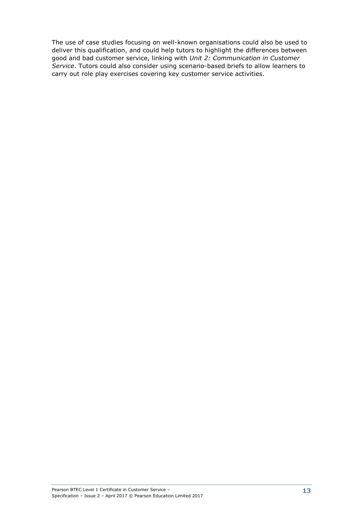The use of case studies focusing on well-known organisations could also be used to deliver this qualification, and could help tutors to highlight the differences between good and bad customer service, linking with *Unit 2: Communication in Customer Service*. Tutors could also consider using scenario-based briefs to allow learners to carry out role play exercises covering key customer service activities.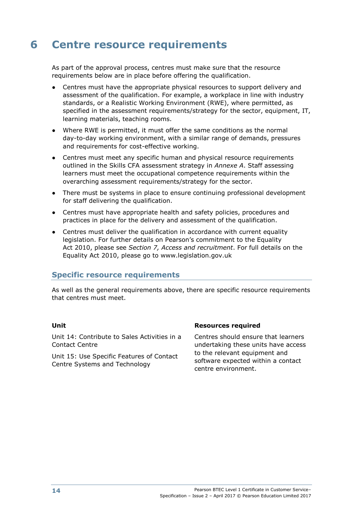# **6 Centre resource requirements**

As part of the approval process, centres must make sure that the resource requirements below are in place before offering the qualification.

- Centres must have the appropriate physical resources to support delivery and assessment of the qualification. For example, a workplace in line with industry standards, or a Realistic Working Environment (RWE), where permitted, as specified in the assessment requirements/strategy for the sector, equipment, IT, learning materials, teaching rooms.
- Where RWE is permitted, it must offer the same conditions as the normal day-to-day working environment, with a similar range of demands, pressures and requirements for cost-effective working.
- Centres must meet any specific human and physical resource requirements outlined in the Skills CFA assessment strategy in *Annexe A*. Staff assessing learners must meet the occupational competence requirements within the overarching assessment requirements/strategy for the sector.
- There must be systems in place to ensure continuing professional development for staff delivering the qualification.
- Centres must have appropriate health and safety policies, procedures and practices in place for the delivery and assessment of the qualification.
- Centres must deliver the qualification in accordance with current equality legislation. For further details on Pearson's commitment to the Equality Act 2010, please see *Section 7, Access and recruitment*. For full details on the Equality Act 2010, please go to www.legislation.gov.uk

#### **Specific resource requirements**

As well as the general requirements above, there are specific resource requirements that centres must meet.

Unit 14: Contribute to Sales Activities in a Contact Centre

Unit 15: Use Specific Features of Contact Centre Systems and Technology

#### **Unit Resources required**

Centres should ensure that learners undertaking these units have access to the relevant equipment and software expected within a contact centre environment.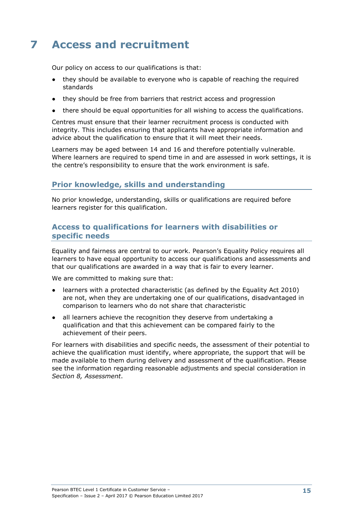# **7 Access and recruitment**

Our policy on access to our qualifications is that:

- they should be available to everyone who is capable of reaching the required standards
- they should be free from barriers that restrict access and progression
- there should be equal opportunities for all wishing to access the qualifications.

Centres must ensure that their learner recruitment process is conducted with integrity. This includes ensuring that applicants have appropriate information and advice about the qualification to ensure that it will meet their needs.

Learners may be aged between 14 and 16 and therefore potentially vulnerable. Where learners are required to spend time in and are assessed in work settings, it is the centre's responsibility to ensure that the work environment is safe.

### **Prior knowledge, skills and understanding**

No prior knowledge, understanding, skills or qualifications are required before learners register for this qualification.

### **Access to qualifications for learners with disabilities or specific needs**

Equality and fairness are central to our work. Pearson's Equality Policy requires all learners to have equal opportunity to access our qualifications and assessments and that our qualifications are awarded in a way that is fair to every learner.

We are committed to making sure that:

- learners with a protected characteristic (as defined by the Equality Act 2010) are not, when they are undertaking one of our qualifications, disadvantaged in comparison to learners who do not share that characteristic
- all learners achieve the recognition they deserve from undertaking a qualification and that this achievement can be compared fairly to the achievement of their peers.

For learners with disabilities and specific needs, the assessment of their potential to achieve the qualification must identify, where appropriate, the support that will be made available to them during delivery and assessment of the qualification. Please see the information regarding reasonable adjustments and special consideration in *Section 8, Assessment*.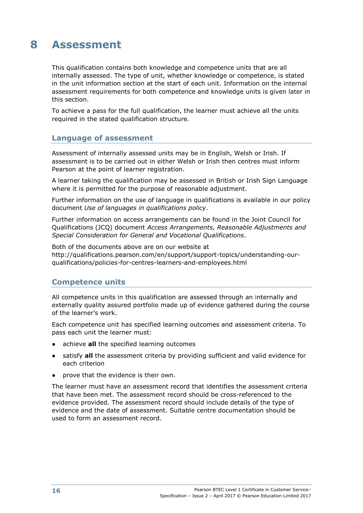# **8 Assessment**

This qualification contains both knowledge and competence units that are all internally assessed. The type of unit, whether knowledge or competence, is stated in the unit information section at the start of each unit. Information on the internal assessment requirements for both competence and knowledge units is given later in this section.

To achieve a pass for the full qualification, the learner must achieve all the units required in the stated qualification structure.

#### **Language of assessment**

Assessment of internally assessed units may be in English, Welsh or Irish. If assessment is to be carried out in either Welsh or Irish then centres must inform Pearson at the point of learner registration.

A learner taking the qualification may be assessed in British or Irish Sign Language where it is permitted for the purpose of reasonable adjustment.

Further information on the use of language in qualifications is available in our policy document *Use of languages in qualifications policy*.

Further information on access arrangements can be found in the Joint Council for Qualifications (JCQ) document *Access Arrangements, Reasonable Adjustments and Special Consideration for General and Vocational Qualifications*.

Both of the documents above are on our website at http://qualifications.pearson.com/en/support/support-topics/understanding-ourqualifications/policies-for-centres-learners-and-employees.html

#### **Competence units**

All competence units in this qualification are assessed through an internally and externally quality assured portfolio made up of evidence gathered during the course of the learner's work.

Each competence unit has specified learning outcomes and assessment criteria. To pass each unit the learner must:

- achieve **all** the specified learning outcomes
- satisfy **all** the assessment criteria by providing sufficient and valid evidence for each criterion
- prove that the evidence is their own.

The learner must have an assessment record that identifies the assessment criteria that have been met. The assessment record should be cross-referenced to the evidence provided. The assessment record should include details of the type of evidence and the date of assessment. Suitable centre documentation should be used to form an assessment record.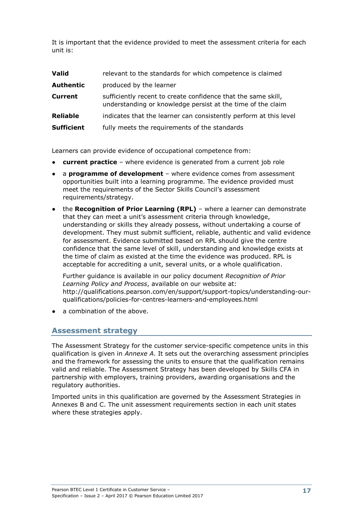It is important that the evidence provided to meet the assessment criteria for each unit is:

| <b>Valid</b>      | relevant to the standards for which competence is claimed                                                                    |
|-------------------|------------------------------------------------------------------------------------------------------------------------------|
| <b>Authentic</b>  | produced by the learner                                                                                                      |
| <b>Current</b>    | sufficiently recent to create confidence that the same skill,<br>understanding or knowledge persist at the time of the claim |
| <b>Reliable</b>   | indicates that the learner can consistently perform at this level                                                            |
| <b>Sufficient</b> | fully meets the requirements of the standards                                                                                |

Learners can provide evidence of occupational competence from:

- **current practice** where evidence is generated from a current job role
- a **programme of development** where evidence comes from assessment opportunities built into a learning programme. The evidence provided must meet the requirements of the Sector Skills Council's assessment requirements/strategy.
- the **Recognition of Prior Learning (RPL)** where a learner can demonstrate that they can meet a unit's assessment criteria through knowledge, understanding or skills they already possess, without undertaking a course of development. They must submit sufficient, reliable, authentic and valid evidence for assessment. Evidence submitted based on RPL should give the centre confidence that the same level of skill, understanding and knowledge exists at the time of claim as existed at the time the evidence was produced. RPL is acceptable for accrediting a unit, several units, or a whole qualification.

Further guidance is available in our policy document *Recognition of Prior Learning Policy and Process*, available on our website at: http://qualifications.pearson.com/en/support/support-topics/understanding-ourqualifications/policies-for-centres-learners-and-employees.html

a combination of the above.

#### **Assessment strategy**

The Assessment Strategy for the customer service-specific competence units in this qualification is given in *Annexe A*. It sets out the overarching assessment principles and the framework for assessing the units to ensure that the qualification remains valid and reliable. The Assessment Strategy has been developed by Skills CFA in partnership with employers, training providers, awarding organisations and the regulatory authorities.

Imported units in this qualification are governed by the Assessment Strategies in Annexes B and C. The unit assessment requirements section in each unit states where these strategies apply.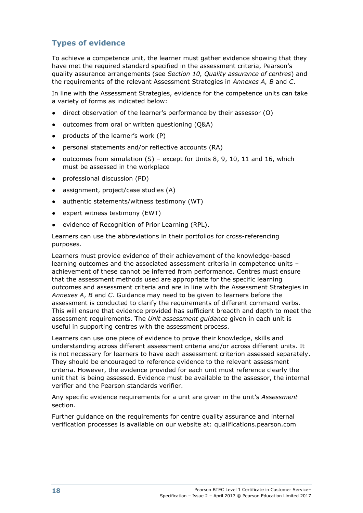# **Types of evidence**

To achieve a competence unit, the learner must gather evidence showing that they have met the required standard specified in the assessment criteria, Pearson's quality assurance arrangements (see *Section 10, Quality assurance of centres*) and the requirements of the relevant Assessment Strategies in *Annexes A, B* and *C*.

In line with the Assessment Strategies, evidence for the competence units can take a variety of forms as indicated below:

- direct observation of the learner's performance by their assessor  $(0)$
- outcomes from oral or written questioning (Q&A)
- products of the learner's work  $(P)$
- personal statements and/or reflective accounts (RA)
- outcomes from simulation  $(S)$  except for Units 8, 9, 10, 11 and 16, which must be assessed in the workplace
- professional discussion (PD)
- assignment, project/case studies (A)
- authentic statements/witness testimony (WT)
- expert witness testimony (EWT)
- evidence of Recognition of Prior Learning (RPL).

Learners can use the abbreviations in their portfolios for cross-referencing purposes.

Learners must provide evidence of their achievement of the knowledge-based learning outcomes and the associated assessment criteria in competence units – achievement of these cannot be inferred from performance. Centres must ensure that the assessment methods used are appropriate for the specific learning outcomes and assessment criteria and are in line with the Assessment Strategies in *Annexes A*, *B* and *C*. Guidance may need to be given to learners before the assessment is conducted to clarify the requirements of different command verbs. This will ensure that evidence provided has sufficient breadth and depth to meet the assessment requirements. The *Unit assessment guidance* given in each unit is useful in supporting centres with the assessment process.

Learners can use one piece of evidence to prove their knowledge, skills and understanding across different assessment criteria and/or across different units. It is not necessary for learners to have each assessment criterion assessed separately. They should be encouraged to reference evidence to the relevant assessment criteria. However, the evidence provided for each unit must reference clearly the unit that is being assessed. Evidence must be available to the assessor, the internal verifier and the Pearson standards verifier.

Any specific evidence requirements for a unit are given in the unit's *Assessment* section.

Further guidance on the requirements for centre quality assurance and internal verification processes is available on our website at: qualifications.pearson.com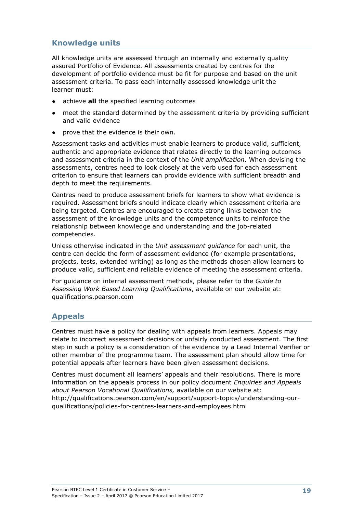# **Knowledge units**

All knowledge units are assessed through an internally and externally quality assured Portfolio of Evidence. All assessments created by centres for the development of portfolio evidence must be fit for purpose and based on the unit assessment criteria. To pass each internally assessed knowledge unit the learner must:

- achieve **all** the specified learning outcomes
- meet the standard determined by the assessment criteria by providing sufficient and valid evidence
- prove that the evidence is their own.

Assessment tasks and activities must enable learners to produce valid, sufficient, authentic and appropriate evidence that relates directly to the learning outcomes and assessment criteria in the context of the *Unit amplification*. When devising the assessments, centres need to look closely at the verb used for each assessment criterion to ensure that learners can provide evidence with sufficient breadth and depth to meet the requirements.

Centres need to produce assessment briefs for learners to show what evidence is required. Assessment briefs should indicate clearly which assessment criteria are being targeted. Centres are encouraged to create strong links between the assessment of the knowledge units and the competence units to reinforce the relationship between knowledge and understanding and the job-related competencies.

Unless otherwise indicated in the *Unit assessment guidance* for each unit, the centre can decide the form of assessment evidence (for example presentations, projects, tests, extended writing) as long as the methods chosen allow learners to produce valid, sufficient and reliable evidence of meeting the assessment criteria.

For guidance on internal assessment methods, please refer to the *Guide to Assessing Work Based Learning Qualifications*, available on our website at: qualifications.pearson.com

## **Appeals**

Centres must have a policy for dealing with appeals from learners. Appeals may relate to incorrect assessment decisions or unfairly conducted assessment. The first step in such a policy is a consideration of the evidence by a Lead Internal Verifier or other member of the programme team. The assessment plan should allow time for potential appeals after learners have been given assessment decisions.

Centres must document all learners' appeals and their resolutions. There is more information on the appeals process in our policy document *Enquiries and Appeals about Pearson Vocational Qualifications,* available on our website at: http://qualifications.pearson.com/en/support/support-topics/understanding-ourqualifications/policies-for-centres-learners-and-employees.html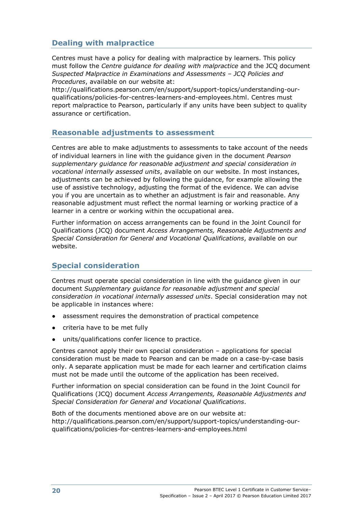# **Dealing with malpractice**

Centres must have a policy for dealing with malpractice by learners. This policy must follow the *Centre guidance for dealing with malpractice* and the JCQ document *Suspected Malpractice in Examinations and Assessments – JCQ Policies and Procedures*, available on our website at:

http://qualifications.pearson.com/en/support/support-topics/understanding-ourqualifications/policies-for-centres-learners-and-employees.html. Centres must report malpractice to Pearson, particularly if any units have been subject to quality assurance or certification.

## **Reasonable adjustments to assessment**

Centres are able to make adjustments to assessments to take account of the needs of individual learners in line with the guidance given in the document *Pearson supplementary guidance for reasonable adjustment and special consideration in vocational internally assessed units*, available on our website. In most instances, adjustments can be achieved by following the guidance, for example allowing the use of assistive technology, adjusting the format of the evidence. We can advise you if you are uncertain as to whether an adjustment is fair and reasonable. Any reasonable adjustment must reflect the normal learning or working practice of a learner in a centre or working within the occupational area.

Further information on access arrangements can be found in the Joint Council for Qualifications (JCQ) document *Access Arrangements, Reasonable Adjustments and Special Consideration for General and Vocational Qualifications*, available on our website.

## **Special consideration**

Centres must operate special consideration in line with the guidance given in our document *Supplementary guidance for reasonable adjustment and special consideration in vocational internally assessed units*. Special consideration may not be applicable in instances where:

- assessment requires the demonstration of practical competence
- criteria have to be met fully
- units/qualifications confer licence to practice.

Centres cannot apply their own special consideration – applications for special consideration must be made to Pearson and can be made on a case-by-case basis only. A separate application must be made for each learner and certification claims must not be made until the outcome of the application has been received.

Further information on special consideration can be found in the Joint Council for Qualifications (JCQ) document *Access Arrangements, Reasonable Adjustments and Special Consideration for General and Vocational Qualifications*.

Both of the documents mentioned above are on our website at: http://qualifications.pearson.com/en/support/support-topics/understanding-ourqualifications/policies-for-centres-learners-and-employees.html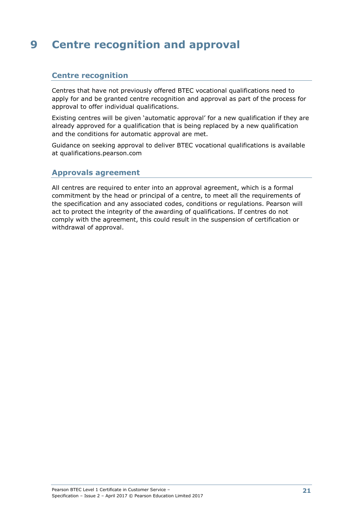# **9 Centre recognition and approval**

### **Centre recognition**

Centres that have not previously offered BTEC vocational qualifications need to apply for and be granted centre recognition and approval as part of the process for approval to offer individual qualifications.

Existing centres will be given 'automatic approval' for a new qualification if they are already approved for a qualification that is being replaced by a new qualification and the conditions for automatic approval are met.

Guidance on seeking approval to deliver BTEC vocational qualifications is available at qualifications.pearson.com

#### **Approvals agreement**

All centres are required to enter into an approval agreement, which is a formal commitment by the head or principal of a centre, to meet all the requirements of the specification and any associated codes, conditions or regulations. Pearson will act to protect the integrity of the awarding of qualifications. If centres do not comply with the agreement, this could result in the suspension of certification or withdrawal of approval.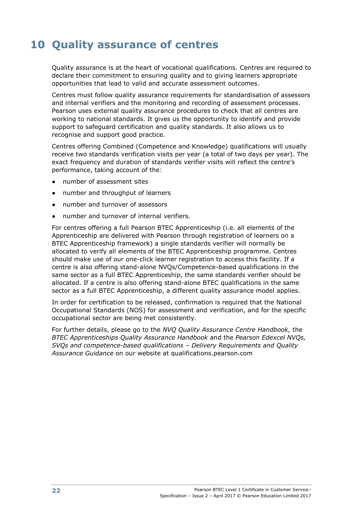# **10 Quality assurance of centres**

Quality assurance is at the heart of vocational qualifications. Centres are required to declare their commitment to ensuring quality and to giving learners appropriate opportunities that lead to valid and accurate assessment outcomes.

Centres must follow quality assurance requirements for standardisation of assessors and internal verifiers and the monitoring and recording of assessment processes. Pearson uses external quality assurance procedures to check that all centres are working to national standards. It gives us the opportunity to identify and provide support to safeguard certification and quality standards. It also allows us to recognise and support good practice.

Centres offering Combined (Competence and Knowledge) qualifications will usually receive two standards verification visits per year (a total of two days per year). The exact frequency and duration of standards verifier visits will reflect the centre's performance, taking account of the:

- number of assessment sites
- number and throughput of learners
- number and turnover of assessors
- number and turnover of internal verifiers.

For centres offering a full Pearson BTEC Apprenticeship (i.e. all elements of the Apprenticeship are delivered with Pearson through registration of learners on a BTEC Apprenticeship framework) a single standards verifier will normally be allocated to verify all elements of the BTEC Apprenticeship programme. Centres should make use of our one-click learner registration to access this facility. If a centre is also offering stand-alone NVQs/Competence-based qualifications in the same sector as a full BTEC Apprenticeship, the same standards verifier should be allocated. If a centre is also offering stand-alone BTEC qualifications in the same sector as a full BTEC Apprenticeship, a different quality assurance model applies.

In order for certification to be released, confirmation is required that the National Occupational Standards (NOS) for assessment and verification, and for the specific occupational sector are being met consistently.

For further details, please go to the *NVQ Quality Assurance Centre Handbook,* the *BTEC Apprenticeships Quality Assurance Handbook* and the *Pearson Edexcel NVQs, SVQs and competence-based qualifications – Delivery Requirements and Quality Assurance Guidance* on our website at qualifications.pearson.com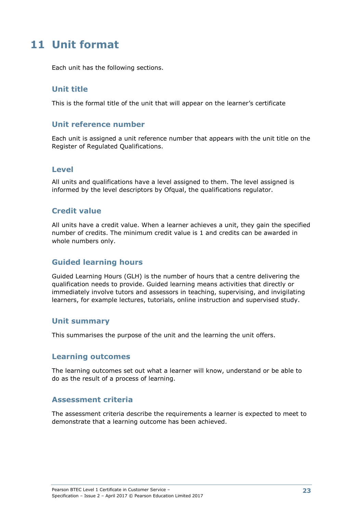# **11 Unit format**

Each unit has the following sections.

### **Unit title**

This is the formal title of the unit that will appear on the learner's certificate

#### **Unit reference number**

Each unit is assigned a unit reference number that appears with the unit title on the Register of Regulated Qualifications.

#### **Level**

All units and qualifications have a level assigned to them. The level assigned is informed by the level descriptors by Ofqual, the qualifications regulator.

### **Credit value**

All units have a credit value. When a learner achieves a unit, they gain the specified number of credits. The minimum credit value is 1 and credits can be awarded in whole numbers only.

## **Guided learning hours**

Guided Learning Hours (GLH) is the number of hours that a centre delivering the qualification needs to provide. Guided learning means activities that directly or immediately involve tutors and assessors in teaching, supervising, and invigilating learners, for example lectures, tutorials, online instruction and supervised study.

#### **Unit summary**

This summarises the purpose of the unit and the learning the unit offers.

#### **Learning outcomes**

The learning outcomes set out what a learner will know, understand or be able to do as the result of a process of learning.

#### **Assessment criteria**

The assessment criteria describe the requirements a learner is expected to meet to demonstrate that a learning outcome has been achieved.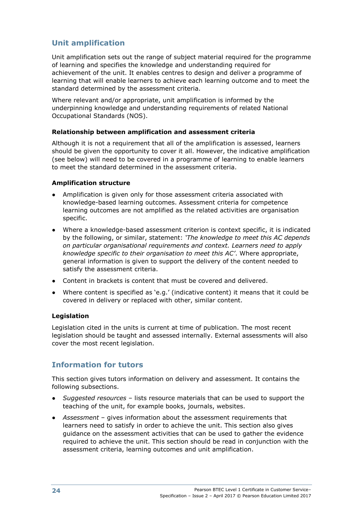# **Unit amplification**

Unit amplification sets out the range of subject material required for the programme of learning and specifies the knowledge and understanding required for achievement of the unit. It enables centres to design and deliver a programme of learning that will enable learners to achieve each learning outcome and to meet the standard determined by the assessment criteria.

Where relevant and/or appropriate, unit amplification is informed by the underpinning knowledge and understanding requirements of related National Occupational Standards (NOS).

#### **Relationship between amplification and assessment criteria**

Although it is not a requirement that all of the amplification is assessed, learners should be given the opportunity to cover it all. However, the indicative amplification (see below) will need to be covered in a programme of learning to enable learners to meet the standard determined in the assessment criteria.

#### **Amplification structure**

- Amplification is given only for those assessment criteria associated with knowledge-based learning outcomes. Assessment criteria for competence learning outcomes are not amplified as the related activities are organisation specific.
- Where a knowledge-based assessment criterion is context specific, it is indicated by the following, or similar, statement: *'The knowledge to meet this AC depends on particular organisational requirements and context. Learners need to apply knowledge specific to their organisation to meet this AC'*. Where appropriate, general information is given to support the delivery of the content needed to satisfy the assessment criteria.
- Content in brackets is content that must be covered and delivered.
- Where content is specified as 'e.g.' (indicative content) it means that it could be covered in delivery or replaced with other, similar content.

#### **Legislation**

Legislation cited in the units is current at time of publication. The most recent legislation should be taught and assessed internally. External assessments will also cover the most recent legislation.

## **Information for tutors**

This section gives tutors information on delivery and assessment. It contains the following subsections.

- *Suggested resources*  lists resource materials that can be used to support the teaching of the unit, for example books, journals, websites.
- *Assessment* gives information about the assessment requirements that learners need to satisfy in order to achieve the unit. This section also gives guidance on the assessment activities that can be used to gather the evidence required to achieve the unit. This section should be read in conjunction with the assessment criteria, learning outcomes and unit amplification.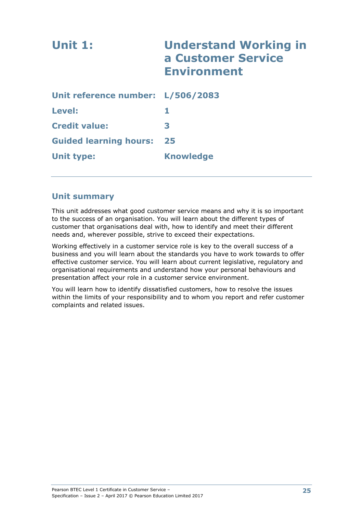| <b>Unit 1:</b>                    | <b>Understand Working in</b><br>a Customer Service<br><b>Environment</b> |
|-----------------------------------|--------------------------------------------------------------------------|
| Unit reference number: L/506/2083 |                                                                          |
| Level:                            | 1                                                                        |
| <b>Credit value:</b>              | 3                                                                        |
| <b>Guided learning hours:</b>     | 25                                                                       |
| Unit type:                        | <b>Knowledge</b>                                                         |
|                                   |                                                                          |

### **Unit summary**

This unit addresses what good customer service means and why it is so important to the success of an organisation. You will learn about the different types of customer that organisations deal with, how to identify and meet their different needs and, wherever possible, strive to exceed their expectations.

Working effectively in a customer service role is key to the overall success of a business and you will learn about the standards you have to work towards to offer effective customer service. You will learn about current legislative, regulatory and organisational requirements and understand how your personal behaviours and presentation affect your role in a customer service environment.

You will learn how to identify dissatisfied customers, how to resolve the issues within the limits of your responsibility and to whom you report and refer customer complaints and related issues.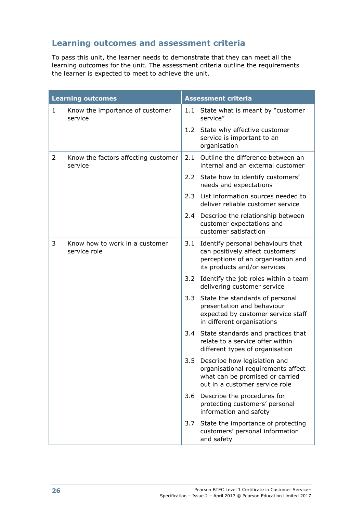# **Learning outcomes and assessment criteria**

To pass this unit, the learner needs to demonstrate that they can meet all the learning outcomes for the unit. The assessment criteria outline the requirements the learner is expected to meet to achieve the unit.

|   | <b>Learning outcomes</b>                       |     | <b>Assessment criteria</b>                                                                                                                      |
|---|------------------------------------------------|-----|-------------------------------------------------------------------------------------------------------------------------------------------------|
| 1 | Know the importance of customer<br>service     |     | 1.1 State what is meant by "customer<br>service"                                                                                                |
|   |                                                |     | 1.2 State why effective customer<br>service is important to an<br>organisation                                                                  |
| 2 | Know the factors affecting customer<br>service | 2.1 | Outline the difference between an<br>internal and an external customer                                                                          |
|   |                                                |     | 2.2 State how to identify customers'<br>needs and expectations                                                                                  |
|   |                                                | 2.3 | List information sources needed to<br>deliver reliable customer service                                                                         |
|   |                                                |     | 2.4 Describe the relationship between<br>customer expectations and<br>customer satisfaction                                                     |
| 3 | Know how to work in a customer<br>service role |     | 3.1 Identify personal behaviours that<br>can positively affect customers'<br>perceptions of an organisation and<br>its products and/or services |
|   |                                                |     | 3.2 Identify the job roles within a team<br>delivering customer service                                                                         |
|   |                                                | 3.3 | State the standards of personal<br>presentation and behaviour<br>expected by customer service staff<br>in different organisations               |
|   |                                                | 3.4 | State standards and practices that<br>relate to a service offer within<br>different types of organisation                                       |
|   |                                                | 3.5 | Describe how legislation and<br>organisational requirements affect<br>what can be promised or carried<br>out in a customer service role         |
|   |                                                | 3.6 | Describe the procedures for<br>protecting customers' personal<br>information and safety                                                         |
|   |                                                | 3.7 | State the importance of protecting<br>customers' personal information<br>and safety                                                             |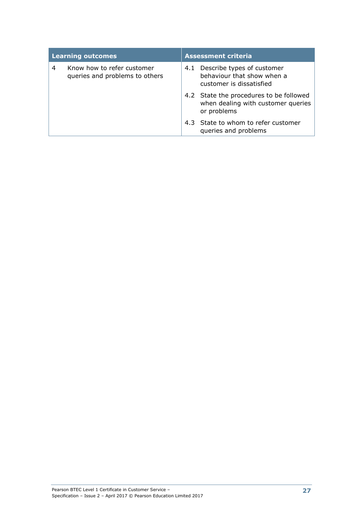| <b>Learning outcomes</b> |                                                              | <b>Assessment criteria</b> |                                                                                              |  |
|--------------------------|--------------------------------------------------------------|----------------------------|----------------------------------------------------------------------------------------------|--|
| 4                        | Know how to refer customer<br>queries and problems to others | 4.1                        | Describe types of customer<br>behaviour that show when a<br>customer is dissatisfied         |  |
|                          |                                                              |                            | 4.2 State the procedures to be followed<br>when dealing with customer queries<br>or problems |  |
|                          |                                                              |                            | 4.3 State to whom to refer customer<br>queries and problems                                  |  |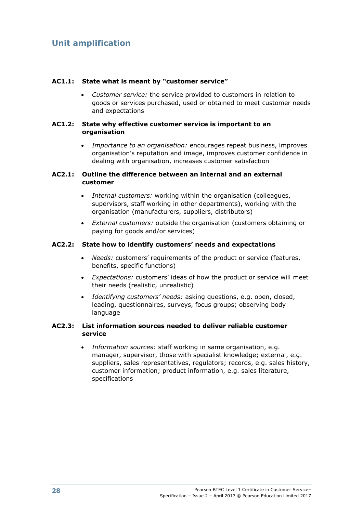#### **AC1.1: State what is meant by "customer service"**

 *Customer service:* the service provided to customers in relation to goods or services purchased, used or obtained to meet customer needs and expectations

#### **AC1.2: State why effective customer service is important to an organisation**

 *Importance to an organisation:* encourages repeat business, improves organisation's reputation and image, improves customer confidence in dealing with organisation, increases customer satisfaction

#### **AC2.1: Outline the difference between an internal and an external customer**

- *Internal customers:* working within the organisation (colleagues, supervisors, staff working in other departments), working with the organisation (manufacturers, suppliers, distributors)
- *External customers:* outside the organisation (customers obtaining or paying for goods and/or services)

#### **AC2.2: State how to identify customers' needs and expectations**

- *Needs:* customers' requirements of the product or service (features, benefits, specific functions)
- *Expectations:* customers' ideas of how the product or service will meet their needs (realistic, unrealistic)
- *Identifying customers' needs:* asking questions, e.g. open, closed, leading, questionnaires, surveys, focus groups; observing body language

#### **AC2.3: List information sources needed to deliver reliable customer service**

 *Information sources:* staff working in same organisation, e.g. manager, supervisor, those with specialist knowledge; external, e.g. suppliers, sales representatives, regulators; records, e.g. sales history, customer information; product information, e.g. sales literature, specifications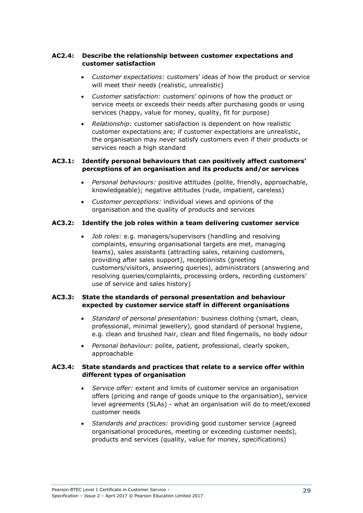## **AC2.4: Describe the relationship between customer expectations and customer satisfaction**

- *Customer expectations:* customers' ideas of how the product or service will meet their needs (realistic, unrealistic)
- *Customer satisfaction:* customers' opinions of how the product or service meets or exceeds their needs after purchasing goods or using services (happy, value for money, quality, fit for purpose)
- *Relationship:* customer satisfaction is dependent on how realistic customer expectations are; if customer expectations are unrealistic, the organisation may never satisfy customers even if their products or services reach a high standard

## **AC3.1: Identify personal behaviours that can positively affect customers' perceptions of an organisation and its products and/or services**

- *Personal behaviours:* positive attitudes (polite, friendly, approachable, knowledgeable); negative attitudes (rude, impatient, careless)
- *Customer perceptions:* individual views and opinions of the organisation and the quality of products and services

## **AC3.2: Identify the job roles within a team delivering customer service**

 *Job roles:* e.g. managers/supervisors (handling and resolving complaints, ensuring organisational targets are met, managing teams), sales assistants (attracting sales, retaining customers, providing after sales support), receptionists (greeting customers/visitors, answering queries), administrators (answering and resolving queries/complaints, processing orders, recording customers' use of service and sales history)

## **AC3.3: State the standards of personal presentation and behaviour expected by customer service staff in different organisations**

- *Standard of personal presentation:* business clothing (smart, clean, professional, minimal jewellery), good standard of personal hygiene, e.g. clean and brushed hair, clean and filed fingernails, no body odour
- *Personal behaviour:* polite, patient, professional, clearly spoken, approachable

## **AC3.4: State standards and practices that relate to a service offer within different types of organisation**

- *Service offer:* extent and limits of customer service an organisation offers (pricing and range of goods unique to the organisation), service level agreements (SLAs) - what an organisation will do to meet/exceed customer needs
- *Standards and practices:* providing good customer service (agreed organisational procedures, meeting or exceeding customer needs), products and services (quality, value for money, specifications)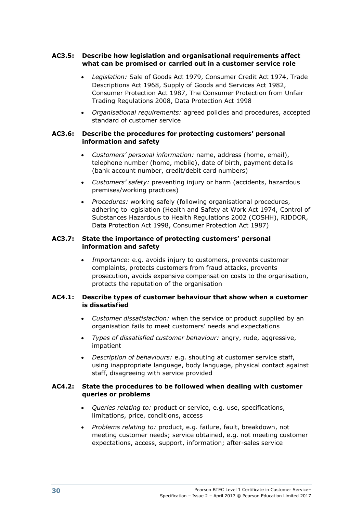## **AC3.5: Describe how legislation and organisational requirements affect what can be promised or carried out in a customer service role**

- *Legislation:* Sale of Goods Act 1979, Consumer Credit Act 1974, Trade Descriptions Act 1968, Supply of Goods and Services Act 1982, Consumer Protection Act 1987, The Consumer Protection from Unfair Trading Regulations 2008, Data Protection Act 1998
- *Organisational requirements:* agreed policies and procedures, accepted standard of customer service

## **AC3.6: Describe the procedures for protecting customers' personal information and safety**

- *Customers' personal information:* name, address (home, email), telephone number (home, mobile), date of birth, payment details (bank account number, credit/debit card numbers)
- *Customers' safety:* preventing injury or harm (accidents, hazardous premises/working practices)
- *Procedures:* working safely (following organisational procedures, adhering to legislation (Health and Safety at Work Act 1974, Control of Substances Hazardous to Health Regulations 2002 (COSHH), RIDDOR, Data Protection Act 1998, Consumer Protection Act 1987)

## **AC3.7: State the importance of protecting customers' personal information and safety**

 *Importance:* e.g. avoids injury to customers, prevents customer complaints, protects customers from fraud attacks, prevents prosecution, avoids expensive compensation costs to the organisation, protects the reputation of the organisation

## **AC4.1: Describe types of customer behaviour that show when a customer is dissatisfied**

- *Customer dissatisfaction:* when the service or product supplied by an organisation fails to meet customers' needs and expectations
- *Types of dissatisfied customer behaviour:* angry, rude, aggressive, impatient
- *Description of behaviours:* e.g. shouting at customer service staff, using inappropriate language, body language, physical contact against staff, disagreeing with service provided

## **AC4.2: State the procedures to be followed when dealing with customer queries or problems**

- *Queries relating to:* product or service, e.g. use, specifications, limitations, price, conditions, access
- *Problems relating to:* product, e.g. failure, fault, breakdown, not meeting customer needs; service obtained, e.g. not meeting customer expectations, access, support, information; after-sales service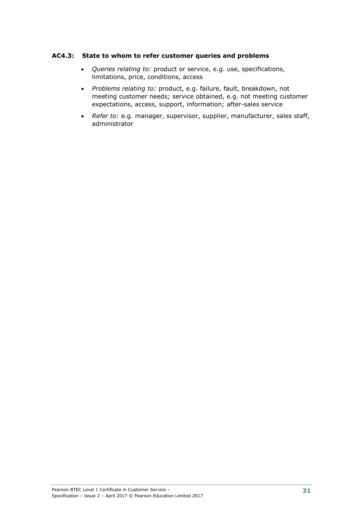### **AC4.3: State to whom to refer customer queries and problems**

- *Queries relating to:* product or service, e.g. use, specifications, limitations, price, conditions, access
- *Problems relating to:* product, e.g. failure, fault, breakdown, not meeting customer needs; service obtained, e.g. not meeting customer expectations, access, support, information; after-sales service
- *Refer to:* e.g. manager, supervisor, supplier, manufacturer, sales staff, administrator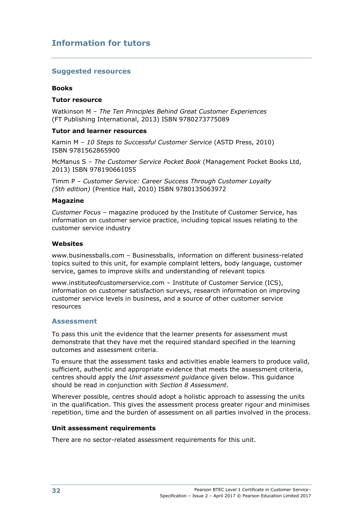## **Information for tutors**

## **Suggested resources**

#### **Books**

#### **Tutor resource**

Watkinson M – *The Ten Principles Behind Great Customer Experiences* (FT Publishing International, 2013) ISBN 9780273775089

#### **Tutor and learner resources**

Kamin M – *10 Steps to Successful Customer Service* (ASTD Press, 2010) ISBN 9781562865900

McManus S – *The Customer Service Pocket Book* (Management Pocket Books Ltd, 2013) ISBN 978190661055

Timm P – *Customer Service: Career Success Through Customer Loyalty (5th edition)* (Prentice Hall, 2010) ISBN 9780135063972

#### **Magazine**

*Customer Focus* – magazine produced by the Institute of Customer Service, has information on customer service practice, including topical issues relating to the customer service industry

#### **Websites**

www.businessballs.com – Businessballs, information on different business-related topics suited to this unit, for example complaint letters, body language, customer service, games to improve skills and understanding of relevant topics

www.instituteofcustomerservice.com – Institute of Customer Service (ICS), information on customer satisfaction surveys, research information on improving customer service levels in business, and a source of other customer service resources

#### **Assessment**

To pass this unit the evidence that the learner presents for assessment must demonstrate that they have met the required standard specified in the learning outcomes and assessment criteria.

To ensure that the assessment tasks and activities enable learners to produce valid, sufficient, authentic and appropriate evidence that meets the assessment criteria, centres should apply the *Unit assessment guidance* given below. This guidance should be read in conjunction with *Section 8 Assessment*.

Wherever possible, centres should adopt a holistic approach to assessing the units in the qualification. This gives the assessment process greater rigour and minimises repetition, time and the burden of assessment on all parties involved in the process.

#### **Unit assessment requirements**

There are no sector-related assessment requirements for this unit.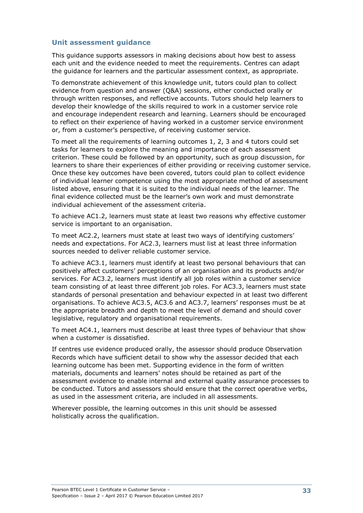### **Unit assessment guidance**

This guidance supports assessors in making decisions about how best to assess each unit and the evidence needed to meet the requirements. Centres can adapt the guidance for learners and the particular assessment context, as appropriate.

To demonstrate achievement of this knowledge unit, tutors could plan to collect evidence from question and answer (Q&A) sessions, either conducted orally or through written responses, and reflective accounts. Tutors should help learners to develop their knowledge of the skills required to work in a customer service role and encourage independent research and learning. Learners should be encouraged to reflect on their experience of having worked in a customer service environment or, from a customer's perspective, of receiving customer service.

To meet all the requirements of learning outcomes 1, 2, 3 and 4 tutors could set tasks for learners to explore the meaning and importance of each assessment criterion. These could be followed by an opportunity, such as group discussion, for learners to share their experiences of either providing or receiving customer service. Once these key outcomes have been covered, tutors could plan to collect evidence of individual learner competence using the most appropriate method of assessment listed above, ensuring that it is suited to the individual needs of the learner. The final evidence collected must be the learner's own work and must demonstrate individual achievement of the assessment criteria.

To achieve AC1.2, learners must state at least two reasons why effective customer service is important to an organisation.

To meet AC2.2, learners must state at least two ways of identifying customers' needs and expectations. For AC2.3, learners must list at least three information sources needed to deliver reliable customer service.

To achieve AC3.1, learners must identify at least two personal behaviours that can positively affect customers' perceptions of an organisation and its products and/or services. For AC3.2, learners must identify all job roles within a customer service team consisting of at least three different job roles. For AC3.3, learners must state standards of personal presentation and behaviour expected in at least two different organisations. To achieve AC3.5, AC3.6 and AC3.7, learners' responses must be at the appropriate breadth and depth to meet the level of demand and should cover legislative, regulatory and organisational requirements.

To meet AC4.1, learners must describe at least three types of behaviour that show when a customer is dissatisfied.

If centres use evidence produced orally, the assessor should produce Observation Records which have sufficient detail to show why the assessor decided that each learning outcome has been met. Supporting evidence in the form of written materials, documents and learners' notes should be retained as part of the assessment evidence to enable internal and external quality assurance processes to be conducted. Tutors and assessors should ensure that the correct operative verbs, as used in the assessment criteria, are included in all assessments.

Wherever possible, the learning outcomes in this unit should be assessed holistically across the qualification.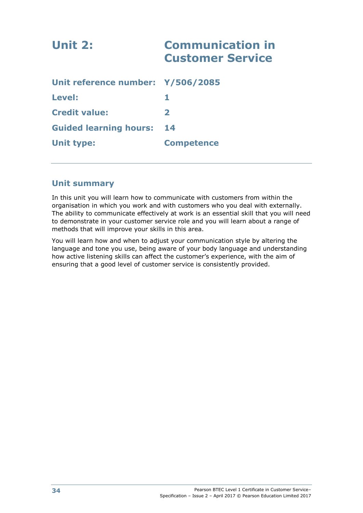| Unit 2:                           | <b>Communication in</b><br><b>Customer Service</b> |
|-----------------------------------|----------------------------------------------------|
| Unit reference number: Y/506/2085 |                                                    |
| Level:                            |                                                    |
| <b>Credit value:</b>              | $\mathbf{2}$                                       |
| <b>Guided learning hours:</b>     | 14                                                 |
| <b>Unit type:</b>                 | <b>Competence</b>                                  |
|                                   |                                                    |

## **Unit summary**

In this unit you will learn how to communicate with customers from within the organisation in which you work and with customers who you deal with externally. The ability to communicate effectively at work is an essential skill that you will need to demonstrate in your customer service role and you will learn about a range of methods that will improve your skills in this area.

You will learn how and when to adjust your communication style by altering the language and tone you use, being aware of your body language and understanding how active listening skills can affect the customer's experience, with the aim of ensuring that a good level of customer service is consistently provided.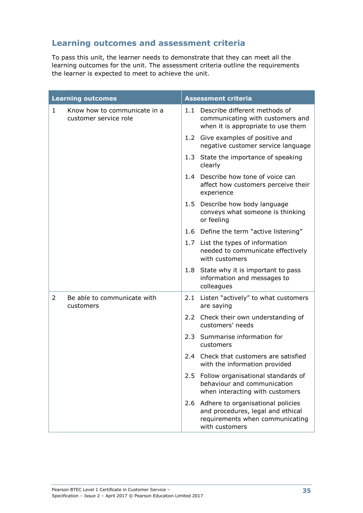# **Learning outcomes and assessment criteria**

To pass this unit, the learner needs to demonstrate that they can meet all the learning outcomes for the unit. The assessment criteria outline the requirements the learner is expected to meet to achieve the unit.

|              | <b>Learning outcomes</b>                              |     | <b>Assessment criteria</b>                                                                                                  |
|--------------|-------------------------------------------------------|-----|-----------------------------------------------------------------------------------------------------------------------------|
| $\mathbf{1}$ | Know how to communicate in a<br>customer service role | 1.1 | Describe different methods of<br>communicating with customers and<br>when it is appropriate to use them                     |
|              |                                                       |     | 1.2 Give examples of positive and<br>negative customer service language                                                     |
|              |                                                       |     | 1.3 State the importance of speaking<br>clearly                                                                             |
|              |                                                       |     | 1.4 Describe how tone of voice can<br>affect how customers perceive their<br>experience                                     |
|              |                                                       | 1.5 | Describe how body language<br>conveys what someone is thinking<br>or feeling                                                |
|              |                                                       |     | 1.6 Define the term "active listening"                                                                                      |
|              |                                                       |     | 1.7 List the types of information<br>needed to communicate effectively<br>with customers                                    |
|              |                                                       | 1.8 | State why it is important to pass<br>information and messages to<br>colleagues                                              |
| 2            | Be able to communicate with<br>customers              |     | 2.1 Listen "actively" to what customers<br>are saying                                                                       |
|              |                                                       |     | 2.2 Check their own understanding of<br>customers' needs                                                                    |
|              |                                                       | 2.3 | Summarise information for<br>customers                                                                                      |
|              |                                                       | 2.4 | Check that customers are satisfied<br>with the information provided                                                         |
|              |                                                       | 2.5 | Follow organisational standards of<br>behaviour and communication<br>when interacting with customers                        |
|              |                                                       | 2.6 | Adhere to organisational policies<br>and procedures, legal and ethical<br>requirements when communicating<br>with customers |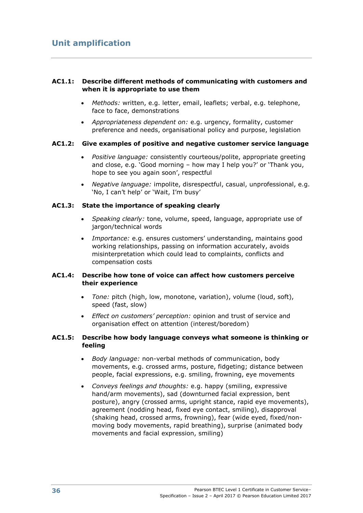## **AC1.1: Describe different methods of communicating with customers and when it is appropriate to use them**

- *Methods:* written, e.g. letter, email, leaflets; verbal, e.g. telephone, face to face, demonstrations
- *Appropriateness dependent on:* e.g. urgency, formality, customer preference and needs, organisational policy and purpose, legislation

#### **AC1.2: Give examples of positive and negative customer service language**

- *Positive language:* consistently courteous/polite, appropriate greeting and close, e.g. 'Good morning – how may I help you?' or 'Thank you, hope to see you again soon', respectful
- *Negative language:* impolite, disrespectful, casual, unprofessional, e.g. 'No, I can't help' or 'Wait, I'm busy'

### **AC1.3: State the importance of speaking clearly**

- *Speaking clearly:* tone, volume, speed, language, appropriate use of jargon/technical words
- *Importance:* e.g. ensures customers' understanding, maintains good working relationships, passing on information accurately, avoids misinterpretation which could lead to complaints, conflicts and compensation costs

### **AC1.4: Describe how tone of voice can affect how customers perceive their experience**

- *Tone:* pitch (high, low, monotone, variation), volume (loud, soft), speed (fast, slow)
- *Effect on customers' perception:* opinion and trust of service and organisation effect on attention (interest/boredom)

## **AC1.5: Describe how body language conveys what someone is thinking or feeling**

- *Body language:* non-verbal methods of communication, body movements, e.g. crossed arms, posture, fidgeting; distance between people, facial expressions, e.g. smiling, frowning, eye movements
- *Conveys feelings and thoughts:* e.g. happy (smiling, expressive hand/arm movements), sad (downturned facial expression, bent posture), angry (crossed arms, upright stance, rapid eye movements), agreement (nodding head, fixed eye contact, smiling), disapproval (shaking head, crossed arms, frowning), fear (wide eyed, fixed/nonmoving body movements, rapid breathing), surprise (animated body movements and facial expression, smiling)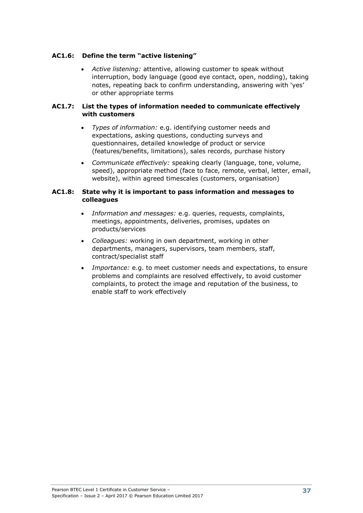## **AC1.6: Define the term "active listening"**

 *Active listening:* attentive, allowing customer to speak without interruption, body language (good eye contact, open, nodding), taking notes, repeating back to confirm understanding, answering with 'yes' or other appropriate terms

### **AC1.7: List the types of information needed to communicate effectively with customers**

- *Types of information:* e.g. identifying customer needs and expectations, asking questions, conducting surveys and questionnaires, detailed knowledge of product or service (features/benefits, limitations), sales records, purchase history
- *Communicate effectively:* speaking clearly (language, tone, volume, speed), appropriate method (face to face, remote, verbal, letter, email, website), within agreed timescales (customers, organisation)

### **AC1.8: State why it is important to pass information and messages to colleagues**

- *Information and messages:* e.g. queries, requests, complaints, meetings, appointments, deliveries, promises, updates on products/services
- *Colleagues:* working in own department, working in other departments, managers, supervisors, team members, staff, contract/specialist staff
- *Importance:* e.g. to meet customer needs and expectations, to ensure problems and complaints are resolved effectively, to avoid customer complaints, to protect the image and reputation of the business, to enable staff to work effectively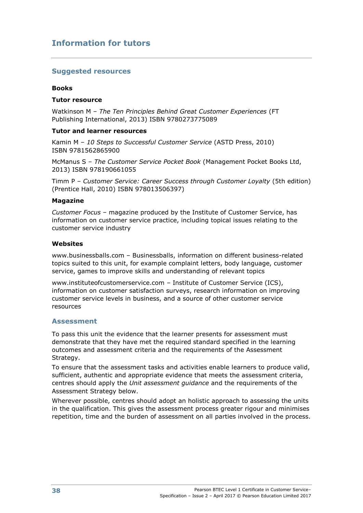## **Information for tutors**

### **Suggested resources**

#### **Books**

#### **Tutor resource**

Watkinson M – *The Ten Principles Behind Great Customer Experiences* (FT Publishing International, 2013) ISBN 9780273775089

#### **Tutor and learner resources**

Kamin M – *10 Steps to Successful Customer Service* (ASTD Press, 2010) ISBN 9781562865900

McManus S – *The Customer Service Pocket Book* (Management Pocket Books Ltd, 2013) ISBN 978190661055

Timm P – *Customer Service: Career Success through Customer Loyalty* (5th edition) (Prentice Hall, 2010) ISBN 978013506397)

#### **Magazine**

*Customer Focus* – magazine produced by the Institute of Customer Service, has information on customer service practice, including topical issues relating to the customer service industry

#### **Websites**

www.businessballs.com – Businessballs, information on different business-related topics suited to this unit, for example complaint letters, body language, customer service, games to improve skills and understanding of relevant topics

www.instituteofcustomerservice.com – Institute of Customer Service (ICS), information on customer satisfaction surveys, research information on improving customer service levels in business, and a source of other customer service resources

#### **Assessment**

To pass this unit the evidence that the learner presents for assessment must demonstrate that they have met the required standard specified in the learning outcomes and assessment criteria and the requirements of the Assessment Strategy.

To ensure that the assessment tasks and activities enable learners to produce valid, sufficient, authentic and appropriate evidence that meets the assessment criteria, centres should apply the *Unit assessment guidance* and the requirements of the Assessment Strategy below.

Wherever possible, centres should adopt an holistic approach to assessing the units in the qualification. This gives the assessment process greater rigour and minimises repetition, time and the burden of assessment on all parties involved in the process.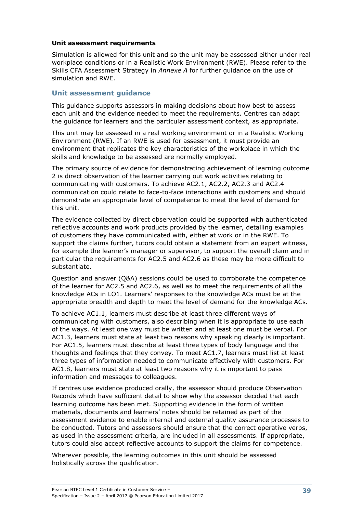#### **Unit assessment requirements**

Simulation is allowed for this unit and so the unit may be assessed either under real workplace conditions or in a Realistic Work Environment (RWE). Please refer to the Skills CFA Assessment Strategy in *Annexe A* for further guidance on the use of simulation and RWE.

## **Unit assessment guidance**

This guidance supports assessors in making decisions about how best to assess each unit and the evidence needed to meet the requirements. Centres can adapt the guidance for learners and the particular assessment context, as appropriate.

This unit may be assessed in a real working environment or in a Realistic Working Environment (RWE). If an RWE is used for assessment, it must provide an environment that replicates the key characteristics of the workplace in which the skills and knowledge to be assessed are normally employed.

The primary source of evidence for demonstrating achievement of learning outcome 2 is direct observation of the learner carrying out work activities relating to communicating with customers. To achieve AC2.1, AC2.2, AC2.3 and AC2.4 communication could relate to face-to-face interactions with customers and should demonstrate an appropriate level of competence to meet the level of demand for this unit.

The evidence collected by direct observation could be supported with authenticated reflective accounts and work products provided by the learner, detailing examples of customers they have communicated with, either at work or in the RWE. To support the claims further, tutors could obtain a statement from an expert witness, for example the learner's manager or supervisor, to support the overall claim and in particular the requirements for AC2.5 and AC2.6 as these may be more difficult to substantiate.

Question and answer (Q&A) sessions could be used to corroborate the competence of the learner for AC2.5 and AC2.6, as well as to meet the requirements of all the knowledge ACs in LO1. Learners' responses to the knowledge ACs must be at the appropriate breadth and depth to meet the level of demand for the knowledge ACs.

To achieve AC1.1, learners must describe at least three different ways of communicating with customers, also describing when it is appropriate to use each of the ways. At least one way must be written and at least one must be verbal. For AC1.3, learners must state at least two reasons why speaking clearly is important. For AC1.5, learners must describe at least three types of body language and the thoughts and feelings that they convey. To meet AC1.7, learners must list at least three types of information needed to communicate effectively with customers. For AC1.8, learners must state at least two reasons why it is important to pass information and messages to colleagues.

If centres use evidence produced orally, the assessor should produce Observation Records which have sufficient detail to show why the assessor decided that each learning outcome has been met. Supporting evidence in the form of written materials, documents and learners' notes should be retained as part of the assessment evidence to enable internal and external quality assurance processes to be conducted. Tutors and assessors should ensure that the correct operative verbs, as used in the assessment criteria, are included in all assessments. If appropriate, tutors could also accept reflective accounts to support the claims for competence.

Wherever possible, the learning outcomes in this unit should be assessed holistically across the qualification.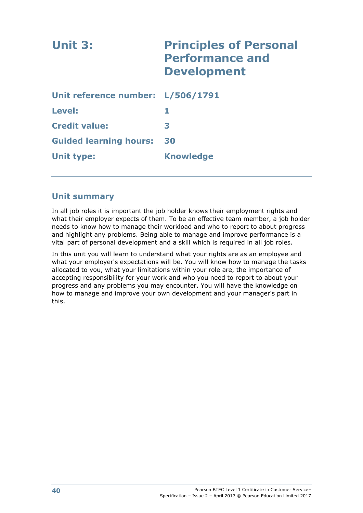| Unit 3:                           | <b>Principles of Personal</b><br><b>Performance and</b><br><b>Development</b> |
|-----------------------------------|-------------------------------------------------------------------------------|
| Unit reference number: L/506/1791 |                                                                               |
| Level:                            |                                                                               |
| <b>Credit value:</b>              | 3                                                                             |
| <b>Guided learning hours:</b>     | 30                                                                            |
| Unit type:                        | <b>Knowledge</b>                                                              |

## **Unit summary**

In all job roles it is important the job holder knows their employment rights and what their employer expects of them. To be an effective team member, a job holder needs to know how to manage their workload and who to report to about progress and highlight any problems. Being able to manage and improve performance is a vital part of personal development and a skill which is required in all job roles.

In this unit you will learn to understand what your rights are as an employee and what your employer's expectations will be. You will know how to manage the tasks allocated to you, what your limitations within your role are, the importance of accepting responsibility for your work and who you need to report to about your progress and any problems you may encounter. You will have the knowledge on how to manage and improve your own development and your manager's part in this.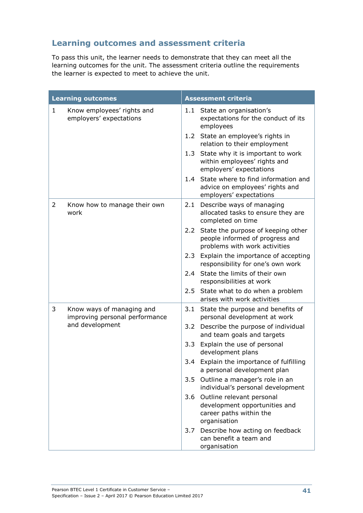## **Learning outcomes and assessment criteria**

To pass this unit, the learner needs to demonstrate that they can meet all the learning outcomes for the unit. The assessment criteria outline the requirements the learner is expected to meet to achieve the unit.

|              | <b>Learning outcomes</b>                                    |                  | <b>Assessment criteria</b>                                                                                |
|--------------|-------------------------------------------------------------|------------------|-----------------------------------------------------------------------------------------------------------|
| $\mathbf{1}$ | Know employees' rights and<br>employers' expectations       | 1.1              | State an organisation's<br>expectations for the conduct of its<br>employees                               |
|              |                                                             | 1.2              | State an employee's rights in<br>relation to their employment                                             |
|              |                                                             | 1.3              | State why it is important to work<br>within employees' rights and<br>employers' expectations              |
|              |                                                             | 1.4              | State where to find information and<br>advice on employees' rights and<br>employers' expectations         |
| 2            | Know how to manage their own<br>work                        | 2.1              | Describe ways of managing<br>allocated tasks to ensure they are<br>completed on time                      |
|              |                                                             | 2.2 <sub>2</sub> | State the purpose of keeping other<br>people informed of progress and<br>problems with work activities    |
|              |                                                             | 2.3              | Explain the importance of accepting<br>responsibility for one's own work                                  |
|              |                                                             |                  | 2.4 State the limits of their own<br>responsibilities at work                                             |
|              |                                                             | 2.5              | State what to do when a problem<br>arises with work activities                                            |
| 3            | Know ways of managing and<br>improving personal performance | 3.1              | State the purpose and benefits of<br>personal development at work                                         |
|              | and development                                             | 3.2              | Describe the purpose of individual<br>and team goals and targets                                          |
|              |                                                             | 3.3              | Explain the use of personal<br>development plans                                                          |
|              |                                                             | 3.4              | Explain the importance of fulfilling<br>a personal development plan                                       |
|              |                                                             | 3.5              | Outline a manager's role in an<br>individual's personal development                                       |
|              |                                                             |                  | 3.6 Outline relevant personal<br>development opportunities and<br>career paths within the<br>organisation |
|              |                                                             | 3.7              | Describe how acting on feedback<br>can benefit a team and<br>organisation                                 |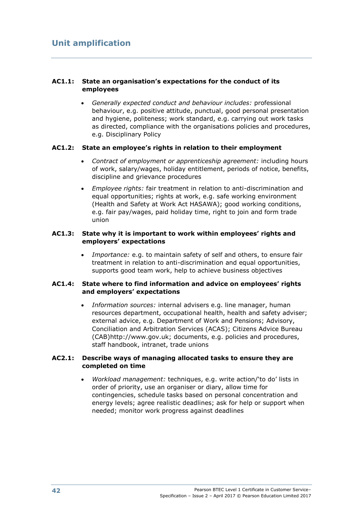## **AC1.1: State an organisation's expectations for the conduct of its employees**

 *Generally expected conduct and behaviour includes:* professional behaviour, e.g. positive attitude, punctual, good personal presentation and hygiene, politeness; work standard, e.g. carrying out work tasks as directed, compliance with the organisations policies and procedures, e.g. Disciplinary Policy

## **AC1.2: State an employee's rights in relation to their employment**

- *Contract of employment or apprenticeship agreement:* including hours of work, salary/wages, holiday entitlement, periods of notice, benefits, discipline and grievance procedures
- *Employee rights:* fair treatment in relation to anti-discrimination and equal opportunities; rights at work, e.g. safe working environment (Health and Safety at Work Act HASAWA); good working conditions, e.g. fair pay/wages, paid holiday time, right to join and form trade union

### **AC1.3: State why it is important to work within employees' rights and employers' expectations**

 *Importance:* e.g. to maintain safety of self and others, to ensure fair treatment in relation to anti-discrimination and equal opportunities, supports good team work, help to achieve business objectives

## **AC1.4: State where to find information and advice on employees' rights and employers' expectations**

 *Information sources:* internal advisers e.g. line manager, human resources department, occupational health, health and safety adviser; external advice, e.g. Department of Work and Pensions; Advisory, Conciliation and Arbitration Services (ACAS); Citizens Advice Bureau (CAB)http://www.gov.uk; documents, e.g. policies and procedures, staff handbook, intranet, trade unions

### **AC2.1: Describe ways of managing allocated tasks to ensure they are completed on time**

 *Workload management:* techniques, e.g. write action/'to do' lists in order of priority, use an organiser or diary, allow time for contingencies, schedule tasks based on personal concentration and energy levels; agree realistic deadlines; ask for help or support when needed; monitor work progress against deadlines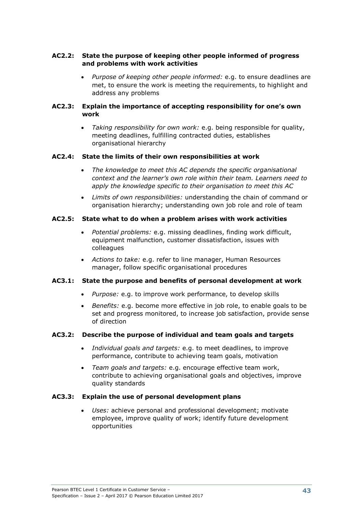## **AC2.2: State the purpose of keeping other people informed of progress and problems with work activities**

 *Purpose of keeping other people informed:* e.g. to ensure deadlines are met, to ensure the work is meeting the requirements, to highlight and address any problems

### **AC2.3: Explain the importance of accepting responsibility for one's own work**

 *Taking responsibility for own work:* e.g. being responsible for quality, meeting deadlines, fulfilling contracted duties, establishes organisational hierarchy

## **AC2.4: State the limits of their own responsibilities at work**

- *The knowledge to meet this AC depends the specific organisational context and the learner's own role within their team. Learners need to apply the knowledge specific to their organisation to meet this AC*
- *Limits of own responsibilities:* understanding the chain of command or organisation hierarchy; understanding own job role and role of team

## **AC2.5: State what to do when a problem arises with work activities**

- *Potential problems:* e.g. missing deadlines, finding work difficult, equipment malfunction, customer dissatisfaction, issues with colleagues
- *Actions to take:* e.g. refer to line manager, Human Resources manager, follow specific organisational procedures

## **AC3.1: State the purpose and benefits of personal development at work**

- *Purpose:* e.g. to improve work performance, to develop skills
- *Benefits:* e.g. become more effective in job role, to enable goals to be set and progress monitored, to increase job satisfaction, provide sense of direction

## **AC3.2: Describe the purpose of individual and team goals and targets**

- *Individual goals and targets:* e.g. to meet deadlines, to improve performance, contribute to achieving team goals, motivation
- *Team goals and targets:* e.g. encourage effective team work, contribute to achieving organisational goals and objectives, improve quality standards

## **AC3.3: Explain the use of personal development plans**

 *Uses:* achieve personal and professional development; motivate employee, improve quality of work; identify future development opportunities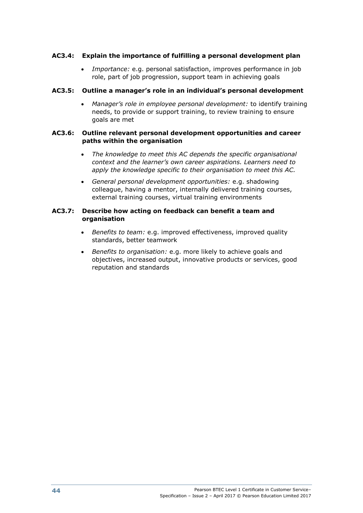## **AC3.4: Explain the importance of fulfilling a personal development plan**

 *Importance:* e.g. personal satisfaction, improves performance in job role, part of job progression, support team in achieving goals

### **AC3.5: Outline a manager's role in an individual's personal development**

 *Manager's role in employee personal development:* to identify training needs, to provide or support training, to review training to ensure goals are met

#### **AC3.6: Outline relevant personal development opportunities and career paths within the organisation**

- *The knowledge to meet this AC depends the specific organisational context and the learner's own career aspirations. Learners need to apply the knowledge specific to their organisation to meet this AC.*
- *General personal development opportunities:* e.g. shadowing colleague, having a mentor, internally delivered training courses, external training courses, virtual training environments

#### **AC3.7: Describe how acting on feedback can benefit a team and organisation**

- *Benefits to team:* e.g. improved effectiveness, improved quality standards, better teamwork
- *Benefits to organisation:* e.g. more likely to achieve goals and objectives, increased output, innovative products or services, good reputation and standards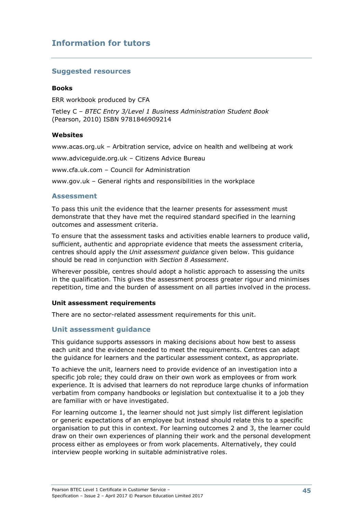# **Information for tutors**

## **Suggested resources**

#### **Books**

ERR workbook produced by CFA

Tetley C – *BTEC Entry 3/Level 1 Business Administration Student Book* (Pearson, 2010) ISBN 9781846909214

#### **Websites**

www.acas.org.uk – Arbitration service, advice on health and wellbeing at work

www.adviceguide.org.uk – Citizens Advice Bureau

www.cfa.uk.com – Council for Administration

www.gov.uk – General rights and responsibilities in the workplace

#### **Assessment**

To pass this unit the evidence that the learner presents for assessment must demonstrate that they have met the required standard specified in the learning outcomes and assessment criteria.

To ensure that the assessment tasks and activities enable learners to produce valid, sufficient, authentic and appropriate evidence that meets the assessment criteria, centres should apply the *Unit assessment guidance* given below. This guidance should be read in conjunction with *Section 8 Assessment*.

Wherever possible, centres should adopt a holistic approach to assessing the units in the qualification. This gives the assessment process greater rigour and minimises repetition, time and the burden of assessment on all parties involved in the process.

#### **Unit assessment requirements**

There are no sector-related assessment requirements for this unit.

## **Unit assessment guidance**

This guidance supports assessors in making decisions about how best to assess each unit and the evidence needed to meet the requirements. Centres can adapt the guidance for learners and the particular assessment context, as appropriate.

To achieve the unit, learners need to provide evidence of an investigation into a specific job role; they could draw on their own work as employees or from work experience. It is advised that learners do not reproduce large chunks of information verbatim from company handbooks or legislation but contextualise it to a job they are familiar with or have investigated.

For learning outcome 1, the learner should not just simply list different legislation or generic expectations of an employee but instead should relate this to a specific organisation to put this in context. For learning outcomes 2 and 3, the learner could draw on their own experiences of planning their work and the personal development process either as employees or from work placements. Alternatively, they could interview people working in suitable administrative roles.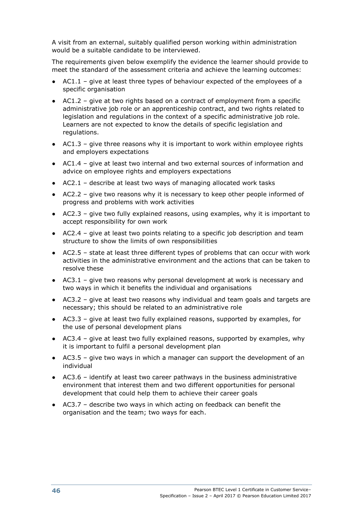A visit from an external, suitably qualified person working within administration would be a suitable candidate to be interviewed.

The requirements given below exemplify the evidence the learner should provide to meet the standard of the assessment criteria and achieve the learning outcomes:

- $AC1.1$  give at least three types of behaviour expected of the employees of a specific organisation
- $\bullet$  AC1.2 give at two rights based on a contract of employment from a specific administrative job role or an apprenticeship contract, and two rights related to legislation and regulations in the context of a specific administrative job role. Learners are not expected to know the details of specific legislation and regulations.
- $\bullet$  AC1.3 give three reasons why it is important to work within employee rights and employers expectations
- AC1.4 give at least two internal and two external sources of information and advice on employee rights and employers expectations
- $AC2.1$  describe at least two ways of managing allocated work tasks
- AC2.2 give two reasons why it is necessary to keep other people informed of progress and problems with work activities
- AC2.3 give two fully explained reasons, using examples, why it is important to accept responsibility for own work
- AC2.4 give at least two points relating to a specific job description and team structure to show the limits of own responsibilities
- AC2.5 state at least three different types of problems that can occur with work activities in the administrative environment and the actions that can be taken to resolve these
- $\bullet$  AC3.1 give two reasons why personal development at work is necessary and two ways in which it benefits the individual and organisations
- AC3.2 give at least two reasons why individual and team goals and targets are necessary; this should be related to an administrative role
- AC3.3 give at least two fully explained reasons, supported by examples, for the use of personal development plans
- $\bullet$  AC3.4 give at least two fully explained reasons, supported by examples, why it is important to fulfil a personal development plan
- AC3.5 give two ways in which a manager can support the development of an individual
- AC3.6 identify at least two career pathways in the business administrative environment that interest them and two different opportunities for personal development that could help them to achieve their career goals
- $\bullet$  AC3.7 describe two ways in which acting on feedback can benefit the organisation and the team; two ways for each.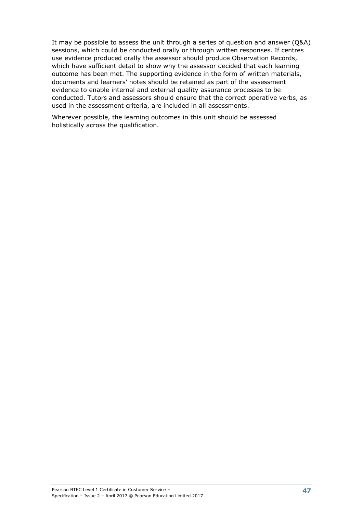It may be possible to assess the unit through a series of question and answer (Q&A) sessions, which could be conducted orally or through written responses. If centres use evidence produced orally the assessor should produce Observation Records, which have sufficient detail to show why the assessor decided that each learning outcome has been met. The supporting evidence in the form of written materials, documents and learners' notes should be retained as part of the assessment evidence to enable internal and external quality assurance processes to be conducted. Tutors and assessors should ensure that the correct operative verbs, as used in the assessment criteria, are included in all assessments.

Wherever possible, the learning outcomes in this unit should be assessed holistically across the qualification.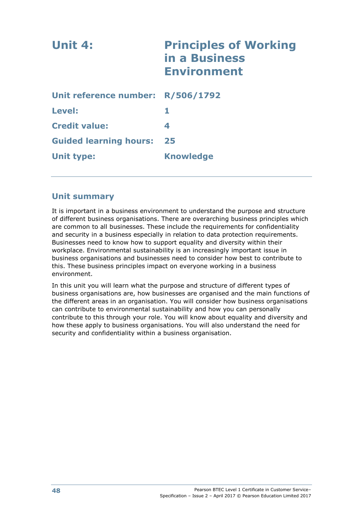| Unit 4:                           | <b>Principles of Working</b><br>in a Business<br><b>Environment</b> |
|-----------------------------------|---------------------------------------------------------------------|
| Unit reference number: R/506/1792 |                                                                     |
| Level:                            | 1                                                                   |
| <b>Credit value:</b>              | 4                                                                   |
| <b>Guided learning hours:</b>     | 25                                                                  |
| <b>Unit type:</b>                 | <b>Knowledge</b>                                                    |

## **Unit summary**

It is important in a business environment to understand the purpose and structure of different business organisations. There are overarching business principles which are common to all businesses. These include the requirements for confidentiality and security in a business especially in relation to data protection requirements. Businesses need to know how to support equality and diversity within their workplace. Environmental sustainability is an increasingly important issue in business organisations and businesses need to consider how best to contribute to this. These business principles impact on everyone working in a business environment.

In this unit you will learn what the purpose and structure of different types of business organisations are, how businesses are organised and the main functions of the different areas in an organisation. You will consider how business organisations can contribute to environmental sustainability and how you can personally contribute to this through your role. You will know about equality and diversity and how these apply to business organisations. You will also understand the need for security and confidentiality within a business organisation.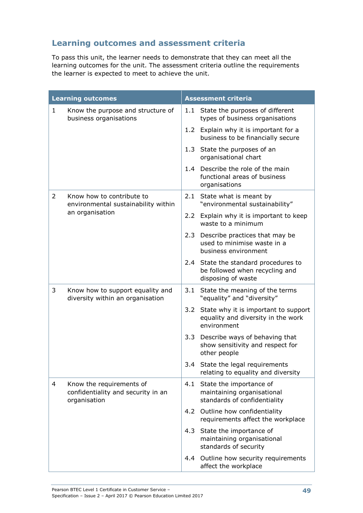# **Learning outcomes and assessment criteria**

To pass this unit, the learner needs to demonstrate that they can meet all the learning outcomes for the unit. The assessment criteria outline the requirements the learner is expected to meet to achieve the unit.

| <b>Learning outcomes</b> |                                                                                | <b>Assessment criteria</b> |                                                                                               |  |
|--------------------------|--------------------------------------------------------------------------------|----------------------------|-----------------------------------------------------------------------------------------------|--|
| $\mathbf{1}$             | Know the purpose and structure of<br>business organisations                    |                            | 1.1 State the purposes of different<br>types of business organisations                        |  |
|                          |                                                                                |                            | 1.2 Explain why it is important for a<br>business to be financially secure                    |  |
|                          |                                                                                |                            | 1.3 State the purposes of an<br>organisational chart                                          |  |
|                          |                                                                                |                            | 1.4 Describe the role of the main<br>functional areas of business<br>organisations            |  |
| 2                        | Know how to contribute to<br>environmental sustainability within               | 2.1                        | State what is meant by<br>"environmental sustainability"                                      |  |
|                          | an organisation                                                                |                            | 2.2 Explain why it is important to keep<br>waste to a minimum                                 |  |
|                          |                                                                                |                            | 2.3 Describe practices that may be<br>used to minimise waste in a<br>business environment     |  |
|                          |                                                                                | 2.4                        | State the standard procedures to<br>be followed when recycling and<br>disposing of waste      |  |
| 3                        | Know how to support equality and<br>diversity within an organisation           | 3.1                        | State the meaning of the terms<br>"equality" and "diversity"                                  |  |
|                          |                                                                                |                            | 3.2 State why it is important to support<br>equality and diversity in the work<br>environment |  |
|                          |                                                                                |                            | 3.3 Describe ways of behaving that<br>show sensitivity and respect for<br>other people        |  |
|                          |                                                                                |                            | 3.4 State the legal requirements<br>relating to equality and diversity                        |  |
| $\overline{4}$           | Know the requirements of<br>confidentiality and security in an<br>organisation | 4.1                        | State the importance of<br>maintaining organisational<br>standards of confidentiality         |  |
|                          |                                                                                |                            | 4.2 Outline how confidentiality<br>requirements affect the workplace                          |  |
|                          |                                                                                | 4.3                        | State the importance of<br>maintaining organisational<br>standards of security                |  |
|                          |                                                                                | 4.4                        | Outline how security requirements<br>affect the workplace                                     |  |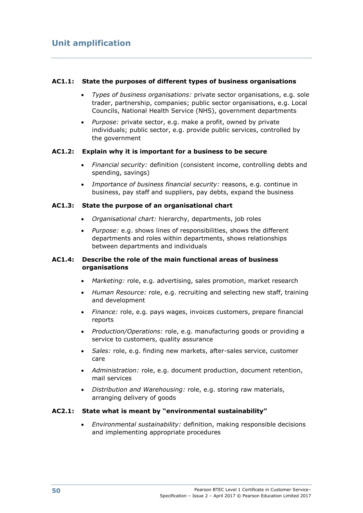## **AC1.1: State the purposes of different types of business organisations**

- *Types of business organisations:* private sector organisations, e.g. sole trader, partnership, companies; public sector organisations, e.g. Local Councils, National Health Service (NHS), government departments
- *Purpose:* private sector, e.g. make a profit, owned by private individuals; public sector, e.g. provide public services, controlled by the government

#### **AC1.2: Explain why it is important for a business to be secure**

- *Financial security:* definition (consistent income, controlling debts and spending, savings)
- *Importance of business financial security:* reasons, e.g. continue in business, pay staff and suppliers, pay debts, expand the business

### **AC1.3: State the purpose of an organisational chart**

- *Organisational chart:* hierarchy, departments, job roles
- *Purpose:* e.g. shows lines of responsibilities, shows the different departments and roles within departments, shows relationships between departments and individuals

### **AC1.4: Describe the role of the main functional areas of business organisations**

- *Marketing:* role, e.g. advertising, sales promotion, market research
- *Human Resource:* role, e.g. recruiting and selecting new staff, training and development
- *Finance:* role, e.g. pays wages, invoices customers, prepare financial reports
- *Production/Operations:* role, e.g. manufacturing goods or providing a service to customers, quality assurance
- *Sales:* role, e.g. finding new markets, after-sales service, customer care
- *Administration:* role, e.g. document production, document retention, mail services
- *Distribution and Warehousing:* role, e.g. storing raw materials, arranging delivery of goods

#### **AC2.1: State what is meant by "environmental sustainability"**

 *Environmental sustainability:* definition, making responsible decisions and implementing appropriate procedures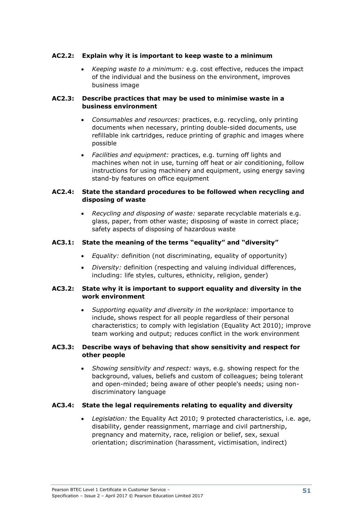## **AC2.2: Explain why it is important to keep waste to a minimum**

 *Keeping waste to a minimum:* e.g. cost effective, reduces the impact of the individual and the business on the environment, improves business image

## **AC2.3: Describe practices that may be used to minimise waste in a business environment**

- *Consumables and resources:* practices, e.g. recycling, only printing documents when necessary, printing double-sided documents, use refillable ink cartridges, reduce printing of graphic and images where possible
- *Facilities and equipment:* practices, e.g. turning off lights and machines when not in use, turning off heat or air conditioning, follow instructions for using machinery and equipment, using energy saving stand-by features on office equipment

#### **AC2.4: State the standard procedures to be followed when recycling and disposing of waste**

 *Recycling and disposing of waste:* separate recyclable materials e.g. glass, paper, from other waste; disposing of waste in correct place; safety aspects of disposing of hazardous waste

### **AC3.1: State the meaning of the terms "equality" and "diversity"**

- *Equality:* definition (not discriminating, equality of opportunity)
- *Diversity:* definition (respecting and valuing individual differences, including: life styles, cultures, ethnicity, religion, gender)

#### **AC3.2: State why it is important to support equality and diversity in the work environment**

 *Supporting equality and diversity in the workplace:* importance to include, shows respect for all people regardless of their personal characteristics; to comply with legislation (Equality Act 2010); improve team working and output; reduces conflict in the work environment

### **AC3.3: Describe ways of behaving that show sensitivity and respect for other people**

 *Showing sensitivity and respect:* ways, e.g. showing respect for the background, values, beliefs and custom of colleagues; being tolerant and open-minded; being aware of other people's needs; using nondiscriminatory language

#### **AC3.4: State the legal requirements relating to equality and diversity**

 *Legislation:* the Equality Act 2010; 9 protected characteristics, i.e. age, disability, gender reassignment, marriage and civil partnership, pregnancy and maternity, race, religion or belief, sex, sexual orientation; discrimination (harassment, victimisation, indirect)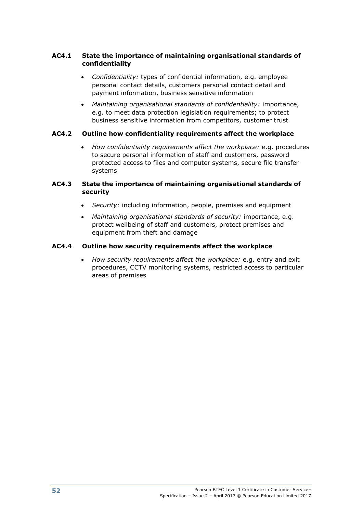## **AC4.1 State the importance of maintaining organisational standards of confidentiality**

- *Confidentiality:* types of confidential information, e.g. employee personal contact details, customers personal contact detail and payment information, business sensitive information
- *Maintaining organisational standards of confidentiality:* importance, e.g. to meet data protection legislation requirements; to protect business sensitive information from competitors, customer trust

## **AC4.2 Outline how confidentiality requirements affect the workplace**

 *How confidentiality requirements affect the workplace:* e.g. procedures to secure personal information of staff and customers, password protected access to files and computer systems, secure file transfer systems

## **AC4.3 State the importance of maintaining organisational standards of security**

- *Security:* including information, people, premises and equipment
- *Maintaining organisational standards of security:* importance, e.g. protect wellbeing of staff and customers, protect premises and equipment from theft and damage

## **AC4.4 Outline how security requirements affect the workplace**

 *How security requirements affect the workplace:* e.g. entry and exit procedures, CCTV monitoring systems, restricted access to particular areas of premises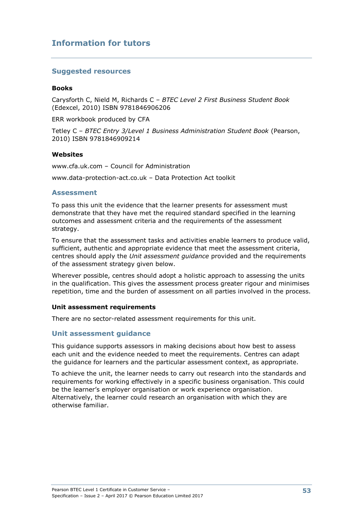## **Information for tutors**

## **Suggested resources**

#### **Books**

Carysforth C, Nield M, Richards C – *BTEC Level 2 First Business Student Book* (Edexcel, 2010) ISBN 9781846906206

ERR workbook produced by CFA

Tetley C – *BTEC Entry 3/Level 1 Business Administration Student Book* (Pearson, 2010) ISBN 9781846909214

#### **Websites**

www.cfa.uk.com – Council for Administration www.data-protection-act.co.uk – Data Protection Act toolkit

### **Assessment**

To pass this unit the evidence that the learner presents for assessment must demonstrate that they have met the required standard specified in the learning outcomes and assessment criteria and the requirements of the assessment strategy.

To ensure that the assessment tasks and activities enable learners to produce valid, sufficient, authentic and appropriate evidence that meet the assessment criteria, centres should apply the *Unit assessment guidance* provided and the requirements of the assessment strategy given below.

Wherever possible, centres should adopt a holistic approach to assessing the units in the qualification. This gives the assessment process greater rigour and minimises repetition, time and the burden of assessment on all parties involved in the process.

#### **Unit assessment requirements**

There are no sector-related assessment requirements for this unit.

## **Unit assessment guidance**

This guidance supports assessors in making decisions about how best to assess each unit and the evidence needed to meet the requirements. Centres can adapt the guidance for learners and the particular assessment context, as appropriate.

To achieve the unit, the learner needs to carry out research into the standards and requirements for working effectively in a specific business organisation. This could be the learner's employer organisation or work experience organisation. Alternatively, the learner could research an organisation with which they are otherwise familiar.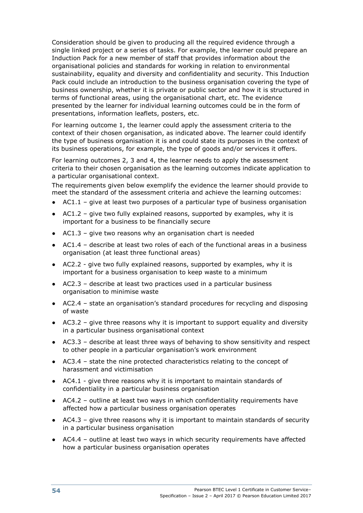Consideration should be given to producing all the required evidence through a single linked project or a series of tasks. For example, the learner could prepare an Induction Pack for a new member of staff that provides information about the organisational policies and standards for working in relation to environmental sustainability, equality and diversity and confidentiality and security. This Induction Pack could include an introduction to the business organisation covering the type of business ownership, whether it is private or public sector and how it is structured in terms of functional areas, using the organisational chart, etc. The evidence presented by the learner for individual learning outcomes could be in the form of presentations, information leaflets, posters, etc.

For learning outcome 1, the learner could apply the assessment criteria to the context of their chosen organisation, as indicated above. The learner could identify the type of business organisation it is and could state its purposes in the context of its business operations, for example, the type of goods and/or services it offers.

For learning outcomes 2, 3 and 4, the learner needs to apply the assessment criteria to their chosen organisation as the learning outcomes indicate application to a particular organisational context.

The requirements given below exemplify the evidence the learner should provide to meet the standard of the assessment criteria and achieve the learning outcomes:

- AC1.1 give at least two purposes of a particular type of business organisation
- $AC1.2$  give two fully explained reasons, supported by examples, why it is important for a business to be financially secure
- AC1.3 give two reasons why an organisation chart is needed
- AC1.4 describe at least two roles of each of the functional areas in a business organisation (at least three functional areas)
- AC2.2 give two fully explained reasons, supported by examples, why it is important for a business organisation to keep waste to a minimum
- $\bullet$  AC2.3 describe at least two practices used in a particular business organisation to minimise waste
- AC2.4 state an organisation's standard procedures for recycling and disposing of waste
- AC3.2 give three reasons why it is important to support equality and diversity in a particular business organisational context
- $\bullet$  AC3.3 describe at least three ways of behaving to show sensitivity and respect to other people in a particular organisation's work environment
- AC3.4 state the nine protected characteristics relating to the concept of harassment and victimisation
- AC4.1 give three reasons why it is important to maintain standards of confidentiality in a particular business organisation
- AC4.2 outline at least two ways in which confidentiality requirements have affected how a particular business organisation operates
- AC4.3 give three reasons why it is important to maintain standards of security in a particular business organisation
- AC4.4 outline at least two ways in which security requirements have affected how a particular business organisation operates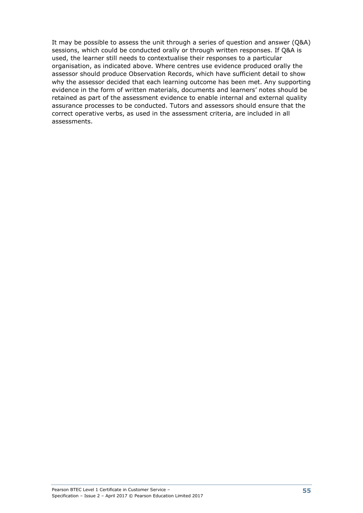It may be possible to assess the unit through a series of question and answer (Q&A) sessions, which could be conducted orally or through written responses. If Q&A is used, the learner still needs to contextualise their responses to a particular organisation, as indicated above. Where centres use evidence produced orally the assessor should produce Observation Records, which have sufficient detail to show why the assessor decided that each learning outcome has been met. Any supporting evidence in the form of written materials, documents and learners' notes should be retained as part of the assessment evidence to enable internal and external quality assurance processes to be conducted. Tutors and assessors should ensure that the correct operative verbs, as used in the assessment criteria, are included in all assessments.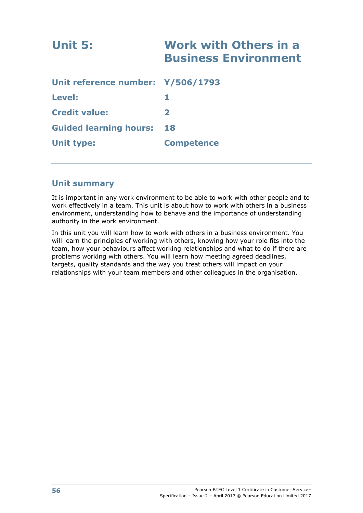| Unit 5:                           | <b>Work with Others in a</b><br><b>Business Environment</b> |
|-----------------------------------|-------------------------------------------------------------|
| Unit reference number: Y/506/1793 |                                                             |
| <b>Level:</b>                     | 1.                                                          |
| <b>Credit value:</b>              | $\mathbf{2}$                                                |
| <b>Guided learning hours:</b>     | 18                                                          |
| <b>Unit type:</b>                 | <b>Competence</b>                                           |

## **Unit summary**

It is important in any work environment to be able to work with other people and to work effectively in a team. This unit is about how to work with others in a business environment, understanding how to behave and the importance of understanding authority in the work environment.

In this unit you will learn how to work with others in a business environment. You will learn the principles of working with others, knowing how your role fits into the team, how your behaviours affect working relationships and what to do if there are problems working with others. You will learn how meeting agreed deadlines, targets, quality standards and the way you treat others will impact on your relationships with your team members and other colleagues in the organisation.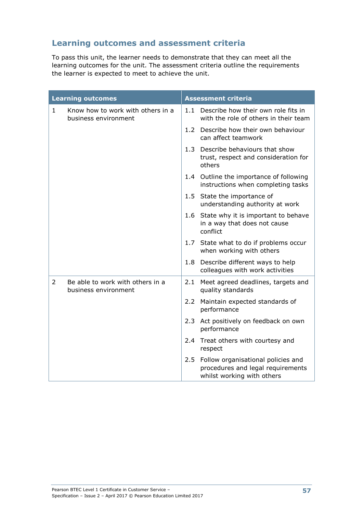# **Learning outcomes and assessment criteria**

To pass this unit, the learner needs to demonstrate that they can meet all the learning outcomes for the unit. The assessment criteria outline the requirements the learner is expected to meet to achieve the unit.

| <b>Learning outcomes</b> |                                                           | <b>Assessment criteria</b> |                                                                                                       |  |
|--------------------------|-----------------------------------------------------------|----------------------------|-------------------------------------------------------------------------------------------------------|--|
| $\mathbf{1}$             | Know how to work with others in a<br>business environment | 1.1                        | Describe how their own role fits in<br>with the role of others in their team                          |  |
|                          |                                                           |                            | 1.2 Describe how their own behaviour<br>can affect teamwork                                           |  |
|                          |                                                           |                            | 1.3 Describe behaviours that show<br>trust, respect and consideration for<br>others                   |  |
|                          |                                                           |                            | 1.4 Outline the importance of following<br>instructions when completing tasks                         |  |
|                          |                                                           |                            | 1.5 State the importance of<br>understanding authority at work                                        |  |
|                          |                                                           |                            | 1.6 State why it is important to behave<br>in a way that does not cause<br>conflict                   |  |
|                          |                                                           |                            | 1.7 State what to do if problems occur<br>when working with others                                    |  |
|                          |                                                           |                            | 1.8 Describe different ways to help<br>colleagues with work activities                                |  |
| 2                        | Be able to work with others in a<br>business environment  | 2.1                        | Meet agreed deadlines, targets and<br>quality standards                                               |  |
|                          |                                                           | 2.2                        | Maintain expected standards of<br>performance                                                         |  |
|                          |                                                           | 2.3                        | Act positively on feedback on own<br>performance                                                      |  |
|                          |                                                           |                            | 2.4 Treat others with courtesy and<br>respect                                                         |  |
|                          |                                                           | 2.5                        | Follow organisational policies and<br>procedures and legal requirements<br>whilst working with others |  |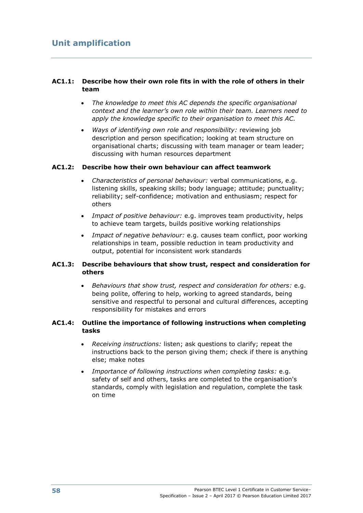## **AC1.1: Describe how their own role fits in with the role of others in their team**

- *The knowledge to meet this AC depends the specific organisational context and the learner's own role within their team. Learners need to apply the knowledge specific to their organisation to meet this AC.*
- *Ways of identifying own role and responsibility:* reviewing job description and person specification; looking at team structure on organisational charts; discussing with team manager or team leader; discussing with human resources department

### **AC1.2: Describe how their own behaviour can affect teamwork**

- *Characteristics of personal behaviour:* verbal communications, e.g. listening skills, speaking skills; body language; attitude; punctuality; reliability; self-confidence; motivation and enthusiasm; respect for others
- *Impact of positive behaviour:* e.g. improves team productivity, helps to achieve team targets, builds positive working relationships
- *Impact of negative behaviour:* e.g. causes team conflict, poor working relationships in team, possible reduction in team productivity and output, potential for inconsistent work standards

### **AC1.3: Describe behaviours that show trust, respect and consideration for others**

 *Behaviours that show trust, respect and consideration for others:* e.g. being polite, offering to help, working to agreed standards, being sensitive and respectful to personal and cultural differences, accepting responsibility for mistakes and errors

### **AC1.4: Outline the importance of following instructions when completing tasks**

- *Receiving instructions:* listen; ask questions to clarify; repeat the instructions back to the person giving them; check if there is anything else; make notes
- *Importance of following instructions when completing tasks:* e.g. safety of self and others, tasks are completed to the organisation's standards, comply with legislation and regulation, complete the task on time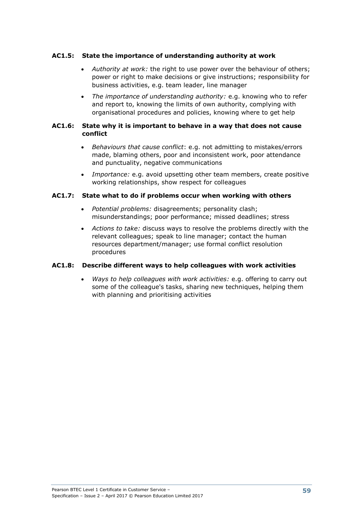## **AC1.5: State the importance of understanding authority at work**

- *Authority at work:* the right to use power over the behaviour of others; power or right to make decisions or give instructions; responsibility for business activities, e.g. team leader, line manager
- *The importance of understanding authority:* e.g. knowing who to refer and report to, knowing the limits of own authority, complying with organisational procedures and policies, knowing where to get help

#### **AC1.6: State why it is important to behave in a way that does not cause conflict**

- *Behaviours that cause conflict*: e.g. not admitting to mistakes/errors made, blaming others, poor and inconsistent work, poor attendance and punctuality, negative communications
- *Importance:* e.g. avoid upsetting other team members, create positive working relationships, show respect for colleagues

### **AC1.7: State what to do if problems occur when working with others**

- *Potential problems:* disagreements; personality clash; misunderstandings; poor performance; missed deadlines; stress
- *Actions to take:* discuss ways to resolve the problems directly with the relevant colleagues; speak to line manager; contact the human resources department/manager; use formal conflict resolution procedures

## **AC1.8: Describe different ways to help colleagues with work activities**

 *Ways to help colleagues with work activities:* e.g. offering to carry out some of the colleague's tasks, sharing new techniques, helping them with planning and prioritising activities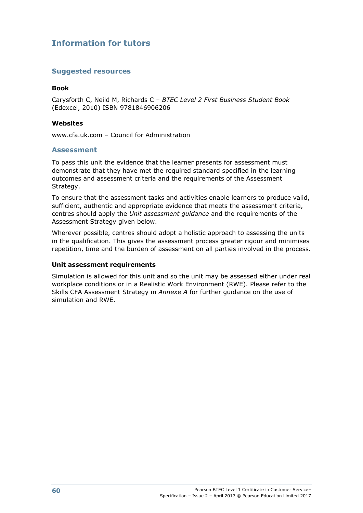## **Information for tutors**

## **Suggested resources**

#### **Book**

Carysforth C, Neild M, Richards C – *BTEC Level 2 First Business Student Book* (Edexcel, 2010) ISBN 9781846906206

#### **Websites**

www.cfa.uk.com – Council for Administration

### **Assessment**

To pass this unit the evidence that the learner presents for assessment must demonstrate that they have met the required standard specified in the learning outcomes and assessment criteria and the requirements of the Assessment Strategy.

To ensure that the assessment tasks and activities enable learners to produce valid, sufficient, authentic and appropriate evidence that meets the assessment criteria, centres should apply the *Unit assessment guidance* and the requirements of the Assessment Strategy given below.

Wherever possible, centres should adopt a holistic approach to assessing the units in the qualification. This gives the assessment process greater rigour and minimises repetition, time and the burden of assessment on all parties involved in the process.

#### **Unit assessment requirements**

Simulation is allowed for this unit and so the unit may be assessed either under real workplace conditions or in a Realistic Work Environment (RWE). Please refer to the Skills CFA Assessment Strategy in *Annexe A* for further guidance on the use of simulation and RWE.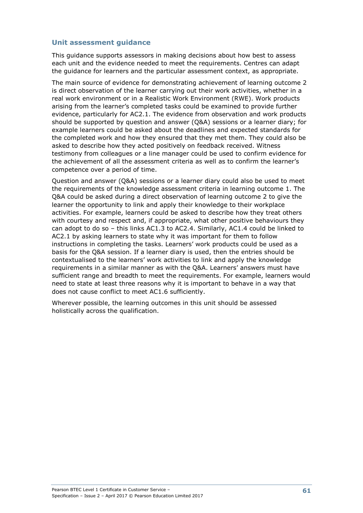### **Unit assessment guidance**

This guidance supports assessors in making decisions about how best to assess each unit and the evidence needed to meet the requirements. Centres can adapt the guidance for learners and the particular assessment context, as appropriate.

The main source of evidence for demonstrating achievement of learning outcome 2 is direct observation of the learner carrying out their work activities, whether in a real work environment or in a Realistic Work Environment (RWE). Work products arising from the learner's completed tasks could be examined to provide further evidence, particularly for AC2.1. The evidence from observation and work products should be supported by question and answer (Q&A) sessions or a learner diary; for example learners could be asked about the deadlines and expected standards for the completed work and how they ensured that they met them. They could also be asked to describe how they acted positively on feedback received. Witness testimony from colleagues or a line manager could be used to confirm evidence for the achievement of all the assessment criteria as well as to confirm the learner's competence over a period of time.

Question and answer (Q&A) sessions or a learner diary could also be used to meet the requirements of the knowledge assessment criteria in learning outcome 1. The Q&A could be asked during a direct observation of learning outcome 2 to give the learner the opportunity to link and apply their knowledge to their workplace activities. For example, learners could be asked to describe how they treat others with courtesy and respect and, if appropriate, what other positive behaviours they can adopt to do so – this links AC1.3 to AC2.4. Similarly, AC1.4 could be linked to AC2.1 by asking learners to state why it was important for them to follow instructions in completing the tasks. Learners' work products could be used as a basis for the Q&A session. If a learner diary is used, then the entries should be contextualised to the learners' work activities to link and apply the knowledge requirements in a similar manner as with the Q&A. Learners' answers must have sufficient range and breadth to meet the requirements. For example, learners would need to state at least three reasons why it is important to behave in a way that does not cause conflict to meet AC1.6 sufficiently.

Wherever possible, the learning outcomes in this unit should be assessed holistically across the qualification.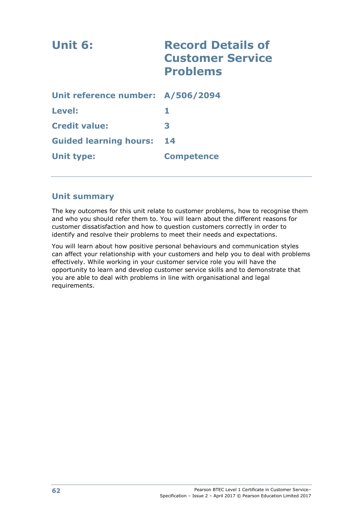| Unit 6:                           | <b>Record Details of</b><br><b>Customer Service</b><br><b>Problems</b> |
|-----------------------------------|------------------------------------------------------------------------|
| Unit reference number: A/506/2094 |                                                                        |
| <b>Level:</b>                     | 1                                                                      |
| <b>Credit value:</b>              | 3                                                                      |
| <b>Guided learning hours:</b>     | 14                                                                     |
| <b>Unit type:</b>                 | <b>Competence</b>                                                      |

## **Unit summary**

The key outcomes for this unit relate to customer problems, how to recognise them and who you should refer them to. You will learn about the different reasons for customer dissatisfaction and how to question customers correctly in order to identify and resolve their problems to meet their needs and expectations.

You will learn about how positive personal behaviours and communication styles can affect your relationship with your customers and help you to deal with problems effectively. While working in your customer service role you will have the opportunity to learn and develop customer service skills and to demonstrate that you are able to deal with problems in line with organisational and legal requirements.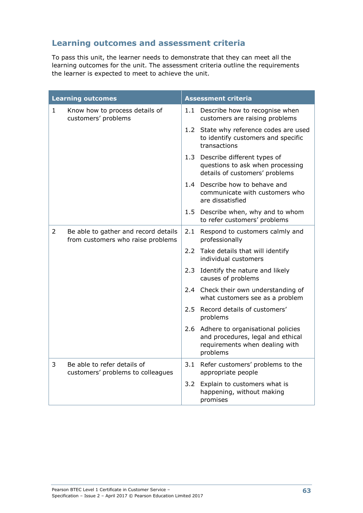# **Learning outcomes and assessment criteria**

To pass this unit, the learner needs to demonstrate that they can meet all the learning outcomes for the unit. The assessment criteria outline the requirements the learner is expected to meet to achieve the unit.

|              | <b>Learning outcomes</b>                                                  |         | <b>Assessment criteria</b>                                                                                               |
|--------------|---------------------------------------------------------------------------|---------|--------------------------------------------------------------------------------------------------------------------------|
| $\mathbf{1}$ | Know how to process details of<br>customers' problems                     |         | 1.1 Describe how to recognise when<br>customers are raising problems                                                     |
|              |                                                                           |         | 1.2 State why reference codes are used<br>to identify customers and specific<br>transactions                             |
|              |                                                                           |         | 1.3 Describe different types of<br>questions to ask when processing<br>details of customers' problems                    |
|              |                                                                           |         | 1.4 Describe how to behave and<br>communicate with customers who<br>are dissatisfied                                     |
|              |                                                                           |         | 1.5 Describe when, why and to whom<br>to refer customers' problems                                                       |
| 2            | Be able to gather and record details<br>from customers who raise problems | 2.1     | Respond to customers calmly and<br>professionally                                                                        |
|              |                                                                           |         | 2.2 Take details that will identify<br>individual customers                                                              |
|              |                                                                           | $2.3 -$ | Identify the nature and likely<br>causes of problems                                                                     |
|              |                                                                           |         | 2.4 Check their own understanding of<br>what customers see as a problem                                                  |
|              |                                                                           |         | 2.5 Record details of customers'<br>problems                                                                             |
|              |                                                                           |         | 2.6 Adhere to organisational policies<br>and procedures, legal and ethical<br>requirements when dealing with<br>problems |
| 3            | Be able to refer details of<br>customers' problems to colleagues          | 3.1     | Refer customers' problems to the<br>appropriate people                                                                   |
|              |                                                                           | 3.2     | Explain to customers what is<br>happening, without making<br>promises                                                    |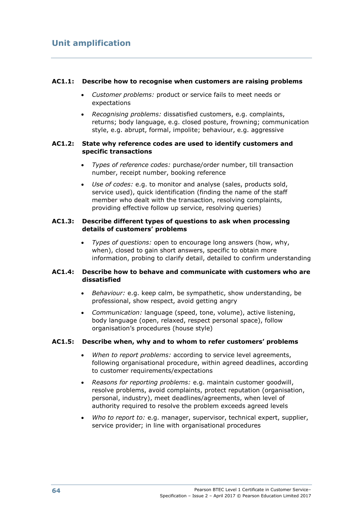### **AC1.1: Describe how to recognise when customers are raising problems**

- *Customer problems:* product or service fails to meet needs or expectations
- *Recognising problems:* dissatisfied customers, e.g. complaints, returns; body language, e.g. closed posture, frowning; communication style, e.g. abrupt, formal, impolite; behaviour, e.g. aggressive

### **AC1.2: State why reference codes are used to identify customers and specific transactions**

- *Types of reference codes:* purchase/order number, till transaction number, receipt number, booking reference
- *Use of codes:* e.g. to monitor and analyse (sales, products sold, service used), quick identification (finding the name of the staff member who dealt with the transaction, resolving complaints, providing effective follow up service, resolving queries)

## **AC1.3: Describe different types of questions to ask when processing details of customers' problems**

 *Types of questions:* open to encourage long answers (how, why, when), closed to gain short answers, specific to obtain more information, probing to clarify detail, detailed to confirm understanding

### **AC1.4: Describe how to behave and communicate with customers who are dissatisfied**

- *Behaviour:* e.g. keep calm, be sympathetic, show understanding, be professional, show respect, avoid getting angry
- *Communication:* language (speed, tone, volume), active listening, body language (open, relaxed, respect personal space), follow organisation's procedures (house style)

## **AC1.5: Describe when, why and to whom to refer customers' problems**

- *When to report problems:* according to service level agreements, following organisational procedure, within agreed deadlines, according to customer requirements/expectations
- *Reasons for reporting problems:* e.g. maintain customer goodwill, resolve problems, avoid complaints, protect reputation (organisation, personal, industry), meet deadlines/agreements, when level of authority required to resolve the problem exceeds agreed levels
- *Who to report to:* e.g. manager, supervisor, technical expert, supplier, service provider; in line with organisational procedures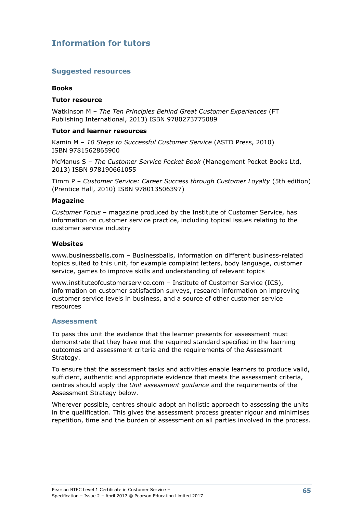### **Suggested resources**

#### **Books**

#### **Tutor resource**

Watkinson M – *The Ten Principles Behind Great Customer Experiences* (FT Publishing International, 2013) ISBN 9780273775089

#### **Tutor and learner resources**

Kamin M – *10 Steps to Successful Customer Service* (ASTD Press, 2010) ISBN 9781562865900

McManus S – *The Customer Service Pocket Book* (Management Pocket Books Ltd, 2013) ISBN 978190661055

Timm P – *Customer Service: Career Success through Customer Loyalty* (5th edition) (Prentice Hall, 2010) ISBN 978013506397)

#### **Magazine**

*Customer Focus* – magazine produced by the Institute of Customer Service, has information on customer service practice, including topical issues relating to the customer service industry

#### **Websites**

www.businessballs.com – Businessballs, information on different business-related topics suited to this unit, for example complaint letters, body language, customer service, games to improve skills and understanding of relevant topics

www.instituteofcustomerservice.com – Institute of Customer Service (ICS), information on customer satisfaction surveys, research information on improving customer service levels in business, and a source of other customer service resources

#### **Assessment**

To pass this unit the evidence that the learner presents for assessment must demonstrate that they have met the required standard specified in the learning outcomes and assessment criteria and the requirements of the Assessment Strategy.

To ensure that the assessment tasks and activities enable learners to produce valid, sufficient, authentic and appropriate evidence that meets the assessment criteria, centres should apply the *Unit assessment guidance* and the requirements of the Assessment Strategy below.

Wherever possible, centres should adopt an holistic approach to assessing the units in the qualification. This gives the assessment process greater rigour and minimises repetition, time and the burden of assessment on all parties involved in the process.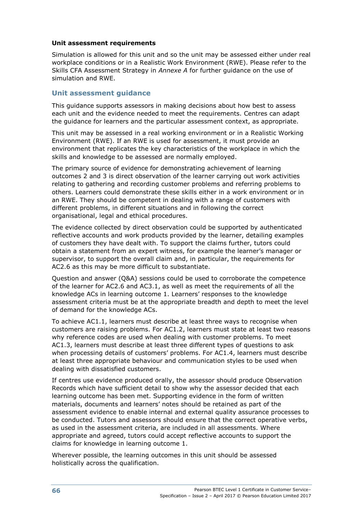### **Unit assessment requirements**

Simulation is allowed for this unit and so the unit may be assessed either under real workplace conditions or in a Realistic Work Environment (RWE). Please refer to the Skills CFA Assessment Strategy in *Annexe A* for further guidance on the use of simulation and RWE.

# **Unit assessment guidance**

This guidance supports assessors in making decisions about how best to assess each unit and the evidence needed to meet the requirements. Centres can adapt the guidance for learners and the particular assessment context, as appropriate.

This unit may be assessed in a real working environment or in a Realistic Working Environment (RWE). If an RWE is used for assessment, it must provide an environment that replicates the key characteristics of the workplace in which the skills and knowledge to be assessed are normally employed.

The primary source of evidence for demonstrating achievement of learning outcomes 2 and 3 is direct observation of the learner carrying out work activities relating to gathering and recording customer problems and referring problems to others. Learners could demonstrate these skills either in a work environment or in an RWE. They should be competent in dealing with a range of customers with different problems, in different situations and in following the correct organisational, legal and ethical procedures.

The evidence collected by direct observation could be supported by authenticated reflective accounts and work products provided by the learner, detailing examples of customers they have dealt with. To support the claims further, tutors could obtain a statement from an expert witness, for example the learner's manager or supervisor, to support the overall claim and, in particular, the requirements for AC2.6 as this may be more difficult to substantiate.

Question and answer (Q&A) sessions could be used to corroborate the competence of the learner for AC2.6 and AC3.1, as well as meet the requirements of all the knowledge ACs in learning outcome 1. Learners' responses to the knowledge assessment criteria must be at the appropriate breadth and depth to meet the level of demand for the knowledge ACs.

To achieve AC1.1, learners must describe at least three ways to recognise when customers are raising problems. For AC1.2, learners must state at least two reasons why reference codes are used when dealing with customer problems. To meet AC1.3, learners must describe at least three different types of questions to ask when processing details of customers' problems. For AC1.4, learners must describe at least three appropriate behaviour and communication styles to be used when dealing with dissatisfied customers.

If centres use evidence produced orally, the assessor should produce Observation Records which have sufficient detail to show why the assessor decided that each learning outcome has been met. Supporting evidence in the form of written materials, documents and learners' notes should be retained as part of the assessment evidence to enable internal and external quality assurance processes to be conducted. Tutors and assessors should ensure that the correct operative verbs, as used in the assessment criteria, are included in all assessments. Where appropriate and agreed, tutors could accept reflective accounts to support the claims for knowledge in learning outcome 1.

Wherever possible, the learning outcomes in this unit should be assessed holistically across the qualification.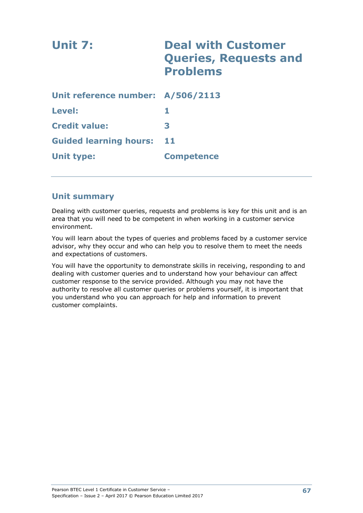| Unit 7:                           | <b>Deal with Customer</b><br><b>Queries, Requests and</b><br><b>Problems</b> |
|-----------------------------------|------------------------------------------------------------------------------|
| Unit reference number: A/506/2113 |                                                                              |
| <b>Level:</b>                     |                                                                              |
| <b>Credit value:</b>              | 3                                                                            |
| <b>Guided learning hours:</b>     | 11                                                                           |
| Unit type:                        | <b>Competence</b>                                                            |

# **Unit summary**

Dealing with customer queries, requests and problems is key for this unit and is an area that you will need to be competent in when working in a customer service environment.

You will learn about the types of queries and problems faced by a customer service advisor, why they occur and who can help you to resolve them to meet the needs and expectations of customers.

You will have the opportunity to demonstrate skills in receiving, responding to and dealing with customer queries and to understand how your behaviour can affect customer response to the service provided. Although you may not have the authority to resolve all customer queries or problems yourself, it is important that you understand who you can approach for help and information to prevent customer complaints.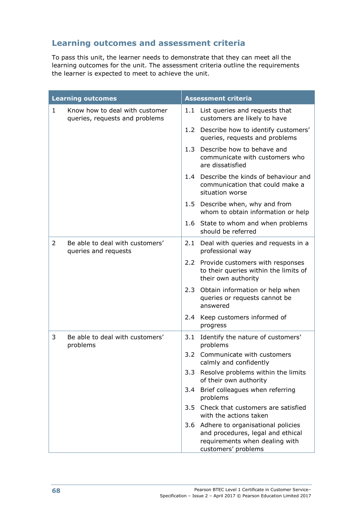# **Learning outcomes and assessment criteria**

To pass this unit, the learner needs to demonstrate that they can meet all the learning outcomes for the unit. The assessment criteria outline the requirements the learner is expected to meet to achieve the unit.

| <b>Learning outcomes</b> |                                                                  | <b>Assessment criteria</b> |                                                                                                                                     |  |
|--------------------------|------------------------------------------------------------------|----------------------------|-------------------------------------------------------------------------------------------------------------------------------------|--|
| $\mathbf{1}$             | Know how to deal with customer<br>queries, requests and problems |                            | 1.1 List queries and requests that<br>customers are likely to have                                                                  |  |
|                          |                                                                  |                            | 1.2 Describe how to identify customers'<br>queries, requests and problems                                                           |  |
|                          |                                                                  | 1.3                        | Describe how to behave and<br>communicate with customers who<br>are dissatisfied                                                    |  |
|                          |                                                                  |                            | 1.4 Describe the kinds of behaviour and<br>communication that could make a<br>situation worse                                       |  |
|                          |                                                                  |                            | 1.5 Describe when, why and from<br>whom to obtain information or help                                                               |  |
|                          |                                                                  |                            | 1.6 State to whom and when problems<br>should be referred                                                                           |  |
| $\overline{2}$           | Be able to deal with customers'<br>queries and requests          |                            | 2.1 Deal with queries and requests in a<br>professional way                                                                         |  |
|                          |                                                                  |                            | 2.2 Provide customers with responses<br>to their queries within the limits of<br>their own authority                                |  |
|                          |                                                                  | 2.3                        | Obtain information or help when<br>queries or requests cannot be<br>answered                                                        |  |
|                          |                                                                  |                            | 2.4 Keep customers informed of<br>progress                                                                                          |  |
| 3                        | Be able to deal with customers'<br>problems                      | 3.1                        | Identify the nature of customers'<br>problems                                                                                       |  |
|                          |                                                                  | 3.2                        | Communicate with customers<br>calmly and confidently                                                                                |  |
|                          |                                                                  | 3.3                        | Resolve problems within the limits<br>of their own authority                                                                        |  |
|                          |                                                                  | 3.4                        | Brief colleagues when referring<br>problems                                                                                         |  |
|                          |                                                                  |                            | 3.5 Check that customers are satisfied<br>with the actions taken                                                                    |  |
|                          |                                                                  |                            | 3.6 Adhere to organisational policies<br>and procedures, legal and ethical<br>requirements when dealing with<br>customers' problems |  |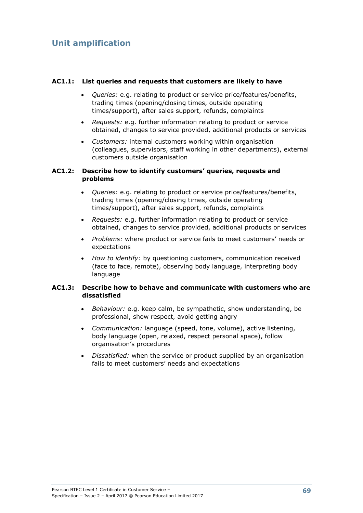### **AC1.1: List queries and requests that customers are likely to have**

- *Queries:* e.g. relating to product or service price/features/benefits, trading times (opening/closing times, outside operating times/support), after sales support, refunds, complaints
- *Requests:* e.g. further information relating to product or service obtained, changes to service provided, additional products or services
- *Customers:* internal customers working within organisation (colleagues, supervisors, staff working in other departments), external customers outside organisation

### **AC1.2: Describe how to identify customers' queries, requests and problems**

- *Queries:* e.g. relating to product or service price/features/benefits, trading times (opening/closing times, outside operating times/support), after sales support, refunds, complaints
- *Requests:* e.g. further information relating to product or service obtained, changes to service provided, additional products or services
- *Problems:* where product or service fails to meet customers' needs or expectations
- *How to identify:* by questioning customers, communication received (face to face, remote), observing body language, interpreting body language

### **AC1.3: Describe how to behave and communicate with customers who are dissatisfied**

- *Behaviour:* e.g. keep calm, be sympathetic, show understanding, be professional, show respect, avoid getting angry
- *Communication:* language (speed, tone, volume), active listening, body language (open, relaxed, respect personal space), follow organisation's procedures
- *Dissatisfied:* when the service or product supplied by an organisation fails to meet customers' needs and expectations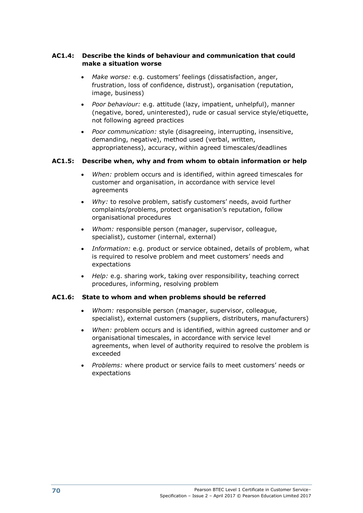### **AC1.4: Describe the kinds of behaviour and communication that could make a situation worse**

- *Make worse:* e.g. customers' feelings (dissatisfaction, anger, frustration, loss of confidence, distrust), organisation (reputation, image, business)
- *Poor behaviour:* e.g. attitude (lazy, impatient, unhelpful), manner (negative, bored, uninterested), rude or casual service style/etiquette, not following agreed practices
- *Poor communication:* style (disagreeing, interrupting, insensitive, demanding, negative), method used (verbal, written, appropriateness), accuracy, within agreed timescales/deadlines

# **AC1.5: Describe when, why and from whom to obtain information or help**

- *When:* problem occurs and is identified, within agreed timescales for customer and organisation, in accordance with service level agreements
- *Why:* to resolve problem, satisfy customers' needs, avoid further complaints/problems, protect organisation's reputation, follow organisational procedures
- *Whom:* responsible person (manager, supervisor, colleague, specialist), customer (internal, external)
- *Information:* e.g. product or service obtained, details of problem, what is required to resolve problem and meet customers' needs and expectations
- *Help:* e.g. sharing work, taking over responsibility, teaching correct procedures, informing, resolving problem

# **AC1.6: State to whom and when problems should be referred**

- *Whom:* responsible person (manager, supervisor, colleague, specialist), external customers (suppliers, distributers, manufacturers)
- *When:* problem occurs and is identified, within agreed customer and or organisational timescales, in accordance with service level agreements, when level of authority required to resolve the problem is exceeded
- *Problems:* where product or service fails to meet customers' needs or expectations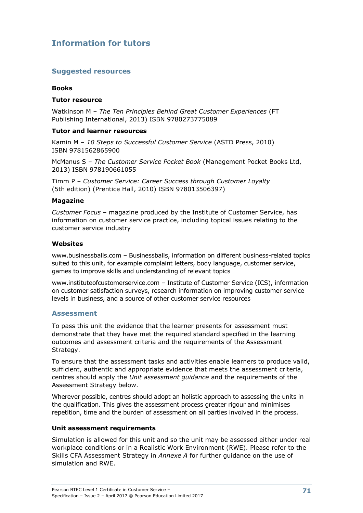## **Suggested resources**

#### **Books**

#### **Tutor resource**

Watkinson M – *The Ten Principles Behind Great Customer Experiences* (FT Publishing International, 2013) ISBN 9780273775089

#### **Tutor and learner resources**

Kamin M – *10 Steps to Successful Customer Service* (ASTD Press, 2010) ISBN 9781562865900

McManus S – *The Customer Service Pocket Book* (Management Pocket Books Ltd, 2013) ISBN 978190661055

Timm P – *Customer Service: Career Success through Customer Loyalty* (5th edition) (Prentice Hall, 2010) ISBN 978013506397)

#### **Magazine**

*Customer Focus* – magazine produced by the Institute of Customer Service, has information on customer service practice, including topical issues relating to the customer service industry

#### **Websites**

www.businessballs.com – Businessballs, information on different business-related topics suited to this unit, for example complaint letters, body language, customer service, games to improve skills and understanding of relevant topics

www.instituteofcustomerservice.com – Institute of Customer Service (ICS), information on customer satisfaction surveys, research information on improving customer service levels in business, and a source of other customer service resources

#### **Assessment**

To pass this unit the evidence that the learner presents for assessment must demonstrate that they have met the required standard specified in the learning outcomes and assessment criteria and the requirements of the Assessment Strategy.

To ensure that the assessment tasks and activities enable learners to produce valid, sufficient, authentic and appropriate evidence that meets the assessment criteria, centres should apply the *Unit assessment guidance* and the requirements of the Assessment Strategy below.

Wherever possible, centres should adopt an holistic approach to assessing the units in the qualification. This gives the assessment process greater rigour and minimises repetition, time and the burden of assessment on all parties involved in the process.

#### **Unit assessment requirements**

Simulation is allowed for this unit and so the unit may be assessed either under real workplace conditions or in a Realistic Work Environment (RWE). Please refer to the Skills CFA Assessment Strategy in *Annexe A* for further guidance on the use of simulation and RWE.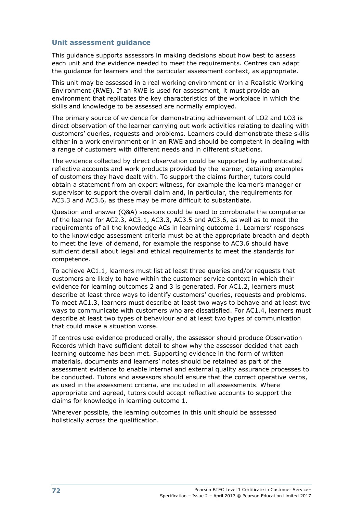## **Unit assessment guidance**

This guidance supports assessors in making decisions about how best to assess each unit and the evidence needed to meet the requirements. Centres can adapt the guidance for learners and the particular assessment context, as appropriate.

This unit may be assessed in a real working environment or in a Realistic Working Environment (RWE). If an RWE is used for assessment, it must provide an environment that replicates the key characteristics of the workplace in which the skills and knowledge to be assessed are normally employed.

The primary source of evidence for demonstrating achievement of LO2 and LO3 is direct observation of the learner carrying out work activities relating to dealing with customers' queries, requests and problems. Learners could demonstrate these skills either in a work environment or in an RWE and should be competent in dealing with a range of customers with different needs and in different situations.

The evidence collected by direct observation could be supported by authenticated reflective accounts and work products provided by the learner, detailing examples of customers they have dealt with. To support the claims further, tutors could obtain a statement from an expert witness, for example the learner's manager or supervisor to support the overall claim and, in particular, the requirements for AC3.3 and AC3.6, as these may be more difficult to substantiate.

Question and answer (Q&A) sessions could be used to corroborate the competence of the learner for AC2.3, AC3.1, AC3.3, AC3.5 and AC3.6, as well as to meet the requirements of all the knowledge ACs in learning outcome 1. Learners' responses to the knowledge assessment criteria must be at the appropriate breadth and depth to meet the level of demand, for example the response to AC3.6 should have sufficient detail about legal and ethical requirements to meet the standards for competence.

To achieve AC1.1, learners must list at least three queries and/or requests that customers are likely to have within the customer service context in which their evidence for learning outcomes 2 and 3 is generated. For AC1.2, learners must describe at least three ways to identify customers' queries, requests and problems. To meet AC1.3, learners must describe at least two ways to behave and at least two ways to communicate with customers who are dissatisfied. For AC1.4, learners must describe at least two types of behaviour and at least two types of communication that could make a situation worse.

If centres use evidence produced orally, the assessor should produce Observation Records which have sufficient detail to show why the assessor decided that each learning outcome has been met. Supporting evidence in the form of written materials, documents and learners' notes should be retained as part of the assessment evidence to enable internal and external quality assurance processes to be conducted. Tutors and assessors should ensure that the correct operative verbs, as used in the assessment criteria, are included in all assessments. Where appropriate and agreed, tutors could accept reflective accounts to support the claims for knowledge in learning outcome 1.

Wherever possible, the learning outcomes in this unit should be assessed holistically across the qualification.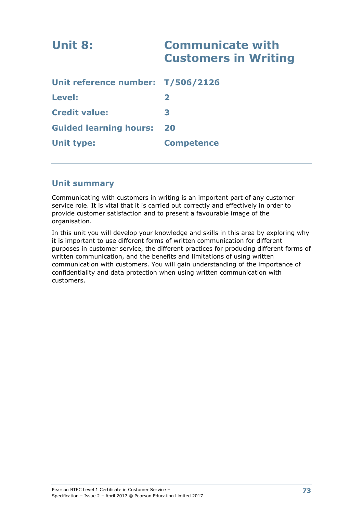| Unit 8:                           | <b>Communicate with</b><br><b>Customers in Writing</b> |
|-----------------------------------|--------------------------------------------------------|
| Unit reference number: T/506/2126 |                                                        |
| Level:                            | $\mathbf{z}$                                           |
| <b>Credit value:</b>              | 3                                                      |
| <b>Guided learning hours:</b>     | 20                                                     |
| <b>Unit type:</b>                 | <b>Competence</b>                                      |

# **Unit summary**

Communicating with customers in writing is an important part of any customer service role. It is vital that it is carried out correctly and effectively in order to provide customer satisfaction and to present a favourable image of the organisation.

In this unit you will develop your knowledge and skills in this area by exploring why it is important to use different forms of written communication for different purposes in customer service, the different practices for producing different forms of written communication, and the benefits and limitations of using written communication with customers. You will gain understanding of the importance of confidentiality and data protection when using written communication with customers.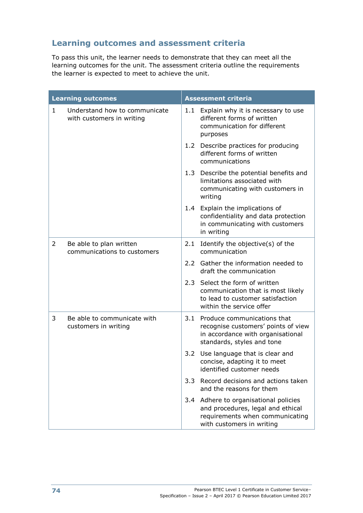# **Learning outcomes and assessment criteria**

To pass this unit, the learner needs to demonstrate that they can meet all the learning outcomes for the unit. The assessment criteria outline the requirements the learner is expected to meet to achieve the unit.

|              | <b>Learning outcomes</b>                                   | <b>Assessment criteria</b> |                                                                                                                                            |  |
|--------------|------------------------------------------------------------|----------------------------|--------------------------------------------------------------------------------------------------------------------------------------------|--|
| $\mathbf{1}$ | Understand how to communicate<br>with customers in writing | 1.1                        | Explain why it is necessary to use<br>different forms of written<br>communication for different<br>purposes                                |  |
|              |                                                            |                            | 1.2 Describe practices for producing<br>different forms of written<br>communications                                                       |  |
|              |                                                            |                            | 1.3 Describe the potential benefits and<br>limitations associated with<br>communicating with customers in<br>writing                       |  |
|              |                                                            |                            | 1.4 Explain the implications of<br>confidentiality and data protection<br>in communicating with customers<br>in writing                    |  |
| 2            | Be able to plan written<br>communications to customers     | 2.1                        | Identify the objective(s) of the<br>communication                                                                                          |  |
|              |                                                            |                            | 2.2 Gather the information needed to<br>draft the communication                                                                            |  |
|              |                                                            |                            | 2.3 Select the form of written<br>communication that is most likely<br>to lead to customer satisfaction<br>within the service offer        |  |
| 3            | Be able to communicate with<br>customers in writing        | 3.1                        | Produce communications that<br>recognise customers' points of view<br>in accordance with organisational<br>standards, styles and tone      |  |
|              |                                                            |                            | 3.2 Use language that is clear and<br>concise, adapting it to meet<br>identified customer needs                                            |  |
|              |                                                            | 3.3                        | Record decisions and actions taken<br>and the reasons for them                                                                             |  |
|              |                                                            |                            | 3.4 Adhere to organisational policies<br>and procedures, legal and ethical<br>requirements when communicating<br>with customers in writing |  |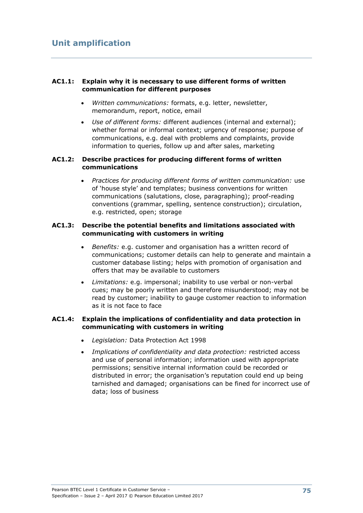# **AC1.1: Explain why it is necessary to use different forms of written communication for different purposes**

- *Written communications:* formats, e.g. letter, newsletter, memorandum, report, notice, email
- *Use of different forms:* different audiences (internal and external); whether formal or informal context; urgency of response; purpose of communications, e.g. deal with problems and complaints, provide information to queries, follow up and after sales, marketing

## **AC1.2: Describe practices for producing different forms of written communications**

 *Practices for producing different forms of written communication:* use of 'house style' and templates; business conventions for written communications (salutations, close, paragraphing); proof-reading conventions (grammar, spelling, sentence construction); circulation, e.g. restricted, open; storage

### **AC1.3: Describe the potential benefits and limitations associated with communicating with customers in writing**

- *Benefits:* e.g. customer and organisation has a written record of communications; customer details can help to generate and maintain a customer database listing; helps with promotion of organisation and offers that may be available to customers
- *Limitations:* e.g. impersonal; inability to use verbal or non-verbal cues; may be poorly written and therefore misunderstood; may not be read by customer; inability to gauge customer reaction to information as it is not face to face

# **AC1.4: Explain the implications of confidentiality and data protection in communicating with customers in writing**

- *Legislation:* Data Protection Act 1998
- *Implications of confidentiality and data protection:* restricted access and use of personal information; information used with appropriate permissions; sensitive internal information could be recorded or distributed in error; the organisation's reputation could end up being tarnished and damaged; organisations can be fined for incorrect use of data; loss of business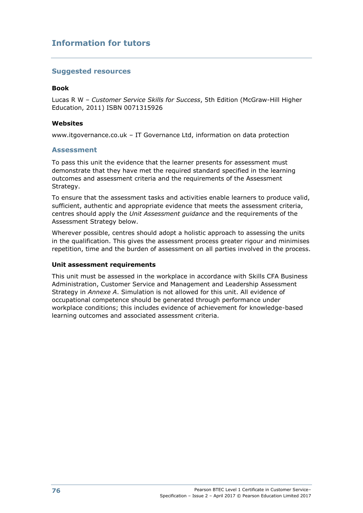# **Suggested resources**

#### **Book**

Lucas R W – *Customer Service Skills for Success*, 5th Edition (McGraw-Hill Higher Education, 2011) ISBN 0071315926

#### **Websites**

www.itgovernance.co.uk – IT Governance Ltd, information on data protection

### **Assessment**

To pass this unit the evidence that the learner presents for assessment must demonstrate that they have met the required standard specified in the learning outcomes and assessment criteria and the requirements of the Assessment Strategy.

To ensure that the assessment tasks and activities enable learners to produce valid, sufficient, authentic and appropriate evidence that meets the assessment criteria, centres should apply the *Unit Assessment guidance* and the requirements of the Assessment Strategy below.

Wherever possible, centres should adopt a holistic approach to assessing the units in the qualification. This gives the assessment process greater rigour and minimises repetition, time and the burden of assessment on all parties involved in the process.

#### **Unit assessment requirements**

This unit must be assessed in the workplace in accordance with Skills CFA Business Administration, Customer Service and Management and Leadership Assessment Strategy in *Annexe A*. Simulation is not allowed for this unit. All evidence of occupational competence should be generated through performance under workplace conditions; this includes evidence of achievement for knowledge-based learning outcomes and associated assessment criteria.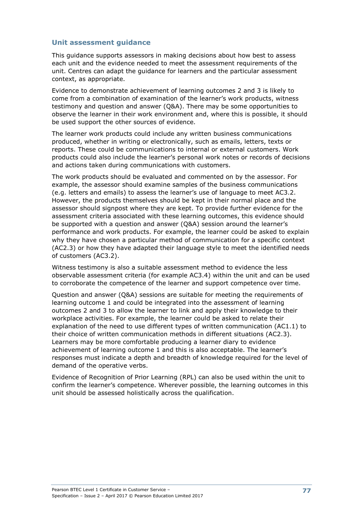### **Unit assessment guidance**

This guidance supports assessors in making decisions about how best to assess each unit and the evidence needed to meet the assessment requirements of the unit. Centres can adapt the guidance for learners and the particular assessment context, as appropriate.

Evidence to demonstrate achievement of learning outcomes 2 and 3 is likely to come from a combination of examination of the learner's work products, witness testimony and question and answer (Q&A). There may be some opportunities to observe the learner in their work environment and, where this is possible, it should be used support the other sources of evidence.

The learner work products could include any written business communications produced, whether in writing or electronically, such as emails, letters, texts or reports. These could be communications to internal or external customers. Work products could also include the learner's personal work notes or records of decisions and actions taken during communications with customers.

The work products should be evaluated and commented on by the assessor. For example, the assessor should examine samples of the business communications (e.g. letters and emails) to assess the learner's use of language to meet AC3.2. However, the products themselves should be kept in their normal place and the assessor should signpost where they are kept. To provide further evidence for the assessment criteria associated with these learning outcomes, this evidence should be supported with a question and answer (Q&A) session around the learner's performance and work products. For example, the learner could be asked to explain why they have chosen a particular method of communication for a specific context (AC2.3) or how they have adapted their language style to meet the identified needs of customers (AC3.2).

Witness testimony is also a suitable assessment method to evidence the less observable assessment criteria (for example AC3.4) within the unit and can be used to corroborate the competence of the learner and support competence over time.

Question and answer (Q&A) sessions are suitable for meeting the requirements of learning outcome 1 and could be integrated into the assessment of learning outcomes 2 and 3 to allow the learner to link and apply their knowledge to their workplace activities. For example, the learner could be asked to relate their explanation of the need to use different types of written communication (AC1.1) to their choice of written communication methods in different situations (AC2.3). Learners may be more comfortable producing a learner diary to evidence achievement of learning outcome 1 and this is also acceptable. The learner's responses must indicate a depth and breadth of knowledge required for the level of demand of the operative verbs.

Evidence of Recognition of Prior Learning (RPL) can also be used within the unit to confirm the learner's competence. Wherever possible, the learning outcomes in this unit should be assessed holistically across the qualification.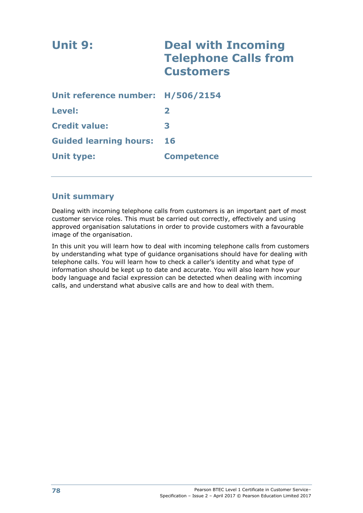| Unit 9:                           | <b>Deal with Incoming</b><br><b>Telephone Calls from</b><br><b>Customers</b> |
|-----------------------------------|------------------------------------------------------------------------------|
| Unit reference number: H/506/2154 |                                                                              |
| Level:                            | $\mathbf{2}$                                                                 |
| <b>Credit value:</b>              | 3                                                                            |
| <b>Guided learning hours:</b>     | 16                                                                           |
| Unit type:                        | <b>Competence</b>                                                            |

# **Unit summary**

Dealing with incoming telephone calls from customers is an important part of most customer service roles. This must be carried out correctly, effectively and using approved organisation salutations in order to provide customers with a favourable image of the organisation.

In this unit you will learn how to deal with incoming telephone calls from customers by understanding what type of guidance organisations should have for dealing with telephone calls. You will learn how to check a caller's identity and what type of information should be kept up to date and accurate. You will also learn how your body language and facial expression can be detected when dealing with incoming calls, and understand what abusive calls are and how to deal with them.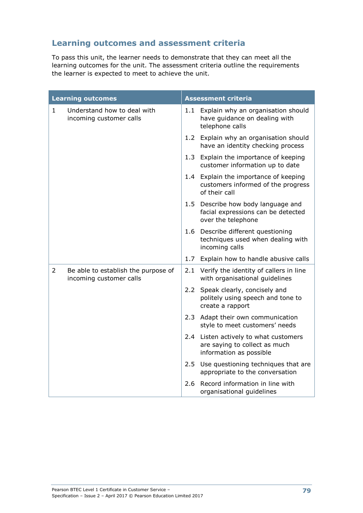# **Learning outcomes and assessment criteria**

To pass this unit, the learner needs to demonstrate that they can meet all the learning outcomes for the unit. The assessment criteria outline the requirements the learner is expected to meet to achieve the unit.

|                | <b>Learning outcomes</b>                                       |     | <b>Assessment criteria</b>                                                                        |
|----------------|----------------------------------------------------------------|-----|---------------------------------------------------------------------------------------------------|
| $\mathbf{1}$   | Understand how to deal with<br>incoming customer calls         | 1.1 | Explain why an organisation should<br>have guidance on dealing with<br>telephone calls            |
|                |                                                                |     | 1.2 Explain why an organisation should<br>have an identity checking process                       |
|                |                                                                | 1.3 | Explain the importance of keeping<br>customer information up to date                              |
|                |                                                                |     | 1.4 Explain the importance of keeping<br>customers informed of the progress<br>of their call      |
|                |                                                                |     | 1.5 Describe how body language and<br>facial expressions can be detected<br>over the telephone    |
|                |                                                                |     | 1.6 Describe different questioning<br>techniques used when dealing with<br>incoming calls         |
|                |                                                                | 1.7 | Explain how to handle abusive calls                                                               |
| $\overline{2}$ | Be able to establish the purpose of<br>incoming customer calls |     | 2.1 Verify the identity of callers in line<br>with organisational guidelines                      |
|                |                                                                | 2.2 | Speak clearly, concisely and<br>politely using speech and tone to<br>create a rapport             |
|                |                                                                | 2.3 | Adapt their own communication<br>style to meet customers' needs                                   |
|                |                                                                |     | 2.4 Listen actively to what customers<br>are saying to collect as much<br>information as possible |
|                |                                                                | 2.5 | Use questioning techniques that are<br>appropriate to the conversation                            |
|                |                                                                | 2.6 | Record information in line with<br>organisational guidelines                                      |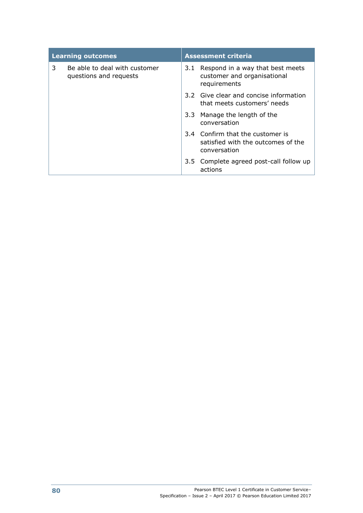| <b>Learning outcomes</b> |                                                         | <b>Assessment criteria</b> |                                                                                        |  |
|--------------------------|---------------------------------------------------------|----------------------------|----------------------------------------------------------------------------------------|--|
| 3                        | Be able to deal with customer<br>questions and requests |                            | 3.1 Respond in a way that best meets<br>customer and organisational<br>requirements    |  |
|                          |                                                         |                            | 3.2 Give clear and concise information<br>that meets customers' needs                  |  |
|                          |                                                         |                            | 3.3 Manage the length of the<br>conversation                                           |  |
|                          |                                                         |                            | 3.4 Confirm that the customer is<br>satisfied with the outcomes of the<br>conversation |  |
|                          |                                                         |                            | 3.5 Complete agreed post-call follow up<br>actions                                     |  |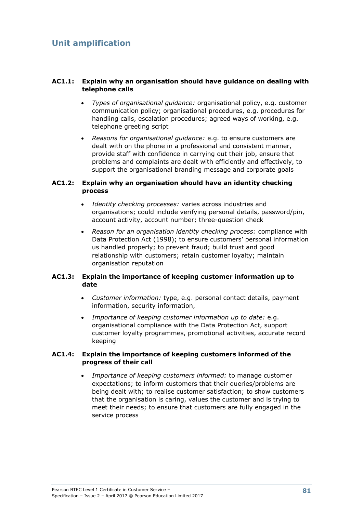# **AC1.1: Explain why an organisation should have guidance on dealing with telephone calls**

- *Types of organisational guidance:* organisational policy, e.g. customer communication policy; organisational procedures, e.g. procedures for handling calls, escalation procedures; agreed ways of working, e.g. telephone greeting script
- *Reasons for organisational guidance:* e.g. to ensure customers are dealt with on the phone in a professional and consistent manner, provide staff with confidence in carrying out their job, ensure that problems and complaints are dealt with efficiently and effectively, to support the organisational branding message and corporate goals

# **AC1.2: Explain why an organisation should have an identity checking process**

- *Identity checking processes:* varies across industries and organisations; could include verifying personal details, password/pin, account activity, account number; three-question check
- *Reason for an organisation identity checking process:* compliance with Data Protection Act (1998); to ensure customers' personal information us handled properly; to prevent fraud; build trust and good relationship with customers; retain customer loyalty; maintain organisation reputation

# **AC1.3: Explain the importance of keeping customer information up to date**

- *Customer information:* type, e.g. personal contact details, payment information, security information,
- *Importance of keeping customer information up to date:* e.g. organisational compliance with the Data Protection Act, support customer loyalty programmes, promotional activities, accurate record keeping

### **AC1.4: Explain the importance of keeping customers informed of the progress of their call**

 *Importance of keeping customers informed:* to manage customer expectations; to inform customers that their queries/problems are being dealt with; to realise customer satisfaction; to show customers that the organisation is caring, values the customer and is trying to meet their needs; to ensure that customers are fully engaged in the service process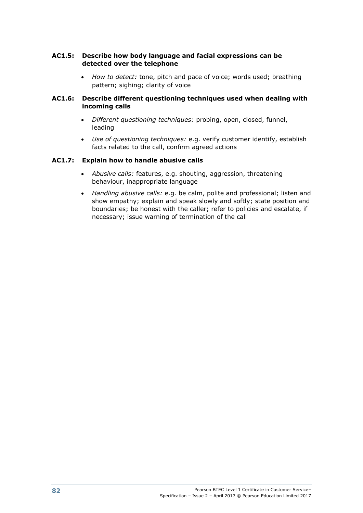## **AC1.5: Describe how body language and facial expressions can be detected over the telephone**

 *How to detect:* tone, pitch and pace of voice; words used; breathing pattern; sighing; clarity of voice

# **AC1.6: Describe different questioning techniques used when dealing with incoming calls**

- *Different questioning techniques:* probing, open, closed, funnel, leading
- *Use of questioning techniques:* e.g. verify customer identify, establish facts related to the call, confirm agreed actions

# **AC1.7: Explain how to handle abusive calls**

- *Abusive calls:* features, e.g. shouting, aggression, threatening behaviour, inappropriate language
- *Handling abusive calls:* e.g. be calm, polite and professional; listen and show empathy; explain and speak slowly and softly; state position and boundaries; be honest with the caller; refer to policies and escalate, if necessary; issue warning of termination of the call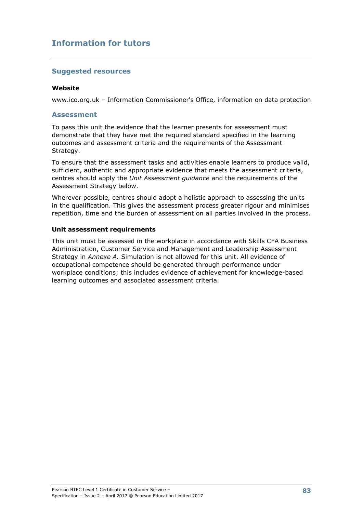# **Suggested resources**

#### **Website**

www.ico.org.uk – Information Commissioner's Office, information on data protection

### **Assessment**

To pass this unit the evidence that the learner presents for assessment must demonstrate that they have met the required standard specified in the learning outcomes and assessment criteria and the requirements of the Assessment Strategy.

To ensure that the assessment tasks and activities enable learners to produce valid, sufficient, authentic and appropriate evidence that meets the assessment criteria, centres should apply the *Unit Assessment guidance* and the requirements of the Assessment Strategy below.

Wherever possible, centres should adopt a holistic approach to assessing the units in the qualification. This gives the assessment process greater rigour and minimises repetition, time and the burden of assessment on all parties involved in the process.

### **Unit assessment requirements**

This unit must be assessed in the workplace in accordance with Skills CFA Business Administration, Customer Service and Management and Leadership Assessment Strategy in *Annexe A.* Simulation is not allowed for this unit. All evidence of occupational competence should be generated through performance under workplace conditions; this includes evidence of achievement for knowledge-based learning outcomes and associated assessment criteria.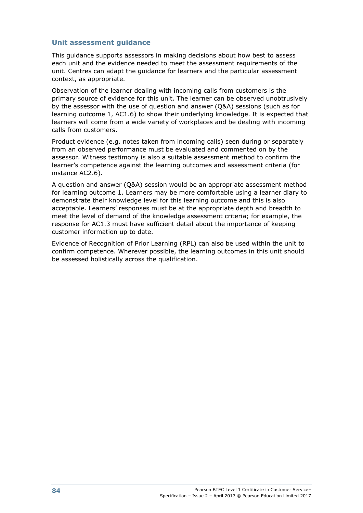# **Unit assessment guidance**

This guidance supports assessors in making decisions about how best to assess each unit and the evidence needed to meet the assessment requirements of the unit. Centres can adapt the guidance for learners and the particular assessment context, as appropriate.

Observation of the learner dealing with incoming calls from customers is the primary source of evidence for this unit. The learner can be observed unobtrusively by the assessor with the use of question and answer (Q&A) sessions (such as for learning outcome 1, AC1.6) to show their underlying knowledge. It is expected that learners will come from a wide variety of workplaces and be dealing with incoming calls from customers.

Product evidence (e.g. notes taken from incoming calls) seen during or separately from an observed performance must be evaluated and commented on by the assessor. Witness testimony is also a suitable assessment method to confirm the learner's competence against the learning outcomes and assessment criteria (for instance AC2.6).

A question and answer (Q&A) session would be an appropriate assessment method for learning outcome 1. Learners may be more comfortable using a learner diary to demonstrate their knowledge level for this learning outcome and this is also acceptable. Learners' responses must be at the appropriate depth and breadth to meet the level of demand of the knowledge assessment criteria; for example, the response for AC1.3 must have sufficient detail about the importance of keeping customer information up to date.

Evidence of Recognition of Prior Learning (RPL) can also be used within the unit to confirm competence. Wherever possible, the learning outcomes in this unit should be assessed holistically across the qualification.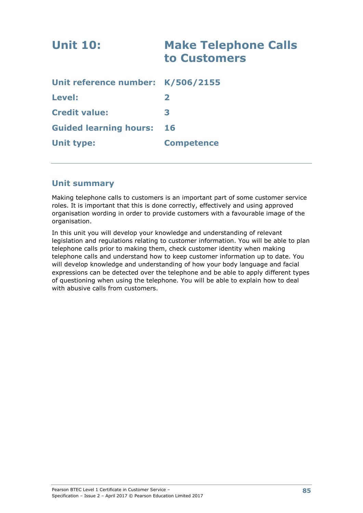| <b>Unit 10:</b>                   | <b>Make Telephone Calls</b><br>to Customers |
|-----------------------------------|---------------------------------------------|
| Unit reference number: K/506/2155 |                                             |
| <b>Level:</b>                     | $\mathbf{2}$                                |
| <b>Credit value:</b>              | 3                                           |
| <b>Guided learning hours:</b>     | 16                                          |
| <b>Unit type:</b>                 | <b>Competence</b>                           |

# **Unit summary**

Making telephone calls to customers is an important part of some customer service roles. It is important that this is done correctly, effectively and using approved organisation wording in order to provide customers with a favourable image of the organisation.

In this unit you will develop your knowledge and understanding of relevant legislation and regulations relating to customer information. You will be able to plan telephone calls prior to making them, check customer identity when making telephone calls and understand how to keep customer information up to date. You will develop knowledge and understanding of how your body language and facial expressions can be detected over the telephone and be able to apply different types of questioning when using the telephone. You will be able to explain how to deal with abusive calls from customers.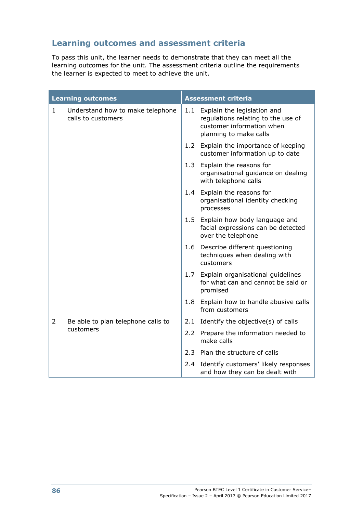# **Learning outcomes and assessment criteria**

To pass this unit, the learner needs to demonstrate that they can meet all the learning outcomes for the unit. The assessment criteria outline the requirements the learner is expected to meet to achieve the unit.

|                | <b>Learning outcomes</b>                               | <b>Assessment criteria</b> |                                                                                                                          |  |
|----------------|--------------------------------------------------------|----------------------------|--------------------------------------------------------------------------------------------------------------------------|--|
| 1              | Understand how to make telephone<br>calls to customers | 1.1                        | Explain the legislation and<br>regulations relating to the use of<br>customer information when<br>planning to make calls |  |
|                |                                                        |                            | 1.2 Explain the importance of keeping<br>customer information up to date                                                 |  |
|                |                                                        | 1.3                        | Explain the reasons for<br>organisational guidance on dealing<br>with telephone calls                                    |  |
|                |                                                        |                            | 1.4 Explain the reasons for<br>organisational identity checking<br>processes                                             |  |
|                |                                                        |                            | 1.5 Explain how body language and<br>facial expressions can be detected<br>over the telephone                            |  |
|                |                                                        |                            | 1.6 Describe different questioning<br>techniques when dealing with<br>customers                                          |  |
|                |                                                        |                            | 1.7 Explain organisational guidelines<br>for what can and cannot be said or<br>promised                                  |  |
|                |                                                        |                            | 1.8 Explain how to handle abusive calls<br>from customers                                                                |  |
| $\overline{2}$ | Be able to plan telephone calls to                     | 2.1                        | Identify the objective(s) of calls                                                                                       |  |
|                | customers                                              |                            | 2.2 Prepare the information needed to<br>make calls                                                                      |  |
|                |                                                        |                            | 2.3 Plan the structure of calls                                                                                          |  |
|                |                                                        |                            | 2.4 Identify customers' likely responses<br>and how they can be dealt with                                               |  |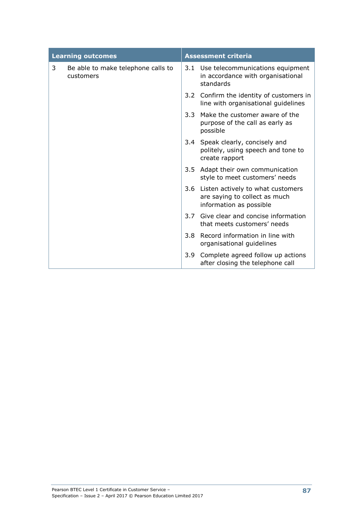|   | <b>Learning outcomes</b>                        | <b>Assessment criteria</b> |                                                                                                   |  |
|---|-------------------------------------------------|----------------------------|---------------------------------------------------------------------------------------------------|--|
| 3 | Be able to make telephone calls to<br>customers |                            | 3.1 Use telecommunications equipment<br>in accordance with organisational<br>standards            |  |
|   |                                                 |                            | 3.2 Confirm the identity of customers in<br>line with organisational guidelines                   |  |
|   |                                                 | 3.3                        | Make the customer aware of the<br>purpose of the call as early as<br>possible                     |  |
|   |                                                 |                            | 3.4 Speak clearly, concisely and<br>politely, using speech and tone to<br>create rapport          |  |
|   |                                                 | 3.5                        | Adapt their own communication<br>style to meet customers' needs                                   |  |
|   |                                                 |                            | 3.6 Listen actively to what customers<br>are saying to collect as much<br>information as possible |  |
|   |                                                 | 3.7                        | Give clear and concise information<br>that meets customers' needs                                 |  |
|   |                                                 | 3.8                        | Record information in line with<br>organisational guidelines                                      |  |
|   |                                                 | 3.9                        | Complete agreed follow up actions<br>after closing the telephone call                             |  |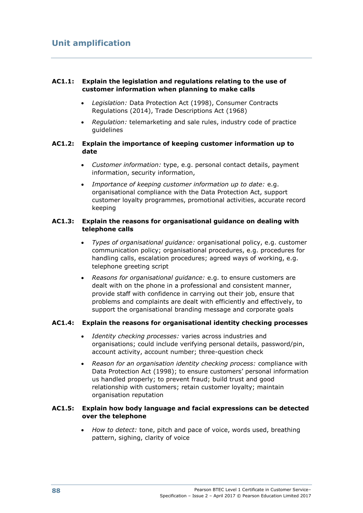# **AC1.1: Explain the legislation and regulations relating to the use of customer information when planning to make calls**

- *Legislation:* Data Protection Act (1998), Consumer Contracts Regulations (2014), Trade Descriptions Act (1968)
- *Regulation:* telemarketing and sale rules, industry code of practice guidelines

### **AC1.2: Explain the importance of keeping customer information up to date**

- *Customer information:* type, e.g. personal contact details, payment information, security information,
- *Importance of keeping customer information up to date:* e.g. organisational compliance with the Data Protection Act, support customer loyalty programmes, promotional activities, accurate record keeping

# **AC1.3: Explain the reasons for organisational guidance on dealing with telephone calls**

- *Types of organisational guidance:* organisational policy, e.g. customer communication policy; organisational procedures, e.g. procedures for handling calls, escalation procedures; agreed ways of working, e.g. telephone greeting script
- *Reasons for organisational guidance:* e.g. to ensure customers are dealt with on the phone in a professional and consistent manner, provide staff with confidence in carrying out their job, ensure that problems and complaints are dealt with efficiently and effectively, to support the organisational branding message and corporate goals

# **AC1.4: Explain the reasons for organisational identity checking processes**

- *Identity checking processes:* varies across industries and organisations; could include verifying personal details, password/pin, account activity, account number; three-question check
- *Reason for an organisation identity checking process:* compliance with Data Protection Act (1998); to ensure customers' personal information us handled properly; to prevent fraud; build trust and good relationship with customers; retain customer loyalty; maintain organisation reputation

### **AC1.5: Explain how body language and facial expressions can be detected over the telephone**

 *How to detect:* tone, pitch and pace of voice, words used, breathing pattern, sighing, clarity of voice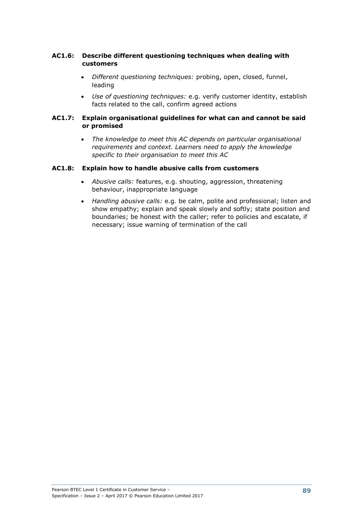# **AC1.6: Describe different questioning techniques when dealing with customers**

- *Different questioning techniques:* probing, open, closed, funnel, leading
- *Use of questioning techniques:* e.g. verify customer identity, establish facts related to the call, confirm agreed actions

### **AC1.7: Explain organisational guidelines for what can and cannot be said or promised**

 *The knowledge to meet this AC depends on particular organisational requirements and context. Learners need to apply the knowledge specific to their organisation to meet this AC*

# **AC1.8: Explain how to handle abusive calls from customers**

- *Abusive calls:* features, e.g. shouting, aggression, threatening behaviour, inappropriate language
- *Handling abusive calls:* e.g. be calm, polite and professional; listen and show empathy; explain and speak slowly and softly; state position and boundaries; be honest with the caller; refer to policies and escalate, if necessary; issue warning of termination of the call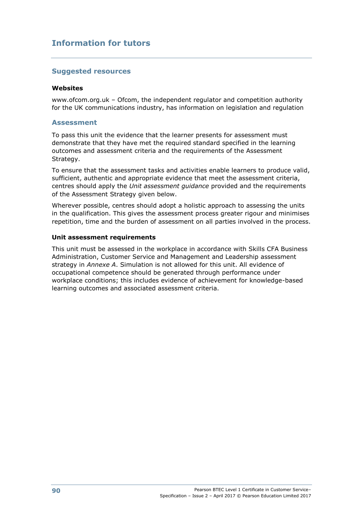# **Suggested resources**

#### **Websites**

www.ofcom.org.uk – Ofcom, the independent regulator and competition authority for the UK communications industry, has information on legislation and regulation

## **Assessment**

To pass this unit the evidence that the learner presents for assessment must demonstrate that they have met the required standard specified in the learning outcomes and assessment criteria and the requirements of the Assessment Strategy.

To ensure that the assessment tasks and activities enable learners to produce valid, sufficient, authentic and appropriate evidence that meet the assessment criteria, centres should apply the *Unit assessment guidance* provided and the requirements of the Assessment Strategy given below.

Wherever possible, centres should adopt a holistic approach to assessing the units in the qualification. This gives the assessment process greater rigour and minimises repetition, time and the burden of assessment on all parties involved in the process.

### **Unit assessment requirements**

This unit must be assessed in the workplace in accordance with Skills CFA Business Administration, Customer Service and Management and Leadership assessment strategy in *Annexe A*. Simulation is not allowed for this unit. All evidence of occupational competence should be generated through performance under workplace conditions; this includes evidence of achievement for knowledge-based learning outcomes and associated assessment criteria.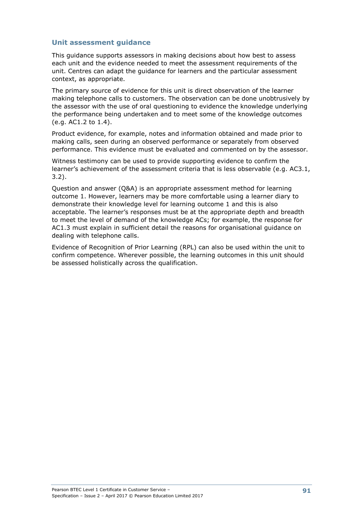## **Unit assessment guidance**

This guidance supports assessors in making decisions about how best to assess each unit and the evidence needed to meet the assessment requirements of the unit. Centres can adapt the guidance for learners and the particular assessment context, as appropriate.

The primary source of evidence for this unit is direct observation of the learner making telephone calls to customers. The observation can be done unobtrusively by the assessor with the use of oral questioning to evidence the knowledge underlying the performance being undertaken and to meet some of the knowledge outcomes (e.g. AC1.2 to 1.4).

Product evidence, for example, notes and information obtained and made prior to making calls, seen during an observed performance or separately from observed performance. This evidence must be evaluated and commented on by the assessor.

Witness testimony can be used to provide supporting evidence to confirm the learner's achievement of the assessment criteria that is less observable (e.g. AC3.1, 3.2).

Question and answer (Q&A) is an appropriate assessment method for learning outcome 1. However, learners may be more comfortable using a learner diary to demonstrate their knowledge level for learning outcome 1 and this is also acceptable. The learner's responses must be at the appropriate depth and breadth to meet the level of demand of the knowledge ACs; for example, the response for AC1.3 must explain in sufficient detail the reasons for organisational guidance on dealing with telephone calls.

Evidence of Recognition of Prior Learning (RPL) can also be used within the unit to confirm competence. Wherever possible, the learning outcomes in this unit should be assessed holistically across the qualification.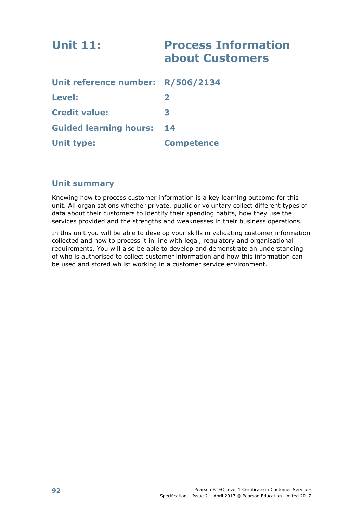| <b>Unit 11:</b>                   | <b>Process Information</b><br>about Customers |
|-----------------------------------|-----------------------------------------------|
| Unit reference number: R/506/2134 |                                               |
| Level:                            | $\mathbf{z}$                                  |
| <b>Credit value:</b>              | 3                                             |
| <b>Guided learning hours:</b>     | 14                                            |
| <b>Unit type:</b>                 | <b>Competence</b>                             |

# **Unit summary**

Knowing how to process customer information is a key learning outcome for this unit. All organisations whether private, public or voluntary collect different types of data about their customers to identify their spending habits, how they use the services provided and the strengths and weaknesses in their business operations.

In this unit you will be able to develop your skills in validating customer information collected and how to process it in line with legal, regulatory and organisational requirements. You will also be able to develop and demonstrate an understanding of who is authorised to collect customer information and how this information can be used and stored whilst working in a customer service environment.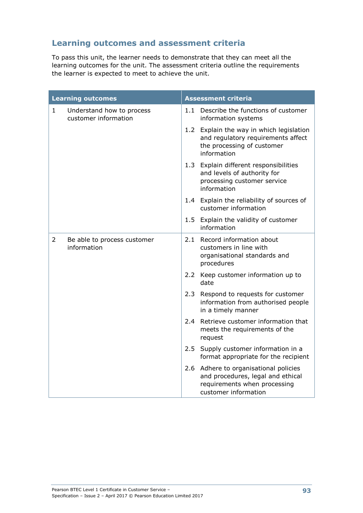# **Learning outcomes and assessment criteria**

To pass this unit, the learner needs to demonstrate that they can meet all the learning outcomes for the unit. The assessment criteria outline the requirements the learner is expected to meet to achieve the unit.

|                | <b>Learning outcomes</b>                          | <b>Assessment criteria</b> |                                                                                                                                    |  |
|----------------|---------------------------------------------------|----------------------------|------------------------------------------------------------------------------------------------------------------------------------|--|
| $\mathbf{1}$   | Understand how to process<br>customer information |                            | 1.1 Describe the functions of customer<br>information systems                                                                      |  |
|                |                                                   |                            | 1.2 Explain the way in which legislation<br>and regulatory requirements affect<br>the processing of customer<br>information        |  |
|                |                                                   |                            | 1.3 Explain different responsibilities<br>and levels of authority for<br>processing customer service<br>information                |  |
|                |                                                   |                            | 1.4 Explain the reliability of sources of<br>customer information                                                                  |  |
|                |                                                   |                            | 1.5 Explain the validity of customer<br>information                                                                                |  |
| $\overline{2}$ | Be able to process customer<br>information        |                            | 2.1 Record information about<br>customers in line with<br>organisational standards and<br>procedures                               |  |
|                |                                                   |                            | 2.2 Keep customer information up to<br>date                                                                                        |  |
|                |                                                   |                            | 2.3 Respond to requests for customer<br>information from authorised people<br>in a timely manner                                   |  |
|                |                                                   | $2.4^{\circ}$              | Retrieve customer information that<br>meets the requirements of the<br>request                                                     |  |
|                |                                                   |                            | 2.5 Supply customer information in a<br>format appropriate for the recipient                                                       |  |
|                |                                                   |                            | 2.6 Adhere to organisational policies<br>and procedures, legal and ethical<br>requirements when processing<br>customer information |  |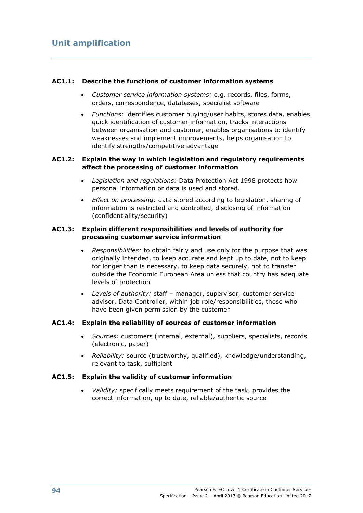## **AC1.1: Describe the functions of customer information systems**

- *Customer service information systems:* e.g. records, files, forms, orders, correspondence, databases, specialist software
- *Functions:* identifies customer buying/user habits, stores data, enables quick identification of customer information, tracks interactions between organisation and customer, enables organisations to identify weaknesses and implement improvements, helps organisation to identify strengths/competitive advantage

#### **AC1.2: Explain the way in which legislation and regulatory requirements affect the processing of customer information**

- *Legislation and regulations:* Data Protection Act 1998 protects how personal information or data is used and stored.
- *Effect on processing:* data stored according to legislation, sharing of information is restricted and controlled, disclosing of information (confidentiality/security)

#### **AC1.3: Explain different responsibilities and levels of authority for processing customer service information**

- *Responsibilities:* to obtain fairly and use only for the purpose that was originally intended, to keep accurate and kept up to date, not to keep for longer than is necessary, to keep data securely, not to transfer outside the Economic European Area unless that country has adequate levels of protection
- *Levels of authority:* staff manager, supervisor, customer service advisor, Data Controller, within job role/responsibilities, those who have been given permission by the customer

#### **AC1.4: Explain the reliability of sources of customer information**

- *Sources:* customers (internal, external), suppliers, specialists, records (electronic, paper)
- *Reliability:* source (trustworthy, qualified), knowledge/understanding, relevant to task, sufficient

#### **AC1.5: Explain the validity of customer information**

 *Validity:* specifically meets requirement of the task, provides the correct information, up to date, reliable/authentic source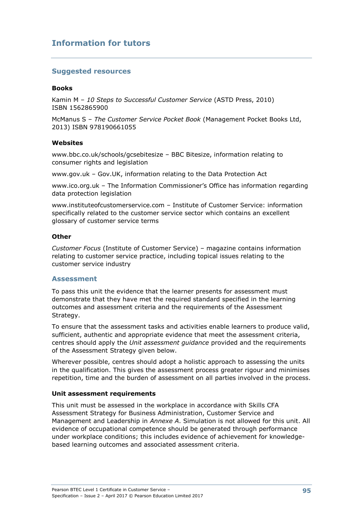## **Suggested resources**

#### **Books**

Kamin M – *10 Steps to Successful Customer Service* (ASTD Press, 2010) ISBN 1562865900

McManus S – *The Customer Service Pocket Book* (Management Pocket Books Ltd, 2013) ISBN 978190661055

#### **Websites**

www.bbc.co.uk/schools/gcsebitesize – BBC Bitesize, information relating to consumer rights and legislation

www.gov.uk – Gov.UK, information relating to the Data Protection Act

www.ico.org.uk – The Information Commissioner's Office has information regarding data protection legislation

www.instituteofcustomerservice.com – Institute of Customer Service: information specifically related to the customer service sector which contains an excellent glossary of customer service terms

#### **Other**

*Customer Focus* (Institute of Customer Service) – magazine contains information relating to customer service practice, including topical issues relating to the customer service industry

#### **Assessment**

To pass this unit the evidence that the learner presents for assessment must demonstrate that they have met the required standard specified in the learning outcomes and assessment criteria and the requirements of the Assessment Strategy.

To ensure that the assessment tasks and activities enable learners to produce valid, sufficient, authentic and appropriate evidence that meet the assessment criteria, centres should apply the *Unit assessment guidance* provided and the requirements of the Assessment Strategy given below.

Wherever possible, centres should adopt a holistic approach to assessing the units in the qualification. This gives the assessment process greater rigour and minimises repetition, time and the burden of assessment on all parties involved in the process.

#### **Unit assessment requirements**

This unit must be assessed in the workplace in accordance with Skills CFA Assessment Strategy for Business Administration, Customer Service and Management and Leadership in *Annexe A*. Simulation is not allowed for this unit. All evidence of occupational competence should be generated through performance under workplace conditions; this includes evidence of achievement for knowledgebased learning outcomes and associated assessment criteria.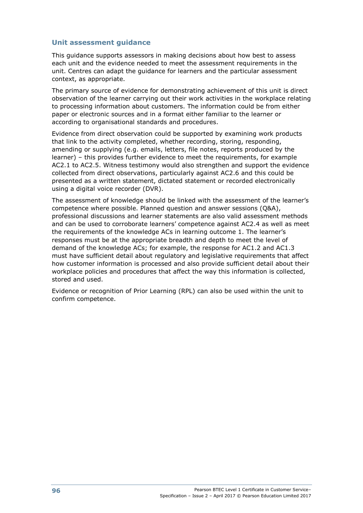## **Unit assessment guidance**

This guidance supports assessors in making decisions about how best to assess each unit and the evidence needed to meet the assessment requirements in the unit. Centres can adapt the guidance for learners and the particular assessment context, as appropriate.

The primary source of evidence for demonstrating achievement of this unit is direct observation of the learner carrying out their work activities in the workplace relating to processing information about customers. The information could be from either paper or electronic sources and in a format either familiar to the learner or according to organisational standards and procedures.

Evidence from direct observation could be supported by examining work products that link to the activity completed, whether recording, storing, responding, amending or supplying (e.g. emails, letters, file notes, reports produced by the learner) – this provides further evidence to meet the requirements, for example AC2.1 to AC2.5. Witness testimony would also strengthen and support the evidence collected from direct observations, particularly against AC2.6 and this could be presented as a written statement, dictated statement or recorded electronically using a digital voice recorder (DVR).

The assessment of knowledge should be linked with the assessment of the learner's competence where possible. Planned question and answer sessions (Q&A), professional discussions and learner statements are also valid assessment methods and can be used to corroborate learners' competence against AC2.4 as well as meet the requirements of the knowledge ACs in learning outcome 1. The learner's responses must be at the appropriate breadth and depth to meet the level of demand of the knowledge ACs; for example, the response for AC1.2 and AC1.3 must have sufficient detail about regulatory and legislative requirements that affect how customer information is processed and also provide sufficient detail about their workplace policies and procedures that affect the way this information is collected, stored and used.

Evidence or recognition of Prior Learning (RPL) can also be used within the unit to confirm competence.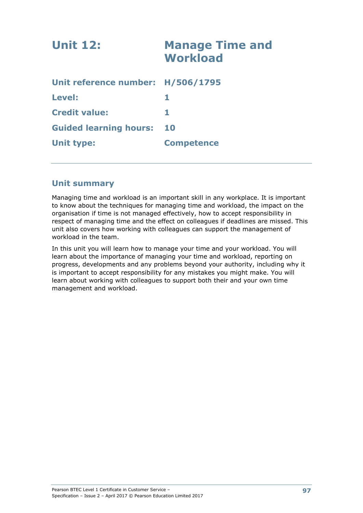| <b>Unit 12:</b>                   | <b>Manage Time and</b><br><b>Workload</b> |
|-----------------------------------|-------------------------------------------|
| Unit reference number: H/506/1795 |                                           |
| Level:                            |                                           |
| <b>Credit value:</b>              |                                           |
| <b>Guided learning hours:</b>     | <b>10</b>                                 |
| <b>Unit type:</b>                 | <b>Competence</b>                         |
|                                   |                                           |

# **Unit summary**

Managing time and workload is an important skill in any workplace. It is important to know about the techniques for managing time and workload, the impact on the organisation if time is not managed effectively, how to accept responsibility in respect of managing time and the effect on colleagues if deadlines are missed. This unit also covers how working with colleagues can support the management of workload in the team.

In this unit you will learn how to manage your time and your workload. You will learn about the importance of managing your time and workload, reporting on progress, developments and any problems beyond your authority, including why it is important to accept responsibility for any mistakes you might make. You will learn about working with colleagues to support both their and your own time management and workload.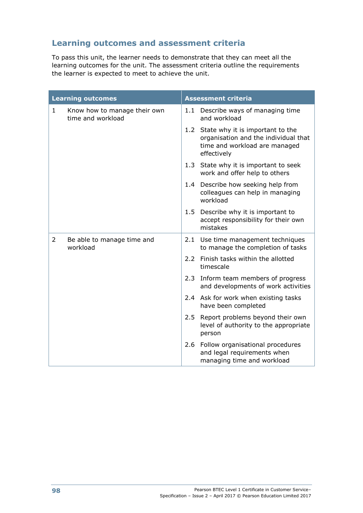# **Learning outcomes and assessment criteria**

To pass this unit, the learner needs to demonstrate that they can meet all the learning outcomes for the unit. The assessment criteria outline the requirements the learner is expected to meet to achieve the unit.

| <b>Learning outcomes</b> |                                                   | <b>Assessment criteria</b> |                                                                                                                              |
|--------------------------|---------------------------------------------------|----------------------------|------------------------------------------------------------------------------------------------------------------------------|
| $\mathbf{1}$             | Know how to manage their own<br>time and workload | 1.1                        | Describe ways of managing time<br>and workload                                                                               |
|                          |                                                   |                            | 1.2 State why it is important to the<br>organisation and the individual that<br>time and workload are managed<br>effectively |
|                          |                                                   |                            | 1.3 State why it is important to seek<br>work and offer help to others                                                       |
|                          |                                                   |                            | 1.4 Describe how seeking help from<br>colleagues can help in managing<br>workload                                            |
|                          |                                                   |                            | 1.5 Describe why it is important to<br>accept responsibility for their own<br>mistakes                                       |
| $\overline{2}$           | Be able to manage time and<br>workload            | 2.1                        | Use time management techniques<br>to manage the completion of tasks                                                          |
|                          |                                                   |                            | 2.2 Finish tasks within the allotted<br>timescale                                                                            |
|                          |                                                   | 2.3                        | Inform team members of progress<br>and developments of work activities                                                       |
|                          |                                                   |                            | 2.4 Ask for work when existing tasks<br>have been completed                                                                  |
|                          |                                                   | 2.5                        | Report problems beyond their own<br>level of authority to the appropriate<br>person                                          |
|                          |                                                   | 2.6                        | Follow organisational procedures<br>and legal requirements when<br>managing time and workload                                |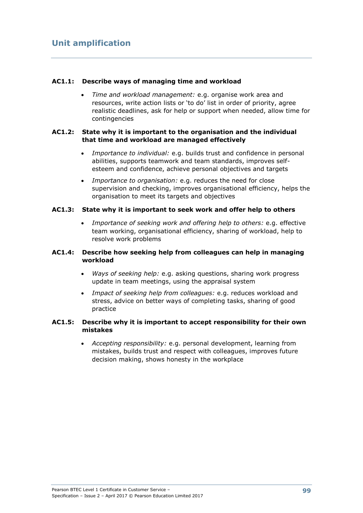#### **AC1.1: Describe ways of managing time and workload**

 *Time and workload management:* e.g. organise work area and resources, write action lists or 'to do' list in order of priority, agree realistic deadlines, ask for help or support when needed, allow time for contingencies

### **AC1.2: State why it is important to the organisation and the individual that time and workload are managed effectively**

- *Importance to individual:* e.g. builds trust and confidence in personal abilities, supports teamwork and team standards, improves selfesteem and confidence, achieve personal objectives and targets
- *Importance to organisation:* e.g. reduces the need for close supervision and checking, improves organisational efficiency, helps the organisation to meet its targets and objectives

#### **AC1.3: State why it is important to seek work and offer help to others**

 *Importance of seeking work and offering help to others:* e.g. effective team working, organisational efficiency, sharing of workload, help to resolve work problems

### **AC1.4: Describe how seeking help from colleagues can help in managing workload**

- *Ways of seeking help:* e.g. asking questions, sharing work progress update in team meetings, using the appraisal system
- *Impact of seeking help from colleagues:* e.g. reduces workload and stress, advice on better ways of completing tasks, sharing of good practice

### **AC1.5: Describe why it is important to accept responsibility for their own mistakes**

 *Accepting responsibility:* e.g. personal development, learning from mistakes, builds trust and respect with colleagues, improves future decision making, shows honesty in the workplace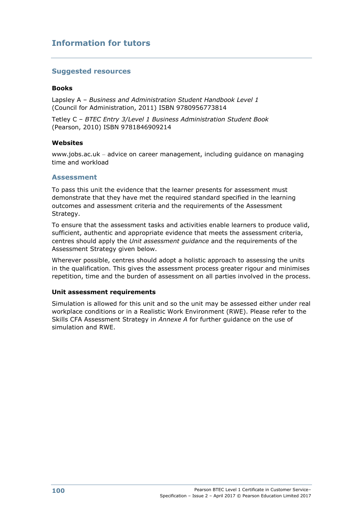# **Suggested resources**

#### **Books**

Lapsley A – *Business and Administration Student Handbook Level 1* (Council for Administration, 2011) ISBN 9780956773814

Tetley C – *BTEC Entry 3/Level 1 Business Administration Student Book* (Pearson, 2010) ISBN 9781846909214

#### **Websites**

www.jobs.ac.uk – advice on career management, including guidance on managing time and workload

#### **Assessment**

To pass this unit the evidence that the learner presents for assessment must demonstrate that they have met the required standard specified in the learning outcomes and assessment criteria and the requirements of the Assessment Strategy.

To ensure that the assessment tasks and activities enable learners to produce valid, sufficient, authentic and appropriate evidence that meets the assessment criteria, centres should apply the *Unit assessment guidance* and the requirements of the Assessment Strategy given below.

Wherever possible, centres should adopt a holistic approach to assessing the units in the qualification. This gives the assessment process greater rigour and minimises repetition, time and the burden of assessment on all parties involved in the process.

#### **Unit assessment requirements**

Simulation is allowed for this unit and so the unit may be assessed either under real workplace conditions or in a Realistic Work Environment (RWE). Please refer to the Skills CFA Assessment Strategy in *Annexe A* for further guidance on the use of simulation and RWE.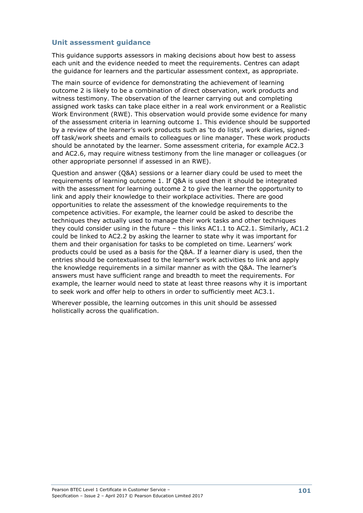This guidance supports assessors in making decisions about how best to assess each unit and the evidence needed to meet the requirements. Centres can adapt the guidance for learners and the particular assessment context, as appropriate.

The main source of evidence for demonstrating the achievement of learning outcome 2 is likely to be a combination of direct observation, work products and witness testimony. The observation of the learner carrying out and completing assigned work tasks can take place either in a real work environment or a Realistic Work Environment (RWE). This observation would provide some evidence for many of the assessment criteria in learning outcome 1. This evidence should be supported by a review of the learner's work products such as 'to do lists', work diaries, signedoff task/work sheets and emails to colleagues or line manager. These work products should be annotated by the learner. Some assessment criteria, for example AC2.3 and AC2.6, may require witness testimony from the line manager or colleagues (or other appropriate personnel if assessed in an RWE).

Question and answer (Q&A) sessions or a learner diary could be used to meet the requirements of learning outcome 1. If Q&A is used then it should be integrated with the assessment for learning outcome 2 to give the learner the opportunity to link and apply their knowledge to their workplace activities. There are good opportunities to relate the assessment of the knowledge requirements to the competence activities. For example, the learner could be asked to describe the techniques they actually used to manage their work tasks and other techniques they could consider using in the future – this links AC1.1 to AC2.1. Similarly, AC1.2 could be linked to AC2.2 by asking the learner to state why it was important for them and their organisation for tasks to be completed on time. Learners' work products could be used as a basis for the Q&A. If a learner diary is used, then the entries should be contextualised to the learner's work activities to link and apply the knowledge requirements in a similar manner as with the Q&A. The learner's answers must have sufficient range and breadth to meet the requirements. For example, the learner would need to state at least three reasons why it is important to seek work and offer help to others in order to sufficiently meet AC3.1.

Wherever possible, the learning outcomes in this unit should be assessed holistically across the qualification.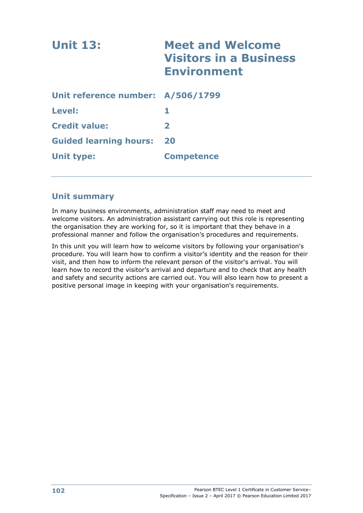| <b>Unit 13:</b>                   | <b>Meet and Welcome</b><br><b>Visitors in a Business</b><br><b>Environment</b> |
|-----------------------------------|--------------------------------------------------------------------------------|
| Unit reference number: A/506/1799 |                                                                                |
| Level:                            | 1.                                                                             |
| <b>Credit value:</b>              | $\overline{\mathbf{2}}$                                                        |
| <b>Guided learning hours:</b>     | 20                                                                             |
| Unit type:                        | <b>Competence</b>                                                              |

## **Unit summary**

In many business environments, administration staff may need to meet and welcome visitors. An administration assistant carrying out this role is representing the organisation they are working for, so it is important that they behave in a professional manner and follow the organisation's procedures and requirements.

In this unit you will learn how to welcome visitors by following your organisation's procedure. You will learn how to confirm a visitor's identity and the reason for their visit, and then how to inform the relevant person of the visitor's arrival. You will learn how to record the visitor's arrival and departure and to check that any health and safety and security actions are carried out. You will also learn how to present a positive personal image in keeping with your organisation's requirements.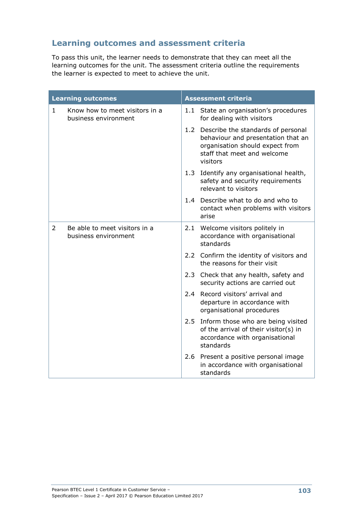# **Learning outcomes and assessment criteria**

To pass this unit, the learner needs to demonstrate that they can meet all the learning outcomes for the unit. The assessment criteria outline the requirements the learner is expected to meet to achieve the unit.

| <b>Learning outcomes</b> |                                                        | <b>Assessment criteria</b> |                                                                                                                                                        |  |
|--------------------------|--------------------------------------------------------|----------------------------|--------------------------------------------------------------------------------------------------------------------------------------------------------|--|
| $\mathbf{1}$             | Know how to meet visitors in a<br>business environment |                            | 1.1 State an organisation's procedures<br>for dealing with visitors                                                                                    |  |
|                          |                                                        | 1.2                        | Describe the standards of personal<br>behaviour and presentation that an<br>organisation should expect from<br>staff that meet and welcome<br>visitors |  |
|                          |                                                        |                            | 1.3 Identify any organisational health,<br>safety and security requirements<br>relevant to visitors                                                    |  |
|                          |                                                        |                            | 1.4 Describe what to do and who to<br>contact when problems with visitors<br>arise                                                                     |  |
| $\overline{2}$           | Be able to meet visitors in a<br>business environment  |                            | 2.1 Welcome visitors politely in<br>accordance with organisational<br>standards                                                                        |  |
|                          |                                                        |                            | 2.2 Confirm the identity of visitors and<br>the reasons for their visit                                                                                |  |
|                          |                                                        |                            | 2.3 Check that any health, safety and<br>security actions are carried out                                                                              |  |
|                          |                                                        | 2.4                        | Record visitors' arrival and<br>departure in accordance with<br>organisational procedures                                                              |  |
|                          |                                                        | 2.5                        | Inform those who are being visited<br>of the arrival of their visitor(s) in<br>accordance with organisational<br>standards                             |  |
|                          |                                                        |                            | 2.6 Present a positive personal image<br>in accordance with organisational<br>standards                                                                |  |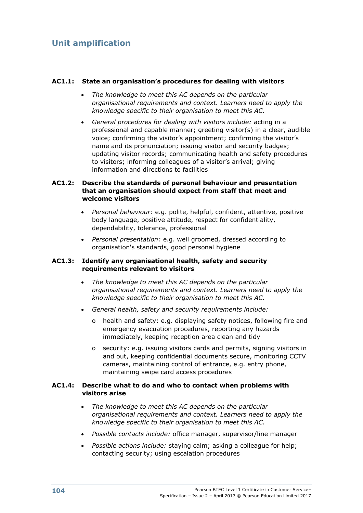#### **AC1.1: State an organisation's procedures for dealing with visitors**

- *The knowledge to meet this AC depends on the particular organisational requirements and context. Learners need to apply the knowledge specific to their organisation to meet this AC.*
- *General procedures for dealing with visitors include:* acting in a professional and capable manner; greeting visitor(s) in a clear, audible voice; confirming the visitor's appointment; confirming the visitor's name and its pronunciation; issuing visitor and security badges; updating visitor records; communicating health and safety procedures to visitors; informing colleagues of a visitor's arrival; giving information and directions to facilities

#### **AC1.2: Describe the standards of personal behaviour and presentation that an organisation should expect from staff that meet and welcome visitors**

- *Personal behaviour:* e.g. polite, helpful, confident, attentive, positive body language, positive attitude, respect for confidentiality, dependability, tolerance, professional
- *Personal presentation:* e.g. well groomed, dressed according to organisation's standards, good personal hygiene

#### **AC1.3: Identify any organisational health, safety and security requirements relevant to visitors**

- *The knowledge to meet this AC depends on the particular organisational requirements and context. Learners need to apply the knowledge specific to their organisation to meet this AC.*
- *General health, safety and security requirements include:*
	- o health and safety: e.g. displaying safety notices, following fire and emergency evacuation procedures, reporting any hazards immediately, keeping reception area clean and tidy
	- o security: e.g. issuing visitors cards and permits, signing visitors in and out, keeping confidential documents secure, monitoring CCTV cameras, maintaining control of entrance, e.g. entry phone, maintaining swipe card access procedures

#### **AC1.4: Describe what to do and who to contact when problems with visitors arise**

- *The knowledge to meet this AC depends on the particular organisational requirements and context. Learners need to apply the knowledge specific to their organisation to meet this AC.*
- *Possible contacts include:* office manager, supervisor/line manager
- *Possible actions include:* staying calm; asking a colleague for help; contacting security; using escalation procedures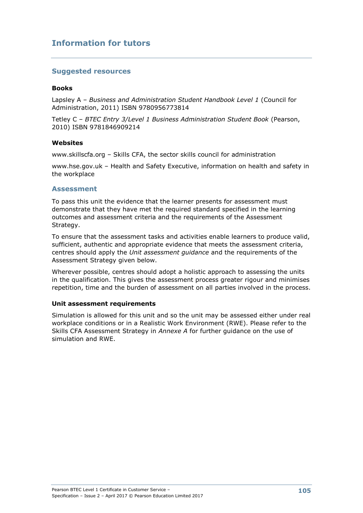## **Information for tutors**

#### **Suggested resources**

#### **Books**

Lapsley A – *Business and Administration Student Handbook Level 1* (Council for Administration, 2011) ISBN 9780956773814

Tetley C – *BTEC Entry 3/Level 1 Business Administration Student Book* (Pearson, 2010) ISBN 9781846909214

#### **Websites**

www.skillscfa.org – Skills CFA, the sector skills council for administration

www.hse.gov.uk – Health and Safety Executive, information on health and safety in the workplace

#### **Assessment**

To pass this unit the evidence that the learner presents for assessment must demonstrate that they have met the required standard specified in the learning outcomes and assessment criteria and the requirements of the Assessment Strategy.

To ensure that the assessment tasks and activities enable learners to produce valid, sufficient, authentic and appropriate evidence that meets the assessment criteria, centres should apply the *Unit assessment guidance* and the requirements of the Assessment Strategy given below.

Wherever possible, centres should adopt a holistic approach to assessing the units in the qualification. This gives the assessment process greater rigour and minimises repetition, time and the burden of assessment on all parties involved in the process.

#### **Unit assessment requirements**

Simulation is allowed for this unit and so the unit may be assessed either under real workplace conditions or in a Realistic Work Environment (RWE). Please refer to the Skills CFA Assessment Strategy in *Annexe A* for further guidance on the use of simulation and RWE.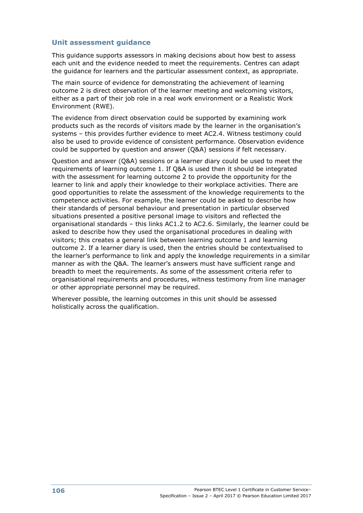This guidance supports assessors in making decisions about how best to assess each unit and the evidence needed to meet the requirements. Centres can adapt the guidance for learners and the particular assessment context, as appropriate.

The main source of evidence for demonstrating the achievement of learning outcome 2 is direct observation of the learner meeting and welcoming visitors, either as a part of their job role in a real work environment or a Realistic Work Environment (RWE).

The evidence from direct observation could be supported by examining work products such as the records of visitors made by the learner in the organisation's systems – this provides further evidence to meet AC2.4. Witness testimony could also be used to provide evidence of consistent performance. Observation evidence could be supported by question and answer (Q&A) sessions if felt necessary.

Question and answer (Q&A) sessions or a learner diary could be used to meet the requirements of learning outcome 1. If Q&A is used then it should be integrated with the assessment for learning outcome 2 to provide the opportunity for the learner to link and apply their knowledge to their workplace activities. There are good opportunities to relate the assessment of the knowledge requirements to the competence activities. For example, the learner could be asked to describe how their standards of personal behaviour and presentation in particular observed situations presented a positive personal image to visitors and reflected the organisational standards – this links AC1.2 to AC2.6. Similarly, the learner could be asked to describe how they used the organisational procedures in dealing with visitors; this creates a general link between learning outcome 1 and learning outcome 2. If a learner diary is used, then the entries should be contextualised to the learner's performance to link and apply the knowledge requirements in a similar manner as with the Q&A. The learner's answers must have sufficient range and breadth to meet the requirements. As some of the assessment criteria refer to organisational requirements and procedures, witness testimony from line manager or other appropriate personnel may be required.

Wherever possible, the learning outcomes in this unit should be assessed holistically across the qualification.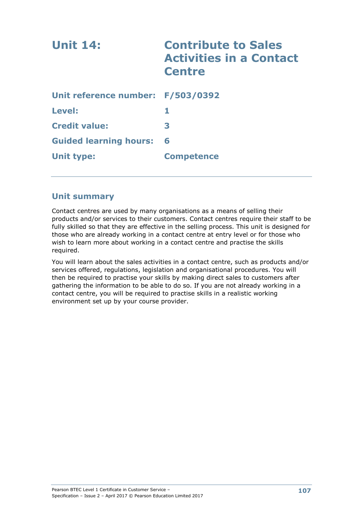| <b>Unit 14:</b>                   | <b>Contribute to Sales</b><br><b>Activities in a Contact</b><br><b>Centre</b> |
|-----------------------------------|-------------------------------------------------------------------------------|
| Unit reference number: F/503/0392 |                                                                               |
| Level:                            | 1.                                                                            |
| <b>Credit value:</b>              | 3                                                                             |
| <b>Guided learning hours:</b>     | 6                                                                             |
| <b>Unit type:</b>                 | <b>Competence</b>                                                             |

## **Unit summary**

Contact centres are used by many organisations as a means of selling their products and/or services to their customers. Contact centres require their staff to be fully skilled so that they are effective in the selling process. This unit is designed for those who are already working in a contact centre at entry level or for those who wish to learn more about working in a contact centre and practise the skills required.

You will learn about the sales activities in a contact centre, such as products and/or services offered, regulations, legislation and organisational procedures. You will then be required to practise your skills by making direct sales to customers after gathering the information to be able to do so. If you are not already working in a contact centre, you will be required to practise skills in a realistic working environment set up by your course provider.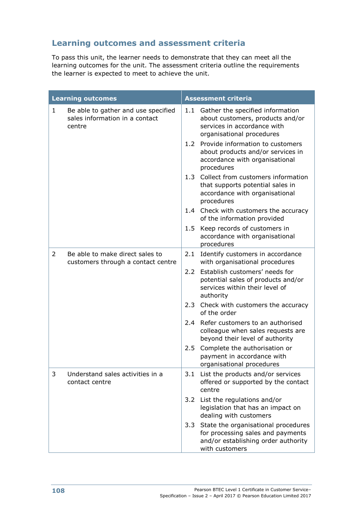# **Learning outcomes and assessment criteria**

To pass this unit, the learner needs to demonstrate that they can meet all the learning outcomes for the unit. The assessment criteria outline the requirements the learner is expected to meet to achieve the unit.

|              | <b>Learning outcomes</b>                                                        | <b>Assessment criteria</b> |                                                                                                                                   |
|--------------|---------------------------------------------------------------------------------|----------------------------|-----------------------------------------------------------------------------------------------------------------------------------|
| $\mathbf{1}$ | Be able to gather and use specified<br>sales information in a contact<br>centre | 1.1                        | Gather the specified information<br>about customers, products and/or<br>services in accordance with<br>organisational procedures  |
|              |                                                                                 |                            | 1.2 Provide information to customers<br>about products and/or services in<br>accordance with organisational<br>procedures         |
|              |                                                                                 |                            | 1.3 Collect from customers information<br>that supports potential sales in<br>accordance with organisational<br>procedures        |
|              |                                                                                 |                            | 1.4 Check with customers the accuracy<br>of the information provided                                                              |
|              |                                                                                 | 1.5                        | Keep records of customers in<br>accordance with organisational<br>procedures                                                      |
| 2            | Be able to make direct sales to<br>customers through a contact centre           | 2.1                        | Identify customers in accordance<br>with organisational procedures                                                                |
|              |                                                                                 | $2.2 -$                    | Establish customers' needs for<br>potential sales of products and/or<br>services within their level of<br>authority               |
|              |                                                                                 |                            | 2.3 Check with customers the accuracy<br>of the order                                                                             |
|              |                                                                                 | 2.4                        | Refer customers to an authorised<br>colleague when sales requests are<br>beyond their level of authority                          |
|              |                                                                                 | 2.5                        | Complete the authorisation or<br>payment in accordance with<br>organisational procedures                                          |
| 3            | Understand sales activities in a<br>contact centre                              | 3.1                        | List the products and/or services<br>offered or supported by the contact<br>centre                                                |
|              |                                                                                 | 3.2                        | List the regulations and/or<br>legislation that has an impact on<br>dealing with customers                                        |
|              |                                                                                 | 3.3                        | State the organisational procedures<br>for processing sales and payments<br>and/or establishing order authority<br>with customers |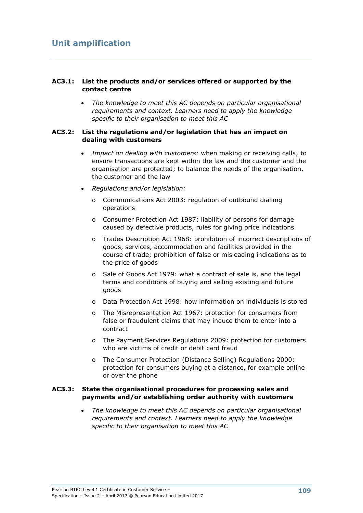#### **AC3.1: List the products and/or services offered or supported by the contact centre**

 *The knowledge to meet this AC depends on particular organisational requirements and context. Learners need to apply the knowledge specific to their organisation to meet this AC*

#### **AC3.2: List the regulations and/or legislation that has an impact on dealing with customers**

- *Impact on dealing with customers:* when making or receiving calls; to ensure transactions are kept within the law and the customer and the organisation are protected; to balance the needs of the organisation, the customer and the law
- *Regulations and/or legislation:*
	- o Communications Act 2003: regulation of outbound dialling operations
	- o Consumer Protection Act 1987: liability of persons for damage caused by defective products, rules for giving price indications
	- o Trades Description Act 1968: prohibition of incorrect descriptions of goods, services, accommodation and facilities provided in the course of trade; prohibition of false or misleading indications as to the price of goods
	- o Sale of Goods Act 1979: what a contract of sale is, and the legal terms and conditions of buying and selling existing and future goods
	- o Data Protection Act 1998: how information on individuals is stored
	- o The Misrepresentation Act 1967: protection for consumers from false or fraudulent claims that may induce them to enter into a contract
	- o The Payment Services Regulations 2009: protection for customers who are victims of credit or debit card fraud
	- o The Consumer Protection (Distance Selling) Regulations 2000: protection for consumers buying at a distance, for example online or over the phone

#### **AC3.3: State the organisational procedures for processing sales and payments and/or establishing order authority with customers**

 *The knowledge to meet this AC depends on particular organisational requirements and context. Learners need to apply the knowledge specific to their organisation to meet this AC*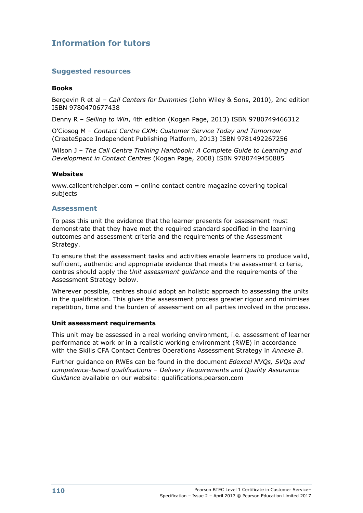## **Information for tutors**

#### **Suggested resources**

#### **Books**

Bergevin R et al – *Call Centers for Dummies* (John Wiley & Sons, 2010), 2nd edition ISBN 9780470677438

Denny R – *Selling to Win*, 4th edition (Kogan Page, 2013) ISBN 9780749466312

O'Ciosog M – *Contact Centre CXM: Customer Service Today and Tomorrow* (CreateSpace Independent Publishing Platform, 2013) ISBN 9781492267256

Wilson J – *The Call Centre Training Handbook: A Complete Guide to Learning and Development in Contact Centres* (Kogan Page, 2008) ISBN 9780749450885

#### **Websites**

www.callcentrehelper.com **–** online contact centre magazine covering topical subjects

#### **Assessment**

To pass this unit the evidence that the learner presents for assessment must demonstrate that they have met the required standard specified in the learning outcomes and assessment criteria and the requirements of the Assessment Strategy.

To ensure that the assessment tasks and activities enable learners to produce valid, sufficient, authentic and appropriate evidence that meets the assessment criteria, centres should apply the *Unit assessment guidance* and the requirements of the Assessment Strategy below.

Wherever possible, centres should adopt an holistic approach to assessing the units in the qualification. This gives the assessment process greater rigour and minimises repetition, time and the burden of assessment on all parties involved in the process.

#### **Unit assessment requirements**

This unit may be assessed in a real working environment, i.e. assessment of learner performance at work or in a realistic working environment (RWE) in accordance with the Skills CFA Contact Centres Operations Assessment Strategy in *Annexe B*.

Further guidance on RWEs can be found in the document *Edexcel NVQs, SVQs and competence-based qualifications* – *Delivery Requirements and Quality Assurance Guidance* available on our website: qualifications.pearson.com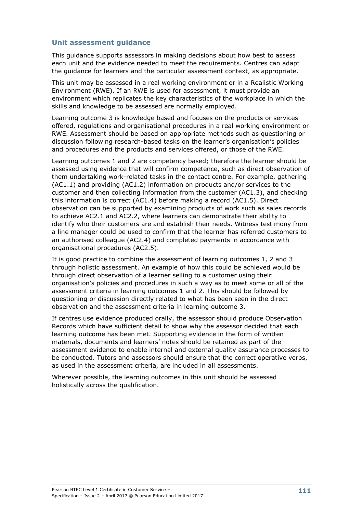This guidance supports assessors in making decisions about how best to assess each unit and the evidence needed to meet the requirements. Centres can adapt the guidance for learners and the particular assessment context, as appropriate.

This unit may be assessed in a real working environment or in a Realistic Working Environment (RWE). If an RWE is used for assessment, it must provide an environment which replicates the key characteristics of the workplace in which the skills and knowledge to be assessed are normally employed.

Learning outcome 3 is knowledge based and focuses on the products or services offered, regulations and organisational procedures in a real working environment or RWE. Assessment should be based on appropriate methods such as questioning or discussion following research-based tasks on the learner's organisation's policies and procedures and the products and services offered, or those of the RWE.

Learning outcomes 1 and 2 are competency based; therefore the learner should be assessed using evidence that will confirm competence, such as direct observation of them undertaking work-related tasks in the contact centre. For example, gathering (AC1.1) and providing (AC1.2) information on products and/or services to the customer and then collecting information from the customer (AC1.3), and checking this information is correct (AC1.4) before making a record (AC1.5). Direct observation can be supported by examining products of work such as sales records to achieve AC2.1 and AC2.2, where learners can demonstrate their ability to identify who their customers are and establish their needs. Witness testimony from a line manager could be used to confirm that the learner has referred customers to an authorised colleague (AC2.4) and completed payments in accordance with organisational procedures (AC2.5).

It is good practice to combine the assessment of learning outcomes 1, 2 and 3 through holistic assessment. An example of how this could be achieved would be through direct observation of a learner selling to a customer using their organisation's policies and procedures in such a way as to meet some or all of the assessment criteria in learning outcomes 1 and 2. This should be followed by questioning or discussion directly related to what has been seen in the direct observation and the assessment criteria in learning outcome 3.

If centres use evidence produced orally, the assessor should produce Observation Records which have sufficient detail to show why the assessor decided that each learning outcome has been met. Supporting evidence in the form of written materials, documents and learners' notes should be retained as part of the assessment evidence to enable internal and external quality assurance processes to be conducted. Tutors and assessors should ensure that the correct operative verbs, as used in the assessment criteria, are included in all assessments.

Wherever possible, the learning outcomes in this unit should be assessed holistically across the qualification.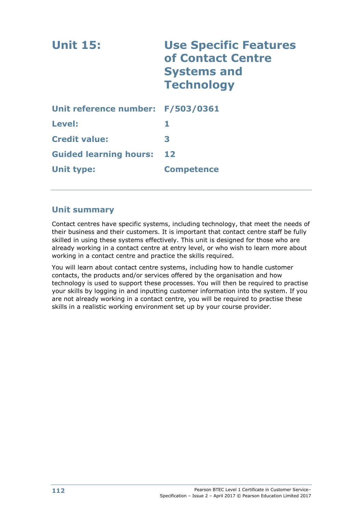| <b>Unit 15:</b>                   | <b>Use Specific Features</b><br>of Contact Centre<br><b>Systems and</b><br><b>Technology</b> |
|-----------------------------------|----------------------------------------------------------------------------------------------|
| Unit reference number: F/503/0361 |                                                                                              |
| Level:                            | 1                                                                                            |
| <b>Credit value:</b>              | 3                                                                                            |
| <b>Guided learning hours:</b>     | 12                                                                                           |
| <b>Unit type:</b>                 | <b>Competence</b>                                                                            |

## **Unit summary**

Contact centres have specific systems, including technology, that meet the needs of their business and their customers. It is important that contact centre staff be fully skilled in using these systems effectively. This unit is designed for those who are already working in a contact centre at entry level, or who wish to learn more about working in a contact centre and practice the skills required.

You will learn about contact centre systems, including how to handle customer contacts, the products and/or services offered by the organisation and how technology is used to support these processes. You will then be required to practise your skills by logging in and inputting customer information into the system. If you are not already working in a contact centre, you will be required to practise these skills in a realistic working environment set up by your course provider.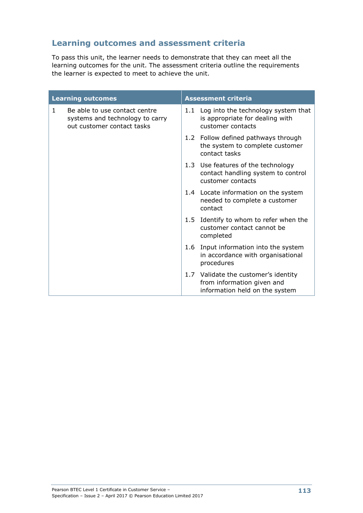# **Learning outcomes and assessment criteria**

To pass this unit, the learner needs to demonstrate that they can meet all the learning outcomes for the unit. The assessment criteria outline the requirements the learner is expected to meet to achieve the unit.

|              | <b>Learning outcomes</b>                                                                       | <b>Assessment criteria</b>                                                                    |                                                                                                      |  |
|--------------|------------------------------------------------------------------------------------------------|-----------------------------------------------------------------------------------------------|------------------------------------------------------------------------------------------------------|--|
| $\mathbf{1}$ | Be able to use contact centre<br>systems and technology to carry<br>out customer contact tasks | 1.1                                                                                           | Log into the technology system that<br>is appropriate for dealing with<br>customer contacts          |  |
|              |                                                                                                |                                                                                               | 1.2 Follow defined pathways through<br>the system to complete customer<br>contact tasks              |  |
|              |                                                                                                | 1.3 Use features of the technology<br>contact handling system to control<br>customer contacts |                                                                                                      |  |
|              |                                                                                                | 1.4 Locate information on the system<br>needed to complete a customer<br>contact              |                                                                                                      |  |
|              |                                                                                                | 1.5                                                                                           | Identify to whom to refer when the<br>customer contact cannot be<br>completed                        |  |
|              |                                                                                                | 1.6                                                                                           | Input information into the system<br>in accordance with organisational<br>procedures                 |  |
|              |                                                                                                |                                                                                               | 1.7 Validate the customer's identity<br>from information given and<br>information held on the system |  |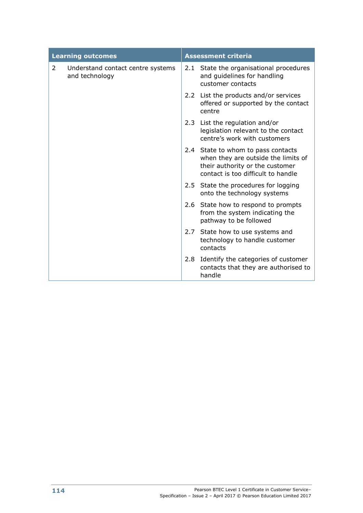|   | <b>Learning outcomes</b>                            | <b>Assessment criteria</b> |                                                                                                                                                    |
|---|-----------------------------------------------------|----------------------------|----------------------------------------------------------------------------------------------------------------------------------------------------|
| 2 | Understand contact centre systems<br>and technology | 2.1                        | State the organisational procedures<br>and guidelines for handling<br>customer contacts                                                            |
|   |                                                     |                            | 2.2 List the products and/or services<br>offered or supported by the contact<br>centre                                                             |
|   |                                                     |                            | 2.3 List the regulation and/or<br>legislation relevant to the contact<br>centre's work with customers                                              |
|   |                                                     |                            | 2.4 State to whom to pass contacts<br>when they are outside the limits of<br>their authority or the customer<br>contact is too difficult to handle |
|   |                                                     |                            | 2.5 State the procedures for logging<br>onto the technology systems                                                                                |
|   |                                                     |                            | 2.6 State how to respond to prompts<br>from the system indicating the<br>pathway to be followed                                                    |
|   |                                                     | 2.7                        | State how to use systems and<br>technology to handle customer<br>contacts                                                                          |
|   |                                                     |                            | 2.8 Identify the categories of customer<br>contacts that they are authorised to<br>handle                                                          |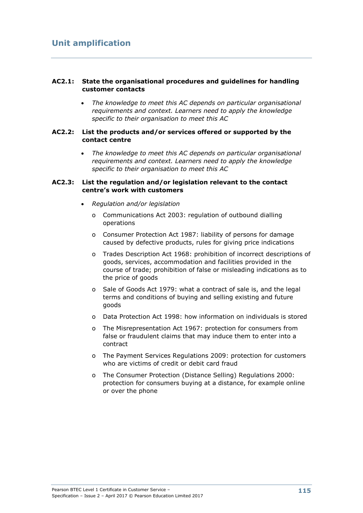#### **AC2.1: State the organisational procedures and guidelines for handling customer contacts**

 *The knowledge to meet this AC depends on particular organisational requirements and context. Learners need to apply the knowledge specific to their organisation to meet this AC*

#### **AC2.2: List the products and/or services offered or supported by the contact centre**

 *The knowledge to meet this AC depends on particular organisational requirements and context. Learners need to apply the knowledge specific to their organisation to meet this AC*

#### **AC2.3: List the regulation and/or legislation relevant to the contact centre's work with customers**

- *Regulation and/or legislation*
	- o Communications Act 2003: regulation of outbound dialling operations
	- o Consumer Protection Act 1987: liability of persons for damage caused by defective products, rules for giving price indications
	- o Trades Description Act 1968: prohibition of incorrect descriptions of goods, services, accommodation and facilities provided in the course of trade; prohibition of false or misleading indications as to the price of goods
	- o Sale of Goods Act 1979: what a contract of sale is, and the legal terms and conditions of buying and selling existing and future goods
	- o Data Protection Act 1998: how information on individuals is stored
	- o The Misrepresentation Act 1967: protection for consumers from false or fraudulent claims that may induce them to enter into a contract
	- o The Payment Services Regulations 2009: protection for customers who are victims of credit or debit card fraud
	- o The Consumer Protection (Distance Selling) Regulations 2000: protection for consumers buying at a distance, for example online or over the phone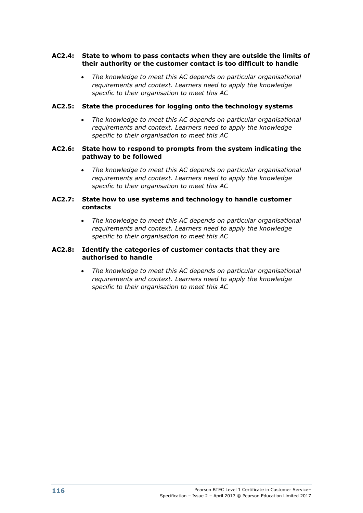#### **AC2.4: State to whom to pass contacts when they are outside the limits of their authority or the customer contact is too difficult to handle**

 *The knowledge to meet this AC depends on particular organisational requirements and context. Learners need to apply the knowledge specific to their organisation to meet this AC*

#### **AC2.5: State the procedures for logging onto the technology systems**

 *The knowledge to meet this AC depends on particular organisational requirements and context. Learners need to apply the knowledge specific to their organisation to meet this AC*

#### **AC2.6: State how to respond to prompts from the system indicating the pathway to be followed**

 *The knowledge to meet this AC depends on particular organisational requirements and context. Learners need to apply the knowledge specific to their organisation to meet this AC*

#### **AC2.7: State how to use systems and technology to handle customer contacts**

 *The knowledge to meet this AC depends on particular organisational requirements and context. Learners need to apply the knowledge specific to their organisation to meet this AC*

#### **AC2.8: Identify the categories of customer contacts that they are authorised to handle**

 *The knowledge to meet this AC depends on particular organisational requirements and context. Learners need to apply the knowledge specific to their organisation to meet this AC*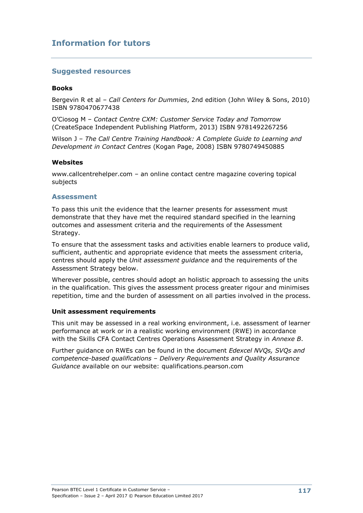## **Information for tutors**

#### **Suggested resources**

#### **Books**

Bergevin R et al – *Call Centers for Dummies*, 2nd edition (John Wiley & Sons, 2010) ISBN 9780470677438

O'Ciosog M – *Contact Centre CXM: Customer Service Today and Tomorrow* (CreateSpace Independent Publishing Platform, 2013) ISBN 9781492267256

Wilson J – *The Call Centre Training Handbook: A Complete Guide to Learning and Development in Contact Centres* (Kogan Page, 2008) ISBN 9780749450885

#### **Websites**

www.callcentrehelper.com – an online contact centre magazine covering topical subjects

#### **Assessment**

To pass this unit the evidence that the learner presents for assessment must demonstrate that they have met the required standard specified in the learning outcomes and assessment criteria and the requirements of the Assessment Strategy.

To ensure that the assessment tasks and activities enable learners to produce valid, sufficient, authentic and appropriate evidence that meets the assessment criteria, centres should apply the *Unit assessment guidance* and the requirements of the Assessment Strategy below.

Wherever possible, centres should adopt an holistic approach to assessing the units in the qualification. This gives the assessment process greater rigour and minimises repetition, time and the burden of assessment on all parties involved in the process.

#### **Unit assessment requirements**

This unit may be assessed in a real working environment, i.e. assessment of learner performance at work or in a realistic working environment (RWE) in accordance with the Skills CFA Contact Centres Operations Assessment Strategy in *Annexe B*.

Further guidance on RWEs can be found in the document *Edexcel NVQs, SVQs and competence-based qualifications* – *Delivery Requirements and Quality Assurance Guidance* available on our website: qualifications.pearson.com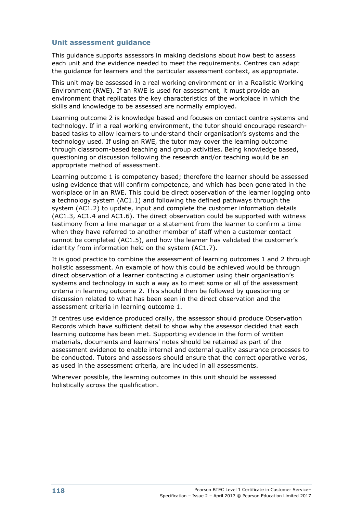This guidance supports assessors in making decisions about how best to assess each unit and the evidence needed to meet the requirements. Centres can adapt the guidance for learners and the particular assessment context, as appropriate.

This unit may be assessed in a real working environment or in a Realistic Working Environment (RWE). If an RWE is used for assessment, it must provide an environment that replicates the key characteristics of the workplace in which the skills and knowledge to be assessed are normally employed.

Learning outcome 2 is knowledge based and focuses on contact centre systems and technology. If in a real working environment, the tutor should encourage researchbased tasks to allow learners to understand their organisation's systems and the technology used. If using an RWE, the tutor may cover the learning outcome through classroom-based teaching and group activities. Being knowledge based, questioning or discussion following the research and/or teaching would be an appropriate method of assessment.

Learning outcome 1 is competency based; therefore the learner should be assessed using evidence that will confirm competence, and which has been generated in the workplace or in an RWE. This could be direct observation of the learner logging onto a technology system (AC1.1) and following the defined pathways through the system (AC1.2) to update, input and complete the customer information details (AC1.3, AC1.4 and AC1.6). The direct observation could be supported with witness testimony from a line manager or a statement from the learner to confirm a time when they have referred to another member of staff when a customer contact cannot be completed (AC1.5), and how the learner has validated the customer's identity from information held on the system (AC1.7).

It is good practice to combine the assessment of learning outcomes 1 and 2 through holistic assessment. An example of how this could be achieved would be through direct observation of a learner contacting a customer using their organisation's systems and technology in such a way as to meet some or all of the assessment criteria in learning outcome 2. This should then be followed by questioning or discussion related to what has been seen in the direct observation and the assessment criteria in learning outcome 1.

If centres use evidence produced orally, the assessor should produce Observation Records which have sufficient detail to show why the assessor decided that each learning outcome has been met. Supporting evidence in the form of written materials, documents and learners' notes should be retained as part of the assessment evidence to enable internal and external quality assurance processes to be conducted. Tutors and assessors should ensure that the correct operative verbs, as used in the assessment criteria, are included in all assessments.

Wherever possible, the learning outcomes in this unit should be assessed holistically across the qualification.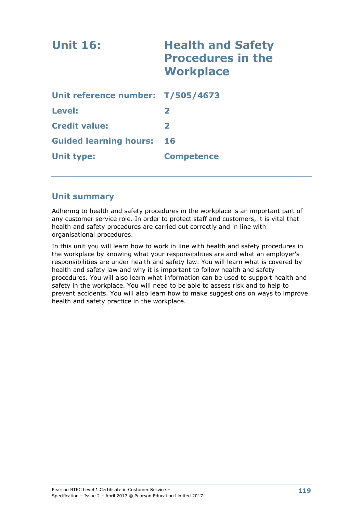| <b>Unit 16:</b>                   | <b>Health and Safety</b><br><b>Procedures in the</b><br><b>Workplace</b> |
|-----------------------------------|--------------------------------------------------------------------------|
| Unit reference number: T/505/4673 |                                                                          |
| Level:                            | $\mathbf{2}$                                                             |
| <b>Credit value:</b>              | $\mathbf{z}$                                                             |
| <b>Guided learning hours:</b>     | 16                                                                       |
| <b>Unit type:</b>                 | <b>Competence</b>                                                        |

## **Unit summary**

Adhering to health and safety procedures in the workplace is an important part of any customer service role. In order to protect staff and customers, it is vital that health and safety procedures are carried out correctly and in line with organisational procedures.

In this unit you will learn how to work in line with health and safety procedures in the workplace by knowing what your responsibilities are and what an employer's responsibilities are under health and safety law. You will learn what is covered by health and safety law and why it is important to follow health and safety procedures. You will also learn what information can be used to support health and safety in the workplace. You will need to be able to assess risk and to help to prevent accidents. You will also learn how to make suggestions on ways to improve health and safety practice in the workplace.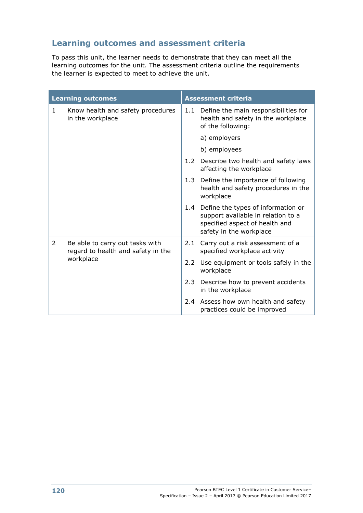# **Learning outcomes and assessment criteria**

To pass this unit, the learner needs to demonstrate that they can meet all the learning outcomes for the unit. The assessment criteria outline the requirements the learner is expected to meet to achieve the unit.

|   | <b>Learning outcomes</b>                                              | <b>Assessment criteria</b> |                                                                                                                                       |  |
|---|-----------------------------------------------------------------------|----------------------------|---------------------------------------------------------------------------------------------------------------------------------------|--|
| 1 | Know health and safety procedures<br>in the workplace                 | 1.1                        | Define the main responsibilities for<br>health and safety in the workplace<br>of the following:                                       |  |
|   |                                                                       |                            | a) employers                                                                                                                          |  |
|   |                                                                       |                            | b) employees                                                                                                                          |  |
|   |                                                                       |                            | 1.2 Describe two health and safety laws<br>affecting the workplace                                                                    |  |
|   |                                                                       |                            | 1.3 Define the importance of following<br>health and safety procedures in the<br>workplace                                            |  |
|   |                                                                       | 1.4                        | Define the types of information or<br>support available in relation to a<br>specified aspect of health and<br>safety in the workplace |  |
| 2 | Be able to carry out tasks with<br>regard to health and safety in the | 2.1                        | Carry out a risk assessment of a<br>specified workplace activity                                                                      |  |
|   | workplace                                                             | $2.2^{\circ}$              | Use equipment or tools safely in the<br>workplace                                                                                     |  |
|   |                                                                       |                            | 2.3 Describe how to prevent accidents<br>in the workplace                                                                             |  |
|   |                                                                       |                            | 2.4 Assess how own health and safety<br>practices could be improved                                                                   |  |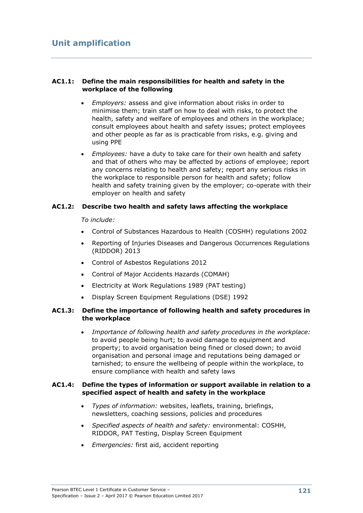#### **AC1.1: Define the main responsibilities for health and safety in the workplace of the following**

- *Employers:* assess and give information about risks in order to minimise them; train staff on how to deal with risks, to protect the health, safety and welfare of employees and others in the workplace; consult employees about health and safety issues; protect employees and other people as far as is practicable from risks, e.g. giving and using PPE
- *Employees:* have a duty to take care for their own health and safety and that of others who may be affected by actions of employee; report any concerns relating to health and safety; report any serious risks in the workplace to responsible person for health and safety; follow health and safety training given by the employer; co-operate with their employer on health and safety

#### **AC1.2: Describe two health and safety laws affecting the workplace**

#### *To include:*

- Control of Substances Hazardous to Health (COSHH) regulations 2002
- Reporting of Injuries Diseases and Dangerous Occurrences Regulations (RIDDOR) 2013
- Control of Asbestos Regulations 2012
- Control of Major Accidents Hazards (COMAH)
- Electricity at Work Regulations 1989 (PAT testing)
- Display Screen Equipment Regulations (DSE) 1992

#### **AC1.3: Define the importance of following health and safety procedures in the workplace**

 *Importance of following health and safety procedures in the workplace:* to avoid people being hurt; to avoid damage to equipment and property; to avoid organisation being fined or closed down; to avoid organisation and personal image and reputations being damaged or tarnished; to ensure the wellbeing of people within the workplace, to ensure compliance with health and safety laws

#### **AC1.4: Define the types of information or support available in relation to a specified aspect of health and safety in the workplace**

- *Types of information:* websites, leaflets, training, briefings, newsletters, coaching sessions, policies and procedures
- *Specified aspects of health and safety:* environmental: COSHH, RIDDOR, PAT Testing, Display Screen Equipment
- *Emergencies:* first aid, accident reporting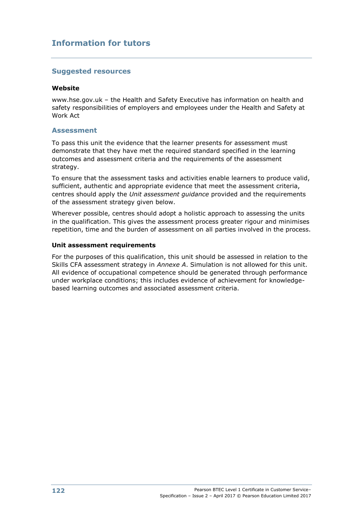## **Information for tutors**

#### **Suggested resources**

#### **Website**

www.hse.gov.uk – the Health and Safety Executive has information on health and safety responsibilities of employers and employees under the Health and Safety at Work Act

#### **Assessment**

To pass this unit the evidence that the learner presents for assessment must demonstrate that they have met the required standard specified in the learning outcomes and assessment criteria and the requirements of the assessment strategy.

To ensure that the assessment tasks and activities enable learners to produce valid, sufficient, authentic and appropriate evidence that meet the assessment criteria, centres should apply the *Unit assessment guidance* provided and the requirements of the assessment strategy given below.

Wherever possible, centres should adopt a holistic approach to assessing the units in the qualification. This gives the assessment process greater rigour and minimises repetition, time and the burden of assessment on all parties involved in the process.

#### **Unit assessment requirements**

For the purposes of this qualification, this unit should be assessed in relation to the Skills CFA assessment strategy in *Annexe A*. Simulation is not allowed for this unit. All evidence of occupational competence should be generated through performance under workplace conditions; this includes evidence of achievement for knowledgebased learning outcomes and associated assessment criteria.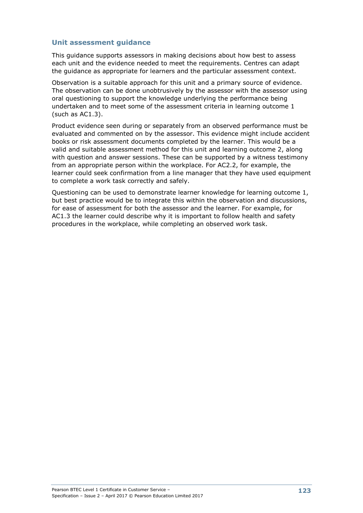This guidance supports assessors in making decisions about how best to assess each unit and the evidence needed to meet the requirements. Centres can adapt the guidance as appropriate for learners and the particular assessment context.

Observation is a suitable approach for this unit and a primary source of evidence. The observation can be done unobtrusively by the assessor with the assessor using oral questioning to support the knowledge underlying the performance being undertaken and to meet some of the assessment criteria in learning outcome 1 (such as AC1.3).

Product evidence seen during or separately from an observed performance must be evaluated and commented on by the assessor. This evidence might include accident books or risk assessment documents completed by the learner. This would be a valid and suitable assessment method for this unit and learning outcome 2, along with question and answer sessions. These can be supported by a witness testimony from an appropriate person within the workplace. For AC2.2, for example, the learner could seek confirmation from a line manager that they have used equipment to complete a work task correctly and safely.

Questioning can be used to demonstrate learner knowledge for learning outcome 1, but best practice would be to integrate this within the observation and discussions, for ease of assessment for both the assessor and the learner. For example, for AC1.3 the learner could describe why it is important to follow health and safety procedures in the workplace, while completing an observed work task.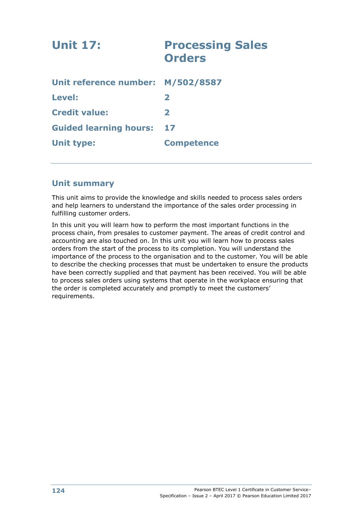| <b>Unit 17:</b>                   | <b>Processing Sales</b><br><b>Orders</b> |
|-----------------------------------|------------------------------------------|
| Unit reference number: M/502/8587 |                                          |
| Level:                            | $\mathbf{2}$                             |
| <b>Credit value:</b>              | $\mathbf{z}$                             |
| <b>Guided learning hours:</b>     | 17                                       |
| <b>Unit type:</b>                 | <b>Competence</b>                        |
|                                   |                                          |

## **Unit summary**

This unit aims to provide the knowledge and skills needed to process sales orders and help learners to understand the importance of the sales order processing in fulfilling customer orders.

In this unit you will learn how to perform the most important functions in the process chain, from presales to customer payment. The areas of credit control and accounting are also touched on. In this unit you will learn how to process sales orders from the start of the process to its completion. You will understand the importance of the process to the organisation and to the customer. You will be able to describe the checking processes that must be undertaken to ensure the products have been correctly supplied and that payment has been received. You will be able to process sales orders using systems that operate in the workplace ensuring that the order is completed accurately and promptly to meet the customers' requirements.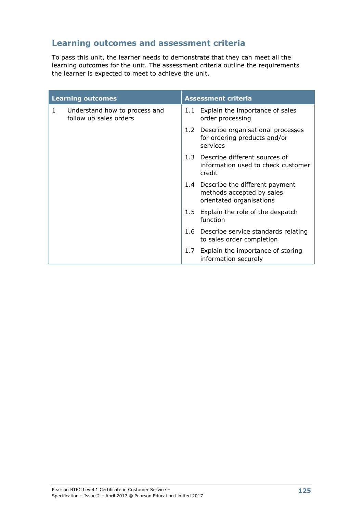# **Learning outcomes and assessment criteria**

To pass this unit, the learner needs to demonstrate that they can meet all the learning outcomes for the unit. The assessment criteria outline the requirements the learner is expected to meet to achieve the unit.

| <b>Learning outcomes</b> |                                                         | <b>Assessment criteria</b> |                                                                                             |  |
|--------------------------|---------------------------------------------------------|----------------------------|---------------------------------------------------------------------------------------------|--|
| 1                        | Understand how to process and<br>follow up sales orders | 1.1                        | Explain the importance of sales<br>order processing                                         |  |
|                          |                                                         |                            | 1.2 Describe organisational processes<br>for ordering products and/or<br>services           |  |
|                          |                                                         | 1.3                        | Describe different sources of<br>information used to check customer<br>credit               |  |
|                          |                                                         |                            | 1.4 Describe the different payment<br>methods accepted by sales<br>orientated organisations |  |
|                          |                                                         | 1.5                        | Explain the role of the despatch<br>function                                                |  |
|                          |                                                         |                            | 1.6 Describe service standards relating<br>to sales order completion                        |  |
|                          |                                                         | 1.7                        | Explain the importance of storing<br>information securely                                   |  |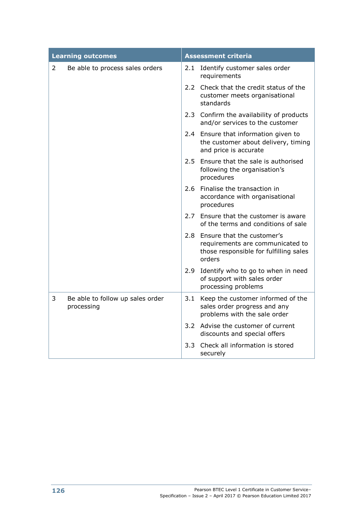| <b>Learning outcomes</b> |                                                | <b>Assessment criteria</b> |                                                                                                                        |  |
|--------------------------|------------------------------------------------|----------------------------|------------------------------------------------------------------------------------------------------------------------|--|
| $\overline{2}$           | Be able to process sales orders                |                            | 2.1 Identify customer sales order<br>requirements                                                                      |  |
|                          |                                                |                            | 2.2 Check that the credit status of the<br>customer meets organisational<br>standards                                  |  |
|                          |                                                |                            | 2.3 Confirm the availability of products<br>and/or services to the customer                                            |  |
|                          |                                                |                            | 2.4 Ensure that information given to<br>the customer about delivery, timing<br>and price is accurate                   |  |
|                          |                                                |                            | 2.5 Ensure that the sale is authorised<br>following the organisation's<br>procedures                                   |  |
|                          |                                                |                            | 2.6 Finalise the transaction in<br>accordance with organisational<br>procedures                                        |  |
|                          |                                                | 2.7                        | Ensure that the customer is aware<br>of the terms and conditions of sale                                               |  |
|                          |                                                |                            | 2.8 Ensure that the customer's<br>requirements are communicated to<br>those responsible for fulfilling sales<br>orders |  |
|                          |                                                | 2.9                        | Identify who to go to when in need<br>of support with sales order<br>processing problems                               |  |
| 3                        | Be able to follow up sales order<br>processing | 3.1                        | Keep the customer informed of the<br>sales order progress and any<br>problems with the sale order                      |  |
|                          |                                                |                            | 3.2 Advise the customer of current<br>discounts and special offers                                                     |  |
|                          |                                                | 3.3 <sub>1</sub>           | Check all information is stored<br>securely                                                                            |  |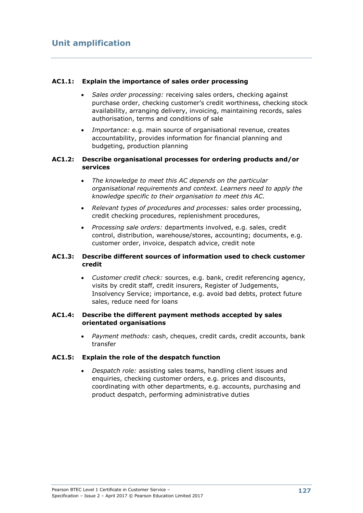#### **AC1.1: Explain the importance of sales order processing**

- *Sales order processing:* receiving sales orders, checking against purchase order, checking customer's credit worthiness, checking stock availability, arranging delivery, invoicing, maintaining records, sales authorisation, terms and conditions of sale
- *Importance:* e.g. main source of organisational revenue, creates accountability, provides information for financial planning and budgeting, production planning

#### **AC1.2: Describe organisational processes for ordering products and/or services**

- *The knowledge to meet this AC depends on the particular organisational requirements and context. Learners need to apply the knowledge specific to their organisation to meet this AC.*
- *Relevant types of procedures and processes:* sales order processing, credit checking procedures, replenishment procedures,
- *Processing sale orders:* departments involved, e.g. sales, credit control, distribution, warehouse/stores, accounting; documents, e.g. customer order, invoice, despatch advice, credit note

#### **AC1.3: Describe different sources of information used to check customer credit**

 *Customer credit check:* sources, e.g. bank, credit referencing agency, visits by credit staff, credit insurers, Register of Judgements, Insolvency Service; importance, e.g. avoid bad debts, protect future sales, reduce need for loans

#### **AC1.4: Describe the different payment methods accepted by sales orientated organisations**

 *Payment methods:* cash, cheques, credit cards, credit accounts, bank transfer

#### **AC1.5: Explain the role of the despatch function**

 *Despatch role:* assisting sales teams, handling client issues and enquiries, checking customer orders, e.g. prices and discounts, coordinating with other departments, e.g. accounts, purchasing and product despatch, performing administrative duties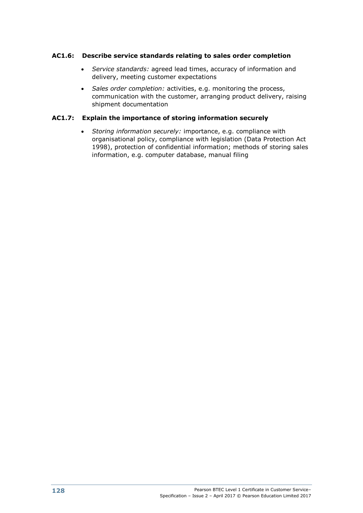#### **AC1.6: Describe service standards relating to sales order completion**

- *Service standards:* agreed lead times, accuracy of information and delivery, meeting customer expectations
- *Sales order completion:* activities, e.g. monitoring the process, communication with the customer, arranging product delivery, raising shipment documentation

### **AC1.7: Explain the importance of storing information securely**

 *Storing information securely:* importance, e.g. compliance with organisational policy, compliance with legislation (Data Protection Act 1998), protection of confidential information; methods of storing sales information, e.g. computer database, manual filing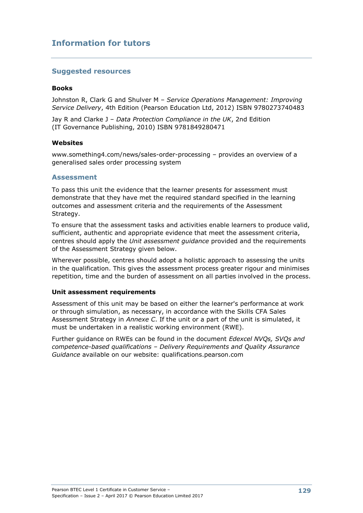## **Information for tutors**

#### **Suggested resources**

#### **Books**

Johnston R, Clark G and Shulver M – *Service Operations Management: Improving Service Delivery*, 4th Edition (Pearson Education Ltd, 2012) ISBN 9780273740483

Jay R and Clarke J – *Data Protection Compliance in the UK*, 2nd Edition (IT Governance Publishing, 2010) ISBN 9781849280471

#### **Websites**

www.something4.com/news/sales-order-processing – provides an overview of a generalised sales order processing system

#### **Assessment**

To pass this unit the evidence that the learner presents for assessment must demonstrate that they have met the required standard specified in the learning outcomes and assessment criteria and the requirements of the Assessment Strategy.

To ensure that the assessment tasks and activities enable learners to produce valid, sufficient, authentic and appropriate evidence that meet the assessment criteria, centres should apply the *Unit assessment guidance* provided and the requirements of the Assessment Strategy given below.

Wherever possible, centres should adopt a holistic approach to assessing the units in the qualification. This gives the assessment process greater rigour and minimises repetition, time and the burden of assessment on all parties involved in the process.

#### **Unit assessment requirements**

Assessment of this unit may be based on either the learner's performance at work or through simulation, as necessary, in accordance with the Skills CFA Sales Assessment Strategy in *Annexe C*. If the unit or a part of the unit is simulated, it must be undertaken in a realistic working environment (RWE).

Further guidance on RWEs can be found in the document *Edexcel NVQs, SVQs and competence-based qualifications – Delivery Requirements and Quality Assurance Guidance* available on our website: qualifications.pearson.com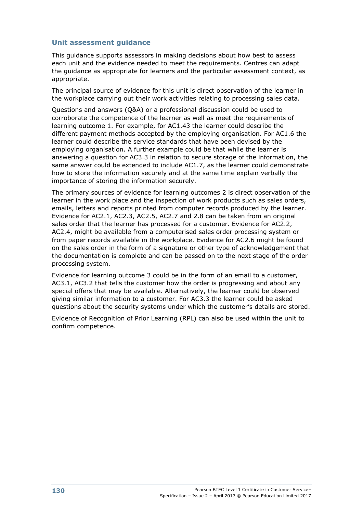This guidance supports assessors in making decisions about how best to assess each unit and the evidence needed to meet the requirements. Centres can adapt the guidance as appropriate for learners and the particular assessment context, as appropriate.

The principal source of evidence for this unit is direct observation of the learner in the workplace carrying out their work activities relating to processing sales data.

Questions and answers (Q&A) or a professional discussion could be used to corroborate the competence of the learner as well as meet the requirements of learning outcome 1. For example, for AC1.43 the learner could describe the different payment methods accepted by the employing organisation. For AC1.6 the learner could describe the service standards that have been devised by the employing organisation. A further example could be that while the learner is answering a question for AC3.3 in relation to secure storage of the information, the same answer could be extended to include AC1.7, as the learner could demonstrate how to store the information securely and at the same time explain verbally the importance of storing the information securely.

The primary sources of evidence for learning outcomes 2 is direct observation of the learner in the work place and the inspection of work products such as sales orders, emails, letters and reports printed from computer records produced by the learner. Evidence for AC2.1, AC2.3, AC2.5, AC2.7 and 2.8 can be taken from an original sales order that the learner has processed for a customer. Evidence for AC2.2, AC2.4, might be available from a computerised sales order processing system or from paper records available in the workplace. Evidence for AC2.6 might be found on the sales order in the form of a signature or other type of acknowledgement that the documentation is complete and can be passed on to the next stage of the order processing system.

Evidence for learning outcome 3 could be in the form of an email to a customer, AC3.1, AC3.2 that tells the customer how the order is progressing and about any special offers that may be available. Alternatively, the learner could be observed giving similar information to a customer. For AC3.3 the learner could be asked questions about the security systems under which the customer's details are stored.

Evidence of Recognition of Prior Learning (RPL) can also be used within the unit to confirm competence.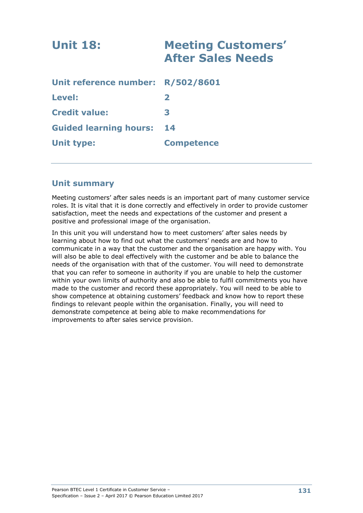| <b>Unit 18:</b>                   | <b>Meeting Customers'</b><br><b>After Sales Needs</b> |  |
|-----------------------------------|-------------------------------------------------------|--|
| Unit reference number: R/502/8601 |                                                       |  |
| <b>Level:</b>                     | $\mathbf{z}$                                          |  |
| <b>Credit value:</b>              | 3                                                     |  |
| <b>Guided learning hours:</b>     | 14                                                    |  |
| <b>Unit type:</b>                 | <b>Competence</b>                                     |  |
|                                   |                                                       |  |

## **Unit summary**

Meeting customers' after sales needs is an important part of many customer service roles. It is vital that it is done correctly and effectively in order to provide customer satisfaction, meet the needs and expectations of the customer and present a positive and professional image of the organisation.

In this unit you will understand how to meet customers' after sales needs by learning about how to find out what the customers' needs are and how to communicate in a way that the customer and the organisation are happy with. You will also be able to deal effectively with the customer and be able to balance the needs of the organisation with that of the customer. You will need to demonstrate that you can refer to someone in authority if you are unable to help the customer within your own limits of authority and also be able to fulfil commitments you have made to the customer and record these appropriately. You will need to be able to show competence at obtaining customers' feedback and know how to report these findings to relevant people within the organisation. Finally, you will need to demonstrate competence at being able to make recommendations for improvements to after sales service provision.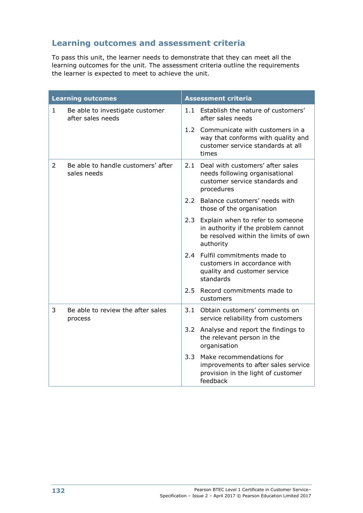# **Learning outcomes and assessment criteria**

To pass this unit, the learner needs to demonstrate that they can meet all the learning outcomes for the unit. The assessment criteria outline the requirements the learner is expected to meet to achieve the unit.

| <b>Learning outcomes</b> |                                                      | <b>Assessment criteria</b> |                                                                                                                             |
|--------------------------|------------------------------------------------------|----------------------------|-----------------------------------------------------------------------------------------------------------------------------|
| $\mathbf{1}$             | Be able to investigate customer<br>after sales needs |                            | 1.1 Establish the nature of customers'<br>after sales needs                                                                 |
|                          |                                                      |                            | 1.2 Communicate with customers in a<br>way that conforms with quality and<br>customer service standards at all<br>times     |
| $\mathcal{L}$            | Be able to handle customers' after<br>sales needs    |                            | 2.1 Deal with customers' after sales<br>needs following organisational<br>customer service standards and<br>procedures      |
|                          |                                                      |                            | 2.2 Balance customers' needs with<br>those of the organisation                                                              |
|                          |                                                      | 2.3                        | Explain when to refer to someone<br>in authority if the problem cannot<br>be resolved within the limits of own<br>authority |
|                          |                                                      |                            | 2.4 Fulfil commitments made to<br>customers in accordance with<br>quality and customer service<br>standards                 |
|                          |                                                      | $2.5 -$                    | Record commitments made to<br>customers                                                                                     |
| 3                        | Be able to review the after sales<br>process         |                            | 3.1 Obtain customers' comments on<br>service reliability from customers                                                     |
|                          |                                                      | 3.2                        | Analyse and report the findings to<br>the relevant person in the<br>organisation                                            |
|                          |                                                      | 3.3                        | Make recommendations for<br>improvements to after sales service<br>provision in the light of customer<br>feedback           |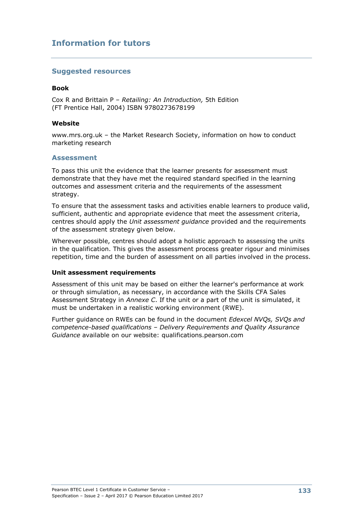## **Information for tutors**

#### **Suggested resources**

#### **Book**

Cox R and Brittain P – *Retailing: An Introduction,* 5th Edition (FT Prentice Hall, 2004) ISBN 9780273678199

#### **Website**

www.mrs.org.uk – the Market Research Society, information on how to conduct marketing research

#### **Assessment**

To pass this unit the evidence that the learner presents for assessment must demonstrate that they have met the required standard specified in the learning outcomes and assessment criteria and the requirements of the assessment strategy.

To ensure that the assessment tasks and activities enable learners to produce valid, sufficient, authentic and appropriate evidence that meet the assessment criteria, centres should apply the *Unit assessment guidance* provided and the requirements of the assessment strategy given below.

Wherever possible, centres should adopt a holistic approach to assessing the units in the qualification. This gives the assessment process greater rigour and minimises repetition, time and the burden of assessment on all parties involved in the process.

#### **Unit assessment requirements**

Assessment of this unit may be based on either the learner's performance at work or through simulation, as necessary, in accordance with the Skills CFA Sales Assessment Strategy in *Annexe C*. If the unit or a part of the unit is simulated, it must be undertaken in a realistic working environment (RWE).

Further guidance on RWEs can be found in the document *Edexcel NVQs, SVQs and competence-based qualifications – Delivery Requirements and Quality Assurance Guidance* available on our website: qualifications.pearson.com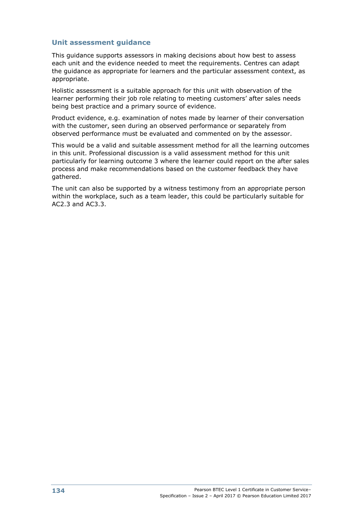This guidance supports assessors in making decisions about how best to assess each unit and the evidence needed to meet the requirements. Centres can adapt the guidance as appropriate for learners and the particular assessment context, as appropriate.

Holistic assessment is a suitable approach for this unit with observation of the learner performing their job role relating to meeting customers' after sales needs being best practice and a primary source of evidence.

Product evidence, e.g. examination of notes made by learner of their conversation with the customer, seen during an observed performance or separately from observed performance must be evaluated and commented on by the assessor.

This would be a valid and suitable assessment method for all the learning outcomes in this unit. Professional discussion is a valid assessment method for this unit particularly for learning outcome 3 where the learner could report on the after sales process and make recommendations based on the customer feedback they have gathered.

The unit can also be supported by a witness testimony from an appropriate person within the workplace, such as a team leader, this could be particularly suitable for AC2.3 and AC3.3.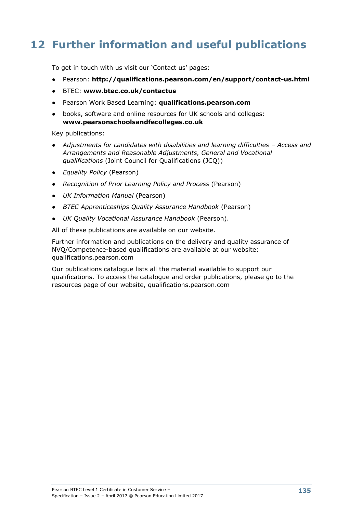# **12 Further information and useful publications**

To get in touch with us visit our 'Contact us' pages:

- Pearson: **http://qualifications.pearson.com/en/support/contact-us.html**
- BTEC: **www.btec.co.uk/contactus**
- Pearson Work Based Learning: **qualifications.pearson.com**
- books, software and online resources for UK schools and colleges: **www.pearsonschoolsandfecolleges.co.uk**

Key publications:

- *Adjustments for candidates with disabilities and learning difficulties – Access and Arrangements and Reasonable Adjustments, General and Vocational qualifications* (Joint Council for Qualifications (JCQ))
- *Equality Policy* (Pearson)
- *Recognition of Prior Learning Policy and Process* (Pearson)
- *UK Information Manual* (Pearson)
- *BTEC Apprenticeships Quality Assurance Handbook* (Pearson)
- *UK Quality Vocational Assurance Handbook* (Pearson).

All of these publications are available on our website.

Further information and publications on the delivery and quality assurance of NVQ/Competence-based qualifications are available at our website: qualifications.pearson.com

Our publications catalogue lists all the material available to support our qualifications. To access the catalogue and order publications, please go to the resources page of our website, qualifications.pearson.com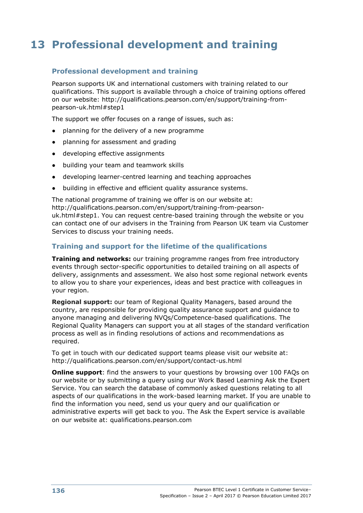# **13 Professional development and training**

## **Professional development and training**

Pearson supports UK and international customers with training related to our qualifications. This support is available through a choice of training options offered on our website: http://qualifications.pearson.com/en/support/training-frompearson-uk.html#step1

The support we offer focuses on a range of issues, such as:

- planning for the delivery of a new programme
- planning for assessment and grading
- developing effective assignments
- building your team and teamwork skills
- developing learner-centred learning and teaching approaches
- building in effective and efficient quality assurance systems.

The national programme of training we offer is on our website at: http://qualifications.pearson.com/en/support/training-from-pearsonuk.html#step1. You can request centre-based training through the website or you can contact one of our advisers in the Training from Pearson UK team via Customer Services to discuss your training needs.

### **Training and support for the lifetime of the qualifications**

**Training and networks:** our training programme ranges from free introductory events through sector-specific opportunities to detailed training on all aspects of delivery, assignments and assessment. We also host some regional network events to allow you to share your experiences, ideas and best practice with colleagues in your region.

**Regional support:** our team of Regional Quality Managers, based around the country, are responsible for providing quality assurance support and guidance to anyone managing and delivering NVQs/Competence-based qualifications. The Regional Quality Managers can support you at all stages of the standard verification process as well as in finding resolutions of actions and recommendations as required.

To get in touch with our dedicated support teams please visit our website at: http://qualifications.pearson.com/en/support/contact-us.html

**Online support:** find the answers to your questions by browsing over 100 FAQs on our website or by submitting a query using our Work Based Learning Ask the Expert Service. You can search the database of commonly asked questions relating to all aspects of our qualifications in the work-based learning market. If you are unable to find the information you need, send us your query and our qualification or administrative experts will get back to you. The Ask the Expert service is available on our website at: qualifications.pearson.com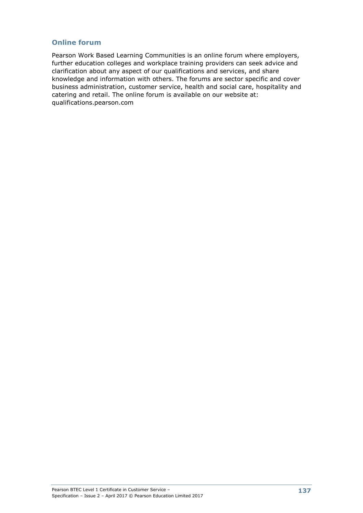## **Online forum**

Pearson Work Based Learning Communities is an online forum where employers, further education colleges and workplace training providers can seek advice and clarification about any aspect of our qualifications and services, and share knowledge and information with others. The forums are sector specific and cover business administration, customer service, health and social care, hospitality and catering and retail. The online forum is available on our website at: qualifications.pearson.com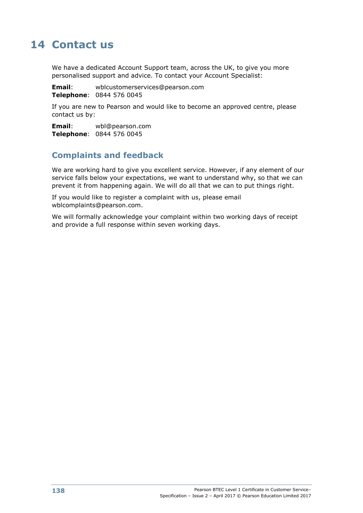# **14 Contact us**

We have a dedicated Account Support team, across the UK, to give you more personalised support and advice. To contact your Account Specialist:

**Email**: wblcustomerservices@pearson.com **Telephone**: 0844 576 0045

If you are new to Pearson and would like to become an approved centre, please contact us by:

**Email**: wbl@pearson.com **Telephone**: 0844 576 0045

## **Complaints and feedback**

We are working hard to give you excellent service. However, if any element of our service falls below your expectations, we want to understand why, so that we can prevent it from happening again. We will do all that we can to put things right.

If you would like to register a complaint with us, please email wblcomplaints@pearson.com.

We will formally acknowledge your complaint within two working days of receipt and provide a full response within seven working days.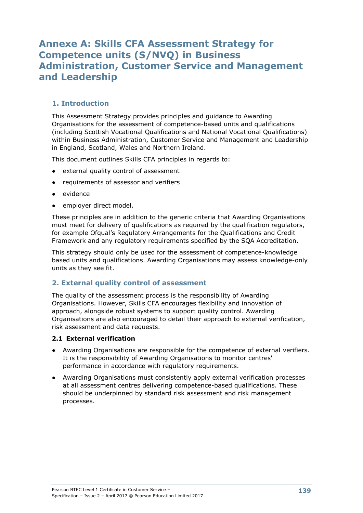## **Annexe A: Skills CFA Assessment Strategy for Competence units (S/NVQ) in Business Administration, Customer Service and Management and Leadership**

## **1. Introduction**

This Assessment Strategy provides principles and guidance to Awarding Organisations for the assessment of competence-based units and qualifications (including Scottish Vocational Qualifications and National Vocational Qualifications) within Business Administration, Customer Service and Management and Leadership in England, Scotland, Wales and Northern Ireland.

This document outlines Skills CFA principles in regards to:

- external quality control of assessment
- requirements of assessor and verifiers
- evidence
- employer direct model.

These principles are in addition to the generic criteria that Awarding Organisations must meet for delivery of qualifications as required by the qualification regulators, for example Ofqual's Regulatory Arrangements for the Qualifications and Credit Framework and any regulatory requirements specified by the SQA Accreditation.

This strategy should only be used for the assessment of competence-knowledge based units and qualifications. Awarding Organisations may assess knowledge-only units as they see fit.

#### **2. External quality control of assessment**

The quality of the assessment process is the responsibility of Awarding Organisations. However, Skills CFA encourages flexibility and innovation of approach, alongside robust systems to support quality control. Awarding Organisations are also encouraged to detail their approach to external verification, risk assessment and data requests.

#### **2.1 External verification**

- Awarding Organisations are responsible for the competence of external verifiers. It is the responsibility of Awarding Organisations to monitor centres' performance in accordance with regulatory requirements.
- Awarding Organisations must consistently apply external verification processes at all assessment centres delivering competence-based qualifications. These should be underpinned by standard risk assessment and risk management processes.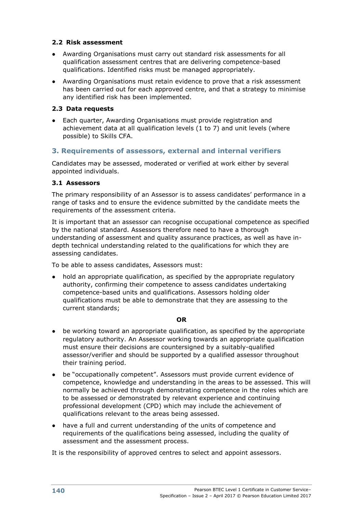#### **2.2 Risk assessment**

- Awarding Organisations must carry out standard risk assessments for all qualification assessment centres that are delivering competence-based qualifications. Identified risks must be managed appropriately.
- Awarding Organisations must retain evidence to prove that a risk assessment has been carried out for each approved centre, and that a strategy to minimise any identified risk has been implemented.

#### **2.3 Data requests**

● Each quarter, Awarding Organisations must provide registration and achievement data at all qualification levels (1 to 7) and unit levels (where possible) to Skills CFA.

## **3. Requirements of assessors, external and internal verifiers**

Candidates may be assessed, moderated or verified at work either by several appointed individuals.

#### **3.1 Assessors**

The primary responsibility of an Assessor is to assess candidates' performance in a range of tasks and to ensure the evidence submitted by the candidate meets the requirements of the assessment criteria.

It is important that an assessor can recognise occupational competence as specified by the national standard. Assessors therefore need to have a thorough understanding of assessment and quality assurance practices, as well as have indepth technical understanding related to the qualifications for which they are assessing candidates.

To be able to assess candidates, Assessors must:

hold an appropriate qualification, as specified by the appropriate regulatory authority, confirming their competence to assess candidates undertaking competence-based units and qualifications. Assessors holding older qualifications must be able to demonstrate that they are assessing to the current standards;

#### **OR**

- be working toward an appropriate qualification, as specified by the appropriate regulatory authority. An Assessor working towards an appropriate qualification must ensure their decisions are countersigned by a suitably-qualified assessor/verifier and should be supported by a qualified assessor throughout their training period.
- be "occupationally competent". Assessors must provide current evidence of competence, knowledge and understanding in the areas to be assessed. This will normally be achieved through demonstrating competence in the roles which are to be assessed or demonstrated by relevant experience and continuing professional development (CPD) which may include the achievement of qualifications relevant to the areas being assessed.
- have a full and current understanding of the units of competence and requirements of the qualifications being assessed, including the quality of assessment and the assessment process.

It is the responsibility of approved centres to select and appoint assessors.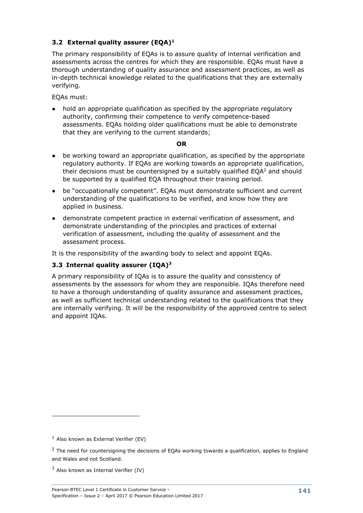## **3.2 External quality assurer (EQA)<sup>1</sup>**

The primary responsibility of EQAs is to assure quality of internal verification and assessments across the centres for which they are responsible. EQAs must have a thorough understanding of quality assurance and assessment practices, as well as in-depth technical knowledge related to the qualifications that they are externally verifying.

EQAs must:

hold an appropriate qualification as specified by the appropriate regulatory authority, confirming their competence to verify competence-based assessments. EQAs holding older qualifications must be able to demonstrate that they are verifying to the current standards;

#### **OR**

- be working toward an appropriate qualification, as specified by the appropriate regulatory authority. If EQAs are working towards an appropriate qualification, their decisions must be countersigned by a suitably qualified  $EQA<sup>2</sup>$  and should be supported by a qualified EQA throughout their training period.
- be "occupationally competent". EQAs must demonstrate sufficient and current understanding of the qualifications to be verified, and know how they are applied in business.
- demonstrate competent practice in external verification of assessment, and demonstrate understanding of the principles and practices of external verification of assessment, including the quality of assessment and the assessment process.

It is the responsibility of the awarding body to select and appoint EQAs.

#### **3.3 Internal quality assurer (IQA)<sup>3</sup>**

A primary responsibility of IQAs is to assure the quality and consistency of assessments by the assessors for whom they are responsible. IQAs therefore need to have a thorough understanding of quality assurance and assessment practices, as well as sufficient technical understanding related to the qualifications that they are internally verifying. It will be the responsibility of the approved centre to select and appoint IQAs.

-

 $<sup>1</sup>$  Also known as External Verifier (EV)</sup>

<sup>&</sup>lt;sup>2</sup> The need for countersigning the decisions of EQAs working towards a qualification, applies to England and Wales and not Scotland.

 $3$  Also known as Internal Verifier (IV)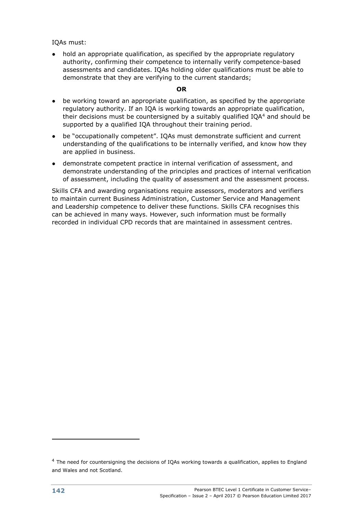IQAs must:

• hold an appropriate qualification, as specified by the appropriate regulatory authority, confirming their competence to internally verify competence-based assessments and candidates. IQAs holding older qualifications must be able to demonstrate that they are verifying to the current standards;

#### **OR**

- be working toward an appropriate qualification, as specified by the appropriate regulatory authority. If an IQA is working towards an appropriate qualification, their decisions must be countersigned by a suitably qualified  $IQA<sup>4</sup>$  and should be supported by a qualified IQA throughout their training period.
- be "occupationally competent". IQAs must demonstrate sufficient and current understanding of the qualifications to be internally verified, and know how they are applied in business.
- demonstrate competent practice in internal verification of assessment, and demonstrate understanding of the principles and practices of internal verification of assessment, including the quality of assessment and the assessment process.

Skills CFA and awarding organisations require assessors, moderators and verifiers to maintain current Business Administration, Customer Service and Management and Leadership competence to deliver these functions. Skills CFA recognises this can be achieved in many ways. However, such information must be formally recorded in individual CPD records that are maintained in assessment centres.

-

<sup>&</sup>lt;sup>4</sup> The need for countersigning the decisions of IQAs working towards a qualification, applies to England and Wales and not Scotland.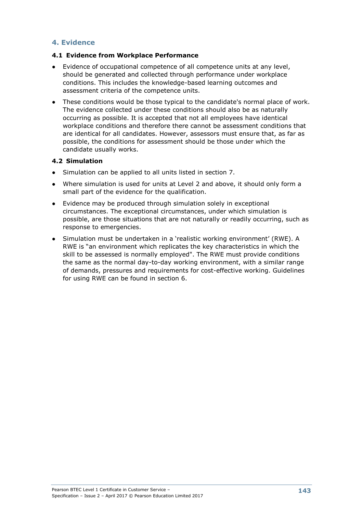## **4. Evidence**

#### **4.1 Evidence from Workplace Performance**

- Evidence of occupational competence of all competence units at any level, should be generated and collected through performance under workplace conditions. This includes the knowledge-based learning outcomes and assessment criteria of the competence units.
- These conditions would be those typical to the candidate's normal place of work. The evidence collected under these conditions should also be as naturally occurring as possible. It is accepted that not all employees have identical workplace conditions and therefore there cannot be assessment conditions that are identical for all candidates. However, assessors must ensure that, as far as possible, the conditions for assessment should be those under which the candidate usually works.

#### **4.2 Simulation**

- Simulation can be applied to all units listed in section 7.
- Where simulation is used for units at Level 2 and above, it should only form a small part of the evidence for the qualification.
- Evidence may be produced through simulation solely in exceptional circumstances. The exceptional circumstances, under which simulation is possible, are those situations that are not naturally or readily occurring, such as response to emergencies.
- Simulation must be undertaken in a 'realistic working environment' (RWE). A RWE is "an environment which replicates the key characteristics in which the skill to be assessed is normally employed". The RWE must provide conditions the same as the normal day-to-day working environment, with a similar range of demands, pressures and requirements for cost-effective working. Guidelines for using RWE can be found in section 6.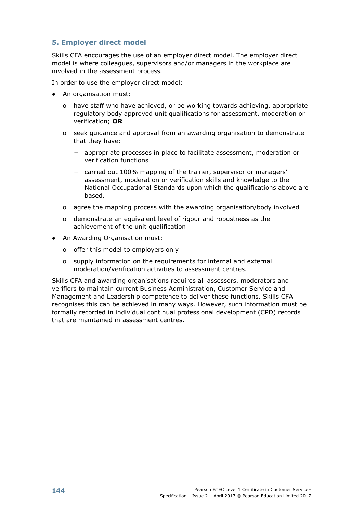## **5. Employer direct model**

Skills CFA encourages the use of an employer direct model. The employer direct model is where colleagues, supervisors and/or managers in the workplace are involved in the assessment process.

In order to use the employer direct model:

- An organisation must:
	- o have staff who have achieved, or be working towards achieving, appropriate regulatory body approved unit qualifications for assessment, moderation or verification; **OR**
	- o seek guidance and approval from an awarding organisation to demonstrate that they have:
		- − appropriate processes in place to facilitate assessment, moderation or verification functions
		- − carried out 100% mapping of the trainer, supervisor or managers' assessment, moderation or verification skills and knowledge to the National Occupational Standards upon which the qualifications above are based.
	- o agree the mapping process with the awarding organisation/body involved
	- o demonstrate an equivalent level of rigour and robustness as the achievement of the unit qualification
- An Awarding Organisation must:
	- o offer this model to employers only
	- o supply information on the requirements for internal and external moderation/verification activities to assessment centres.

Skills CFA and awarding organisations requires all assessors, moderators and verifiers to maintain current Business Administration, Customer Service and Management and Leadership competence to deliver these functions. Skills CFA recognises this can be achieved in many ways. However, such information must be formally recorded in individual continual professional development (CPD) records that are maintained in assessment centres.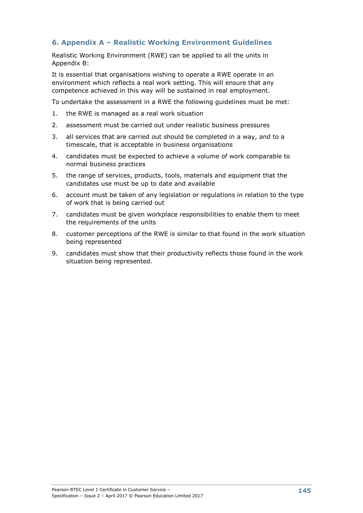## **6. Appendix A – Realistic Working Environment Guidelines**

Realistic Working Environment (RWE) can be applied to all the units in Appendix B:

It is essential that organisations wishing to operate a RWE operate in an environment which reflects a real work setting. This will ensure that any competence achieved in this way will be sustained in real employment.

To undertake the assessment in a RWE the following guidelines must be met:

- 1. the RWE is managed as a real work situation
- 2. assessment must be carried out under realistic business pressures
- 3. all services that are carried out should be completed in a way, and to a timescale, that is acceptable in business organisations
- 4. candidates must be expected to achieve a volume of work comparable to normal business practices
- 5. the range of services, products, tools, materials and equipment that the candidates use must be up to date and available
- 6. account must be taken of any legislation or regulations in relation to the type of work that is being carried out
- 7. candidates must be given workplace responsibilities to enable them to meet the requirements of the units
- 8. customer perceptions of the RWE is similar to that found in the work situation being represented
- 9. candidates must show that their productivity reflects those found in the work situation being represented.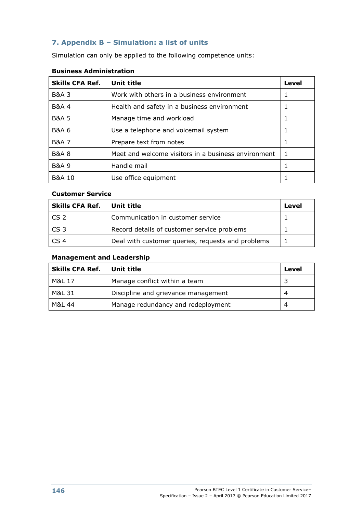## **7. Appendix B – Simulation: a list of units**

Simulation can only be applied to the following competence units:

| <b>Skills CFA Ref.</b> | <b>Unit title</b>                                   | Level |
|------------------------|-----------------------------------------------------|-------|
| <b>B&amp;A 3</b>       | Work with others in a business environment          | 1     |
| <b>B&amp;A 4</b>       | Health and safety in a business environment         |       |
| <b>B&amp;A 5</b>       | Manage time and workload                            | 1     |
| <b>B&amp;A 6</b>       | Use a telephone and voicemail system                |       |
| <b>B&amp;A 7</b>       | Prepare text from notes                             |       |
| <b>B&amp;A 8</b>       | Meet and welcome visitors in a business environment |       |
| <b>B&amp;A 9</b>       | Handle mail                                         |       |
| <b>B&amp;A 10</b>      | Use office equipment                                |       |

## **Business Administration**

#### **Customer Service**

| <b>Skills CFA Ref.</b> | Unit title                                        | Level |
|------------------------|---------------------------------------------------|-------|
| l CS 2                 | Communication in customer service                 |       |
| CS <sub>3</sub>        | Record details of customer service problems       |       |
| CS 4                   | Deal with customer queries, requests and problems |       |

## **Management and Leadership**

| <b>Skills CFA Ref.</b> | Unit title                          | Level |
|------------------------|-------------------------------------|-------|
| M&L 17                 | Manage conflict within a team       |       |
| M&L 31                 | Discipline and grievance management | 4     |
| M&L 44                 | Manage redundancy and redeployment  | 4     |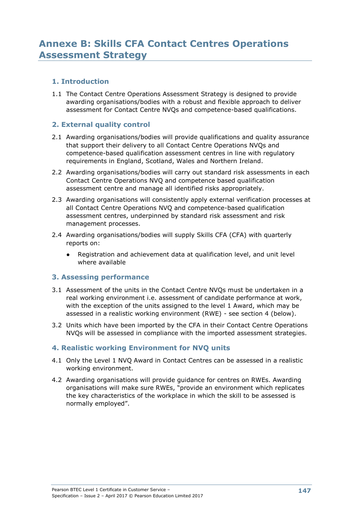## **1. Introduction**

1.1 The Contact Centre Operations Assessment Strategy is designed to provide awarding organisations/bodies with a robust and flexible approach to deliver assessment for Contact Centre NVQs and competence-based qualifications.

## **2. External quality control**

- 2.1 Awarding organisations/bodies will provide qualifications and quality assurance that support their delivery to all Contact Centre Operations NVQs and competence-based qualification assessment centres in line with regulatory requirements in England, Scotland, Wales and Northern Ireland.
- 2.2 Awarding organisations/bodies will carry out standard risk assessments in each Contact Centre Operations NVQ and competence based qualification assessment centre and manage all identified risks appropriately.
- 2.3 Awarding organisations will consistently apply external verification processes at all Contact Centre Operations NVQ and competence-based qualification assessment centres, underpinned by standard risk assessment and risk management processes.
- 2.4 Awarding organisations/bodies will supply Skills CFA (CFA) with quarterly reports on:
	- Registration and achievement data at qualification level, and unit level where available

## **3. Assessing performance**

- 3.1 Assessment of the units in the Contact Centre NVQs must be undertaken in a real working environment i.e. assessment of candidate performance at work, with the exception of the units assigned to the level 1 Award, which may be assessed in a realistic working environment (RWE) - see section 4 (below).
- 3.2 Units which have been imported by the CFA in their Contact Centre Operations NVQs will be assessed in compliance with the imported assessment strategies.

## **4. Realistic working Environment for NVQ units**

- 4.1 Only the Level 1 NVQ Award in Contact Centres can be assessed in a realistic working environment.
- 4.2 Awarding organisations will provide guidance for centres on RWEs. Awarding organisations will make sure RWEs, "provide an environment which replicates the key characteristics of the workplace in which the skill to be assessed is normally employed".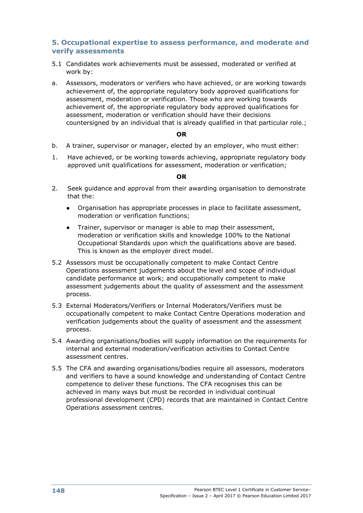#### **5. Occupational expertise to assess performance, and moderate and verify assessments**

- 5.1 Candidates work achievements must be assessed, moderated or verified at work by:
- a. Assessors, moderators or verifiers who have achieved, or are working towards achievement of, the appropriate regulatory body approved qualifications for assessment, moderation or verification. Those who are working towards achievement of, the appropriate regulatory body approved qualifications for assessment, moderation or verification should have their decisions countersigned by an individual that is already qualified in that particular role.;

#### **OR**

- b. A trainer, supervisor or manager, elected by an employer, who must either:
- 1. Have achieved, or be working towards achieving, appropriate regulatory body approved unit qualifications for assessment, moderation or verification;

#### **OR**

- 2. Seek guidance and approval from their awarding organisation to demonstrate that the:
	- Organisation has appropriate processes in place to facilitate assessment, moderation or verification functions;
	- Trainer, supervisor or manager is able to map their assessment, moderation or verification skills and knowledge 100% to the National Occupational Standards upon which the qualifications above are based. This is known as the employer direct model.
- 5.2 Assessors must be occupationally competent to make Contact Centre Operations assessment judgements about the level and scope of individual candidate performance at work; and occupationally competent to make assessment judgements about the quality of assessment and the assessment process.
- 5.3 External Moderators/Verifiers or Internal Moderators/Verifiers must be occupationally competent to make Contact Centre Operations moderation and verification judgements about the quality of assessment and the assessment process.
- 5.4 Awarding organisations/bodies will supply information on the requirements for internal and external moderation/verification activities to Contact Centre assessment centres.
- 5.5 The CFA and awarding organisations/bodies require all assessors, moderators and verifiers to have a sound knowledge and understanding of Contact Centre competence to deliver these functions. The CFA recognises this can be achieved in many ways but must be recorded in individual continual professional development (CPD) records that are maintained in Contact Centre Operations assessment centres.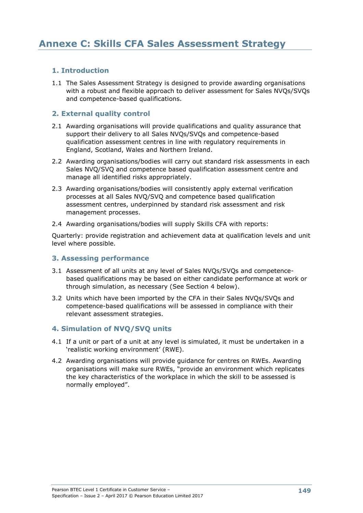## **1. Introduction**

1.1 The Sales Assessment Strategy is designed to provide awarding organisations with a robust and flexible approach to deliver assessment for Sales NVQs/SVQs and competence-based qualifications.

## **2. External quality control**

- 2.1 Awarding organisations will provide qualifications and quality assurance that support their delivery to all Sales NVQs/SVQs and competence-based qualification assessment centres in line with regulatory requirements in England, Scotland, Wales and Northern Ireland.
- 2.2 Awarding organisations/bodies will carry out standard risk assessments in each Sales NVQ/SVQ and competence based qualification assessment centre and manage all identified risks appropriately.
- 2.3 Awarding organisations/bodies will consistently apply external verification processes at all Sales NVQ/SVQ and competence based qualification assessment centres, underpinned by standard risk assessment and risk management processes.
- 2.4 Awarding organisations/bodies will supply Skills CFA with reports:

Quarterly: provide registration and achievement data at qualification levels and unit level where possible.

#### **3. Assessing performance**

- 3.1 Assessment of all units at any level of Sales NVQs/SVQs and competencebased qualifications may be based on either candidate performance at work or through simulation, as necessary (See Section 4 below).
- 3.2 Units which have been imported by the CFA in their Sales NVQs/SVQs and competence-based qualifications will be assessed in compliance with their relevant assessment strategies.

#### **4. Simulation of NVQ/SVQ units**

- 4.1 If a unit or part of a unit at any level is simulated, it must be undertaken in a 'realistic working environment' (RWE).
- 4.2 Awarding organisations will provide guidance for centres on RWEs. Awarding organisations will make sure RWEs, "provide an environment which replicates the key characteristics of the workplace in which the skill to be assessed is normally employed".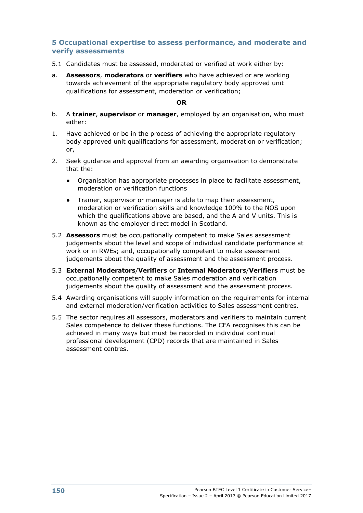#### **5 Occupational expertise to assess performance, and moderate and verify assessments**

- 5.1 Candidates must be assessed, moderated or verified at work either by:
- a. **Assessors**, **moderators** or **verifiers** who have achieved or are working towards achievement of the appropriate regulatory body approved unit qualifications for assessment, moderation or verification;

#### **OR**

- b. A **trainer**, **supervisor** or **manager**, employed by an organisation, who must either:
- 1. Have achieved or be in the process of achieving the appropriate regulatory body approved unit qualifications for assessment, moderation or verification; or,
- 2. Seek guidance and approval from an awarding organisation to demonstrate that the:
	- Organisation has appropriate processes in place to facilitate assessment, moderation or verification functions
	- Trainer, supervisor or manager is able to map their assessment, moderation or verification skills and knowledge 100% to the NOS upon which the qualifications above are based, and the A and V units. This is known as the employer direct model in Scotland.
- 5.2 **Assessors** must be occupationally competent to make Sales assessment judgements about the level and scope of individual candidate performance at work or in RWEs; and, occupationally competent to make assessment judgements about the quality of assessment and the assessment process.
- 5.3 **External Moderators**/**Verifiers** or **Internal Moderators**/**Verifiers** must be occupationally competent to make Sales moderation and verification judgements about the quality of assessment and the assessment process.
- 5.4 Awarding organisations will supply information on the requirements for internal and external moderation/verification activities to Sales assessment centres.
- 5.5 The sector requires all assessors, moderators and verifiers to maintain current Sales competence to deliver these functions. The CFA recognises this can be achieved in many ways but must be recorded in individual continual professional development (CPD) records that are maintained in Sales assessment centres.